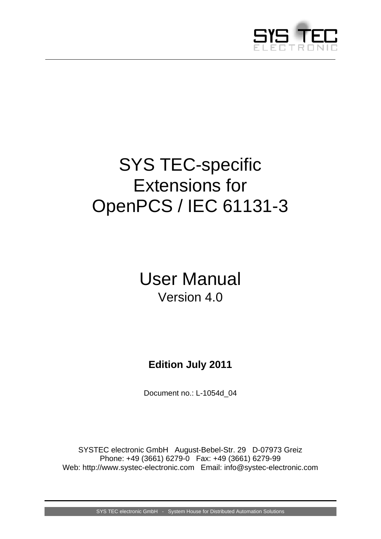

# <span id="page-0-0"></span>SYS TEC-specific Extensions for OpenPCS / IEC 61131-3

# User Manual Version 4.0

# **Edition July 2011**

Document no.: [L-1054d\\_0](#page-0-0)4

SYSTEC electronic GmbH August-Bebel-Str. 29 D-07973 Greiz Phone: +49 (3661) 6279-0 Fax: +49 (3661) 6279-99 Web: http://www.systec-electronic.com Email: info@systec-electronic.com

SYS TEC electronic GmbH - System House for Distributed Automation Solutions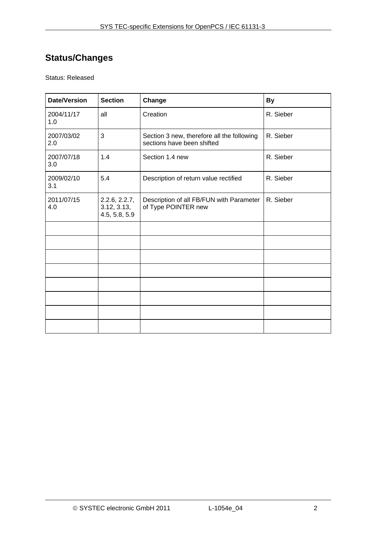# **Status/Changes**

Status: Released

| <b>Date/Version</b> | <b>Section</b>                                | Change                                                                   | <b>By</b> |
|---------------------|-----------------------------------------------|--------------------------------------------------------------------------|-----------|
| 2004/11/17<br>1.0   | all                                           | Creation                                                                 | R. Sieber |
| 2007/03/02<br>2.0   | 3                                             | Section 3 new, therefore all the following<br>sections have been shifted | R. Sieber |
| 2007/07/18<br>3.0   | 1.4                                           | Section 1.4 new                                                          | R. Sieber |
| 2009/02/10<br>3.1   | 5.4                                           | Description of return value rectified                                    | R. Sieber |
| 2011/07/15<br>4.0   | 2.2.6, 2.2.7,<br>3.12, 3.13,<br>4.5, 5.8, 5.9 | Description of all FB/FUN with Parameter<br>of Type POINTER new          | R. Sieber |
|                     |                                               |                                                                          |           |
|                     |                                               |                                                                          |           |
|                     |                                               |                                                                          |           |
|                     |                                               |                                                                          |           |
|                     |                                               |                                                                          |           |
|                     |                                               |                                                                          |           |
|                     |                                               |                                                                          |           |
|                     |                                               |                                                                          |           |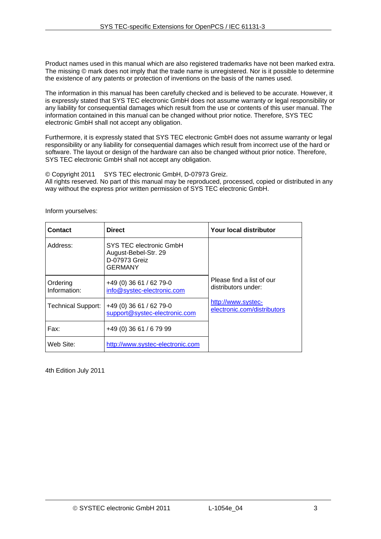Product names used in this manual which are also registered trademarks have not been marked extra. The missing © mark does not imply that the trade name is unregistered. Nor is it possible to determine the existence of any patents or protection of inventions on the basis of the names used.

The information in this manual has been carefully checked and is believed to be accurate. However, it is expressly stated that SYS TEC electronic GmbH does not assume warranty or legal responsibility or any liability for consequential damages which result from the use or contents of this user manual. The information contained in this manual can be changed without prior notice. Therefore, SYS TEC electronic GmbH shall not accept any obligation.

Furthermore, it is expressly stated that SYS TEC electronic GmbH does not assume warranty or legal responsibility or any liability for consequential damages which result from incorrect use of the hard or software. The layout or design of the hardware can also be changed without prior notice. Therefore, SYS TEC electronic GmbH shall not accept any obligation.

© Copyright 2011 SYS TEC electronic GmbH, D-07973 Greiz.

All rights reserved. No part of this manual may be reproduced, processed, copied or distributed in any way without the express prior written permission of SYS TEC electronic GmbH.

| <b>Contact</b>            | <b>Direct</b>                                                                      | Your local distributor                            |
|---------------------------|------------------------------------------------------------------------------------|---------------------------------------------------|
| Address:                  | SYS TEC electronic GmbH<br>August-Bebel-Str. 29<br>D-07973 Greiz<br><b>GERMANY</b> |                                                   |
| Ordering<br>Information:  | $+49(0)3661/6279-0$<br>info@systec-electronic.com                                  | Please find a list of our<br>distributors under:  |
| <b>Technical Support:</b> | $+49(0)3661/6279-0$<br>support@systec-electronic.com                               | http://www.systec-<br>electronic.com/distributors |
| Fax:                      | +49 (0) 36 61 / 6 79 99                                                            |                                                   |
| Web Site:                 | http://www.systec-electronic.com                                                   |                                                   |

Inform yourselves:

4th Edition July 2011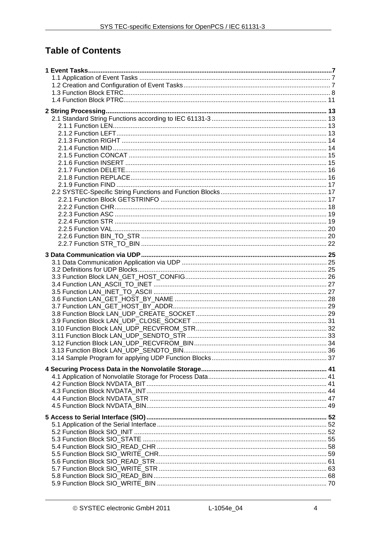# **Table of Contents**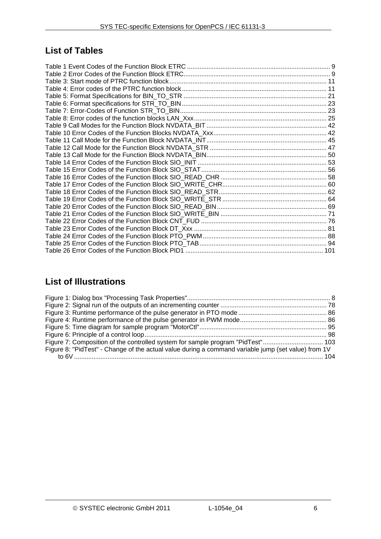# **List of Tables**

# **List of Illustrations**

| Figure 7: Composition of the controlled system for sample program "PidTest" 103                     |  |
|-----------------------------------------------------------------------------------------------------|--|
| Figure 8: "PidTest" - Change of the actual value during a command variable jump (set value) from 1V |  |
|                                                                                                     |  |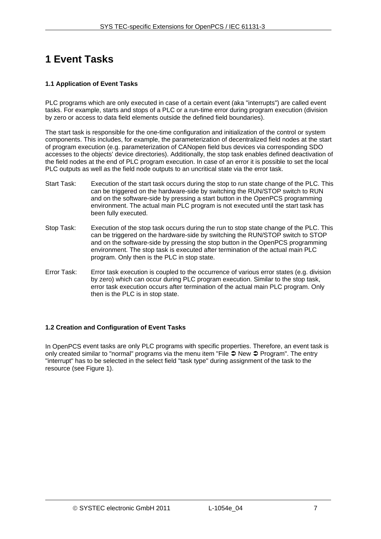# <span id="page-6-0"></span>**1 Event Tasks**

# <span id="page-6-1"></span>**1.1 Application of Event Tasks**

PLC programs which are only executed in case of a certain event (aka "interrupts") are called event tasks. For example, starts and stops of a PLC or a run-time error during program execution (division by zero or access to data field elements outside the defined field boundaries).

The start task is responsible for the one-time configuration and initialization of the control or system components. This includes, for example, the parameterization of decentralized field nodes at the start of program execution (e.g. parameterization of CANopen field bus devices via corresponding SDO accesses to the objects' device directories). Additionally, the stop task enables defined deactivation of the field nodes at the end of PLC program execution. In case of an error it is possible to set the local PLC outputs as well as the field node outputs to an uncritical state via the error task.

- Start Task: Execution of the start task occurs during the stop to run state change of the PLC. This can be triggered on the hardware-side by switching the RUN/STOP switch to RUN and on the software-side by pressing a start button in the OpenPCS programming environment. The actual main PLC program is not executed until the start task has been fully executed.
- Stop Task: Execution of the stop task occurs during the run to stop state change of the PLC. This can be triggered on the hardware-side by switching the RUN/STOP switch to STOP and on the software-side by pressing the stop button in the OpenPCS programming environment. The stop task is executed after termination of the actual main PLC program. Only then is the PLC in stop state.
- Error Task: Error task execution is coupled to the occurrence of various error states (e.g. division by zero) which can occur during PLC program execution. Similar to the stop task, error task execution occurs after termination of the actual main PLC program. Only then is the PLC is in stop state.

# <span id="page-6-2"></span>**1.2 Creation and Configuration of Event Tasks**

In OpenPCS event tasks are only PLC programs with specific properties. Therefore, an event task is only created similar to "normal" programs via the menu item "File  $\supseteq$  New  $\supseteq$  Program". The entry "interrupt" has to be selected in the select field "task type" during assignment of the task to the resource (see Figure 1).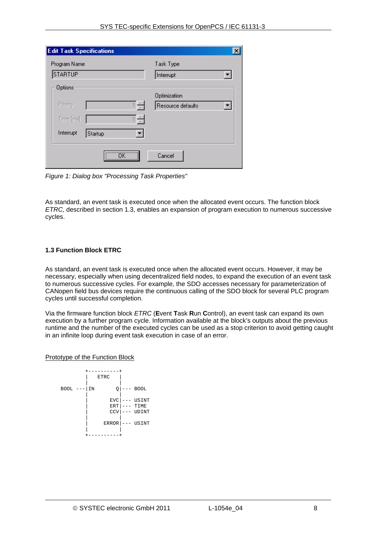| Task Type<br>Interrupt            |
|-----------------------------------|
| Optimization<br>Resource defaults |
|                                   |
| Cancel                            |
|                                   |

<span id="page-7-1"></span>*Figure 1: Dialog box "Processing Task Properties"*

As standard, an event task is executed once when the allocated event occurs. The function block *ETRC,* described in section [1.3,](#page-7-0) enables an expansion of program execution to numerous successive cycles.

# <span id="page-7-0"></span>**1.3 Function Block ETRC**

As standard, an event task is executed once when the allocated event occurs. However, it may be necessary, especially when using decentralized field nodes, to expand the execution of an event task to numerous successive cycles. For example, the SDO accesses necessary for parameterization of CANopen field bus devices require the continuous calling of the SDO block for several PLC program cycles until successful completion.

Via the firmware function block *ETRC* (**E**vent **T**ask **R**un **C**ontrol), an event task can expand its own execution by a further program cycle. Information available at the block's outputs about the previous runtime and the number of the executed cycles can be used as a stop criterion to avoid getting caught in an infinite loop during event task execution in case of an error.

# Prototype of the Function Block

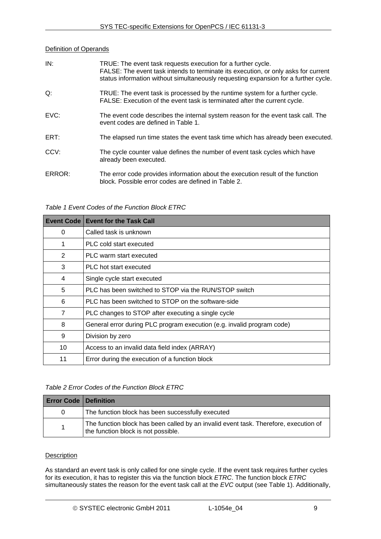# **Definition of Operands**

| IN:    | TRUE: The event task requests execution for a further cycle.<br>FALSE: The event task intends to terminate its execution, or only asks for current<br>status information without simultaneously requesting expansion for a further cycle. |
|--------|-------------------------------------------------------------------------------------------------------------------------------------------------------------------------------------------------------------------------------------------|
| Q:     | TRUE: The event task is processed by the runtime system for a further cycle.<br>FALSE: Execution of the event task is terminated after the current cycle.                                                                                 |
| EVC:   | The event code describes the internal system reason for the event task call. The<br>event codes are defined in Table 1.                                                                                                                   |
| ERT:   | The elapsed run time states the event task time which has already been executed.                                                                                                                                                          |
| CCV:   | The cycle counter value defines the number of event task cycles which have<br>already been executed.                                                                                                                                      |
| ERROR: | The error code provides information about the execution result of the function<br>block. Possible error codes are defined in Table 2.                                                                                                     |

*Table 1 Event Codes of the Function Block ETRC* 

<span id="page-8-0"></span>

| Event Code     | <b>Event for the Task Call</b>                                         |
|----------------|------------------------------------------------------------------------|
| 0              | Called task is unknown                                                 |
| 1              | PLC cold start executed                                                |
| 2              | PLC warm start executed                                                |
| 3              | PLC hot start executed                                                 |
| 4              | Single cycle start executed                                            |
| 5              | PLC has been switched to STOP via the RUN/STOP switch                  |
| 6              | PLC has been switched to STOP on the software-side                     |
| $\overline{7}$ | PLC changes to STOP after executing a single cycle                     |
| 8              | General error during PLC program execution (e.g. invalid program code) |
| 9              | Division by zero                                                       |
| 10             | Access to an invalid data field index (ARRAY)                          |
| 11             | Error during the execution of a function block                         |

*Table 2 Error Codes of the Function Block ETRC* 

<span id="page-8-1"></span>

| <b>Error Code   Definition</b> |                                                                                                                             |
|--------------------------------|-----------------------------------------------------------------------------------------------------------------------------|
| 0                              | The function block has been successfully executed                                                                           |
|                                | The function block has been called by an invalid event task. Therefore, execution of<br>the function block is not possible. |

# **Description**

As standard an event task is only called for one single cycle. If the event task requires further cycles for its execution, it has to register this via the function block *ETRC*. The function block *ETRC* simultaneously states the reason for the event task call at the *EVC* output (see [Table 1\)](#page-8-0). Additionally,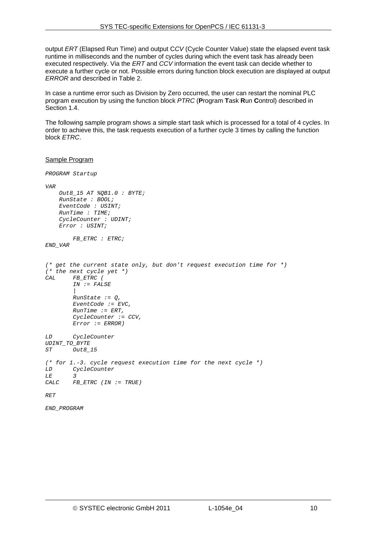output *ERT* (Elapsed Run Time) and output C*CV* (Cycle Counter Value) state the elapsed event task runtime in milliseconds and the number of cycles during which the event task has already been executed respectively. Via the *ERT* and *CCV* information the event task can decide whether to execute a further cycle or not. Possible errors during function block execution are displayed at output *ERROR* and described in [Table 2](#page-8-1).

In case a runtime error such as Division by Zero occurred, the user can restart the nominal PLC program execution by using the function block *PTRC* (**P**rogram **T**ask **R**un **C**ontrol) described in Section [1.4.](#page-10-0)

The following sample program shows a simple start task which is processed for a total of 4 cycles. In order to achieve this, the task requests execution of a further cycle 3 times by calling the function block *ETRC*.

```
Sample Program
```

```
PROGRAM Startup 
VAR 
     Out8_15 AT %QB1.0 : BYTE; 
     RunState : BOOL; 
     EventCode : USINT; 
     RunTime : TIME; 
     CycleCounter : UDINT; 
     Error : USINT; 
         FB_ETRC : ETRC; 
END_VAR 
(* get the current state only, but don't request execution time for *) 
(* the next cycle yet *) 
CAL FB_ETRC ( 
         IN := FALSE 
 | 
         RunState := Q, 
         EventCode := EVC, 
         RunTime := ERT, 
         CycleCounter := CCV, 
         Error := ERROR) 
LD CycleCounter 
UDINT_TO_BYTE 
ST Out8_15 
(* for 1.-3. cycle request execution time for the next cycle *) 
LD CycleCounter 
LE<br>CALC
        CALC FB_ETRC (IN := TRUE) 
RET
```
*END\_PROGRAM*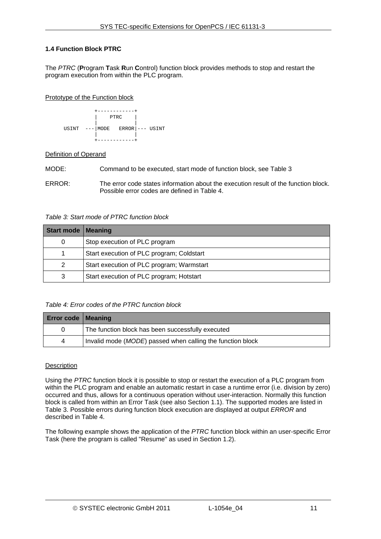# <span id="page-10-0"></span>**1.4 Function Block PTRC**

The *PTRC* (**P**rogram **T**ask **R**un **C**ontrol) function block provides methods to stop and restart the program execution from within the PLC program.

# Prototype of the Function block



# Definition of Operand

MODE: Command to be executed, start mode of function block, see [Table 3](#page-10-1)

ERROR: The error code states information about the execution result of the function block. Possible error codes are defined in [Table 4.](#page-10-2)

# *Table 3: Start mode of PTRC function block*

<span id="page-10-1"></span>

| Start mode   Meaning |                                           |
|----------------------|-------------------------------------------|
| 0                    | Stop execution of PLC program             |
|                      | Start execution of PLC program; Coldstart |
| 2                    | Start execution of PLC program; Warmstart |
| 3                    | Start execution of PLC program; Hotstart  |

# *Table 4: Error codes of the PTRC function block*

<span id="page-10-2"></span>

| <b>Error code   Meaning</b> |                                                            |
|-----------------------------|------------------------------------------------------------|
| $\Omega$                    | The function block has been successfully executed          |
| 4                           | Invalid mode (MODE) passed when calling the function block |

# **Description**

Using the *PTRC* function block it is possible to stop or restart the execution of a PLC program from within the PLC program and enable an automatic restart in case a runtime error (i.e. division by zero) occurred and thus, allows for a continuous operation without user-interaction. Normally this function block is called from within an Error Task (see also Section [1.1\)](#page-6-1). The supported modes are listed in [Table 3](#page-10-1). Possible errors during function block execution are displayed at output *ERROR* and described in [Table 4.](#page-10-2)

The following example shows the application of the *PTRC* function block within an user-specific Error Task (here the program is called "Resume" as used in Section [1.2\)](#page-6-2).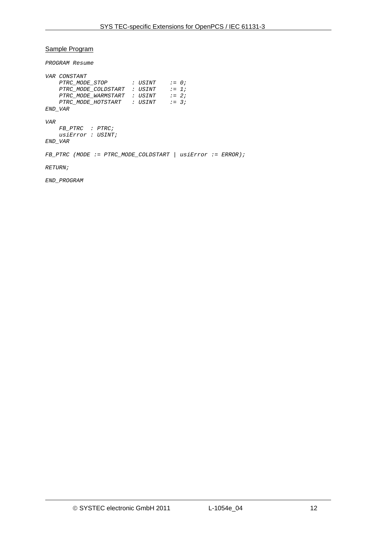# Sample Program

*PROGRAM Resume* 

|                 | VAR CONSTANT                                                           |  |  |  |
|-----------------|------------------------------------------------------------------------|--|--|--|
|                 | PTRC MODE STOP : USINT := 0;                                           |  |  |  |
|                 | PTRC MODE COLDSTART : USINT $:= 1;$                                    |  |  |  |
|                 | PTRC_MODE_WARMSTART : USINT := 2;                                      |  |  |  |
|                 | PTRC MODE HOTSTART : USINT := 3;                                       |  |  |  |
| END VAR         |                                                                        |  |  |  |
| VAR             |                                                                        |  |  |  |
|                 | FB PTRC : PTRC;                                                        |  |  |  |
|                 | usiError : USINT;                                                      |  |  |  |
| END VAR         |                                                                        |  |  |  |
|                 | $FB\_PTRC$ (MODE := $PTRC\_MODE\_COLDSTART$   $usiError$ := $ERROR$ ); |  |  |  |
| <i>RETURN ;</i> |                                                                        |  |  |  |
|                 | $H$ וגמממת חזוה                                                        |  |  |  |

*END\_PROGRAM*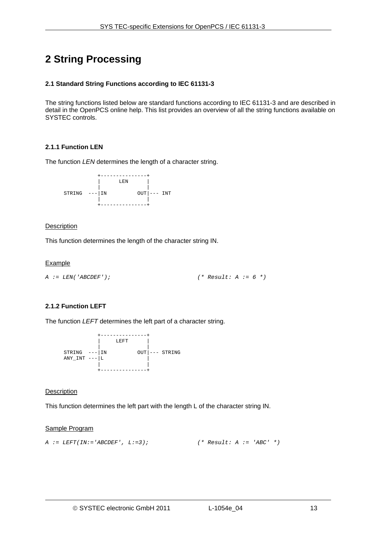# <span id="page-12-0"></span>**2 String Processing**

# <span id="page-12-1"></span>**2.1 Standard String Functions according to IEC 61131-3**

The string functions listed below are standard functions according to IEC 61131-3 and are described in detail in the OpenPCS online help. This list provides an overview of all the string functions available on SYSTEC controls.

# <span id="page-12-2"></span>**2.1.1 Function LEN**

The function *LEN* determines the length of a character string.



# **Description**

This function determines the length of the character string IN.

# **Example**

*A := LEN('ABCDEF'); (\* Result: A := 6 \*)* 

# <span id="page-12-3"></span>**2.1.2 Function LEFT**

The function *LEFT* determines the left part of a character string.



# **Description**

This function determines the left part with the length L of the character string IN.

```
A := LEFT(IN:='ABCDEF', L:=3); (* Result: A := 'ABC' *)
```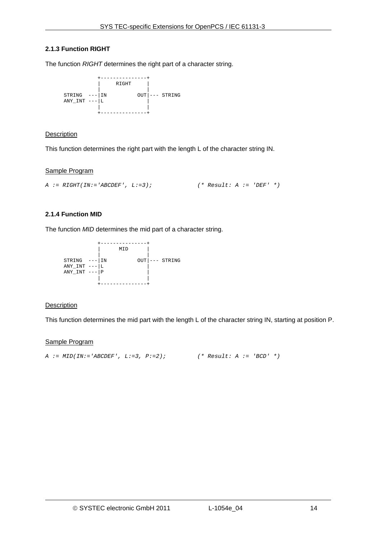# <span id="page-13-0"></span>**2.1.3 Function RIGHT**

The function *RIGHT* determines the right part of a character string.



# **Description**

This function determines the right part with the length L of the character string IN.

#### Sample Program

```
A := RIGHT(IN:='ABCDEF', L:=3); (* Result: A := 'DEF' *)
```
# <span id="page-13-1"></span>**2.1.4 Function MID**

The function *MID* determines the mid part of a character string.

 +---------------+ | MID | | |  $STRING$  ---  $IN$  OUT --- STRING  $\text{ANY\_INT}$  --- | L  $\text{ANY\_INT}$  ---  $\text{P}$  | | +---------------+

# **Description**

This function determines the mid part with the length L of the character string IN, starting at position P.

```
A := MID(IN:='ABCDEF', L:=3, P:=2); (* Result: A := 'BCD' *)
```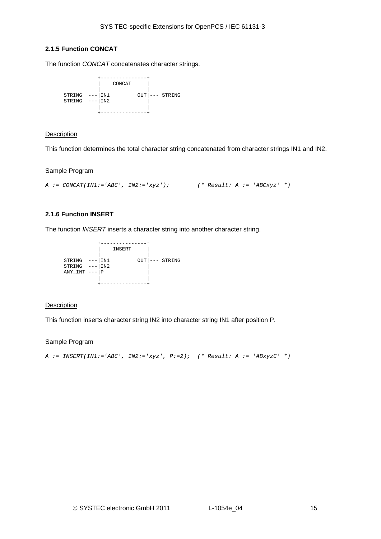# <span id="page-14-0"></span>**2.1.5 Function CONCAT**

The function *CONCAT* concatenates character strings.



# **Description**

This function determines the total character string concatenated from character strings IN1 and IN2.

#### Sample Program

```
A := CONCAT(IN1:='ABC', IN2:='xyz'); (* Result: A := 'ABCxyz' *)
```
# <span id="page-14-1"></span>**2.1.6 Function INSERT**

The function *INSERT* inserts a character string into another character string.

 +---------------+ | INSERT | | |  $STRING$  ---  $\vert$  IN1  $OUT \vert$  --- STRING  $STRING$  ---  $|IN2$  |  $\text{ANY\_INT}$  ---  $\text{P}$  | | +---------------+

# **Description**

This function inserts character string IN2 into character string IN1 after position P.

```
A := INSERT(IN1:='ABC', IN2:='xyz', P:=2); (* Result: A := 'ABxyzC' *)
```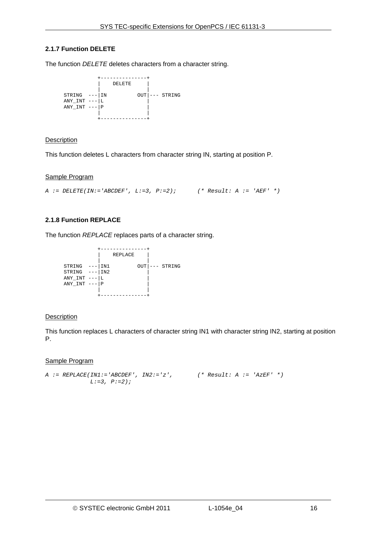# <span id="page-15-0"></span>**2.1.7 Function DELETE**

The function *DELETE* deletes characters from a character string.



# **Description**

This function deletes L characters from character string IN, starting at position P.

#### Sample Program

```
A := DELETE(IN:='ABCDEF', L:=3, P:=2); (* Result: A := 'AEF' *)
```
# <span id="page-15-1"></span>**2.1.8 Function REPLACE**

The function *REPLACE* replaces parts of a character string.

 +---------------+ | REPLACE | | | STRING ---|IN1 OUT|--- STRING  $STRING$   $-- IN2$   $|$  $ANY\_INT$  --- $L$  $ANY$ <sub>INT</sub>  $-- P$  | | +---------------+

# **Description**

This function replaces L characters of character string IN1 with character string IN2, starting at position P.

```
A := REPLACE(IN1:='ABCDEF', IN2:='z', (* Result: A := 'AzEF' *) 
            L:=3, P:=2);
```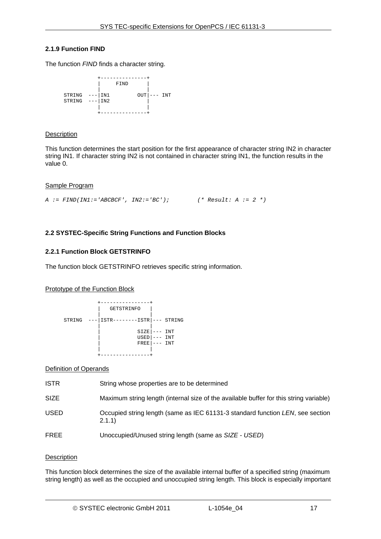# <span id="page-16-0"></span>**2.1.9 Function FIND**

The function *FIND* finds a character string.



# **Description**

This function determines the start position for the first appearance of character string IN2 in character string IN1. If character string IN2 is not contained in character string IN1, the function results in the value 0.

# Sample Program

```
A := FIND(IN1:='ABCBCF', IN2:='BC'); (* Result: A := 2 *)
```
# <span id="page-16-1"></span>**2.2 SYSTEC-Specific String Functions and Function Blocks**

# <span id="page-16-2"></span>**2.2.1 Function Block GETSTRINFO**

The function block GETSTRINFO retrieves specific string information.

# Prototype of the Function Block



# Definition of Operands

| <b>ISTR</b> | String whose properties are to be determined                                             |
|-------------|------------------------------------------------------------------------------------------|
| <b>SIZE</b> | Maximum string length (internal size of the available buffer for this string variable)   |
| <b>USED</b> | Occupied string length (same as IEC 61131-3 standard function LEN, see section<br>2.1.1) |
| <b>FREE</b> | Unoccupied/Unused string length (same as SIZE - USED)                                    |
|             |                                                                                          |

# **Description**

This function block determines the size of the available internal buffer of a specified string (maximum string length) as well as the occupied and unoccupied string length. This block is especially important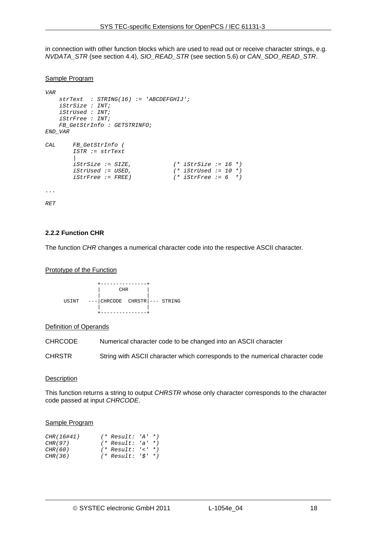in connection with other function blocks which are used to read out or receive character strings, e.g. *NVDATA\_STR* (see section [4.4](#page-46-0)), *SIO\_READ\_STR* (see section [5.6\)](#page-60-0) or *CAN\_SDO\_READ\_STR*.

#### Sample Program

```
VAR 
     strText : STRING(16) := 'ABCDEFGHIJ'; 
     iStrSize : INT; 
     iStrUsed : INT; 
     iStrFree : INT; 
     FB_GetStrInfo : GETSTRINFO; 
END_VAR 
CAL FB_GetStrInfo ( 
         ISTR := strText 
 | 
         iStrSize := SIZE, (* iStrSize := 16 *) 
         iStrUsed := USED, (* iStrUsed := 10 *) 
                                      iStrFree := FREE) (* iStrFree := 6 *) 
... 
RET
```
#### <span id="page-17-0"></span>**2.2.2 Function CHR**

The function *CHR* changes a numerical character code into the respective ASCII character.

#### Prototype of the Function



#### Definition of Operands

CHRCODE Numerical character code to be changed into an ASCII character

CHRSTR String with ASCII character which corresponds to the numerical character code

#### **Description**

This function returns a string to output *CHRSTR* whose only character corresponds to the character code passed at input *CHRCODE*.

| CHR(16#41) | $(*$ Result: 'A' *)       |  |
|------------|---------------------------|--|
| CHR(97)    | $(*$ Result: 'a' *)       |  |
| CHR(60)    | $(*$ Result: $'(-*)$      |  |
| CHR(36)    | $(*$ Result: ' $\$'$ ' *) |  |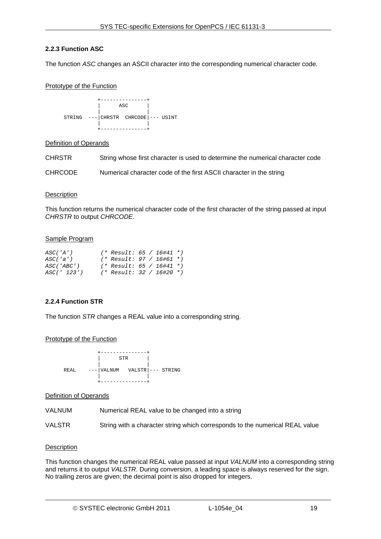# <span id="page-18-0"></span>**2.2.3 Function ASC**

The function *ASC* changes an ASCII character into the corresponding numerical character code.

# Prototype of the Function



#### Definition of Operands

CHRSTR String whose first character is used to determine the numerical character code

```
CHRCODE Numerical character code of the first ASCII character in the string
```
#### **Description**

This function returns the numerical character code of the first character of the string passed at input *CHRSTR* to output *CHRCODE*.

#### Sample Program

| ASC('A')    | $(*$ Result: 65 / 16#41 *) |  |  |
|-------------|----------------------------|--|--|
| ASC('a')    | $(*$ Result: 97 / 16#61 *) |  |  |
| ASC('ABC')  | $(*$ Result: 65 / 16#41 *) |  |  |
| ASC(' 123') | $(*$ Result: 32 / 16#20 *) |  |  |

# <span id="page-18-1"></span>**2.2.4 Function STR**

The function *STR* changes a REAL value into a corresponding string.

Prototype of the Function

 +---------------+ | STR | | | REAL ---|VALNUM VALSTR|--- STRING | | +---------------+

#### Definition of Operands

VALNUM Numerical REAL value to be changed into a string

VALSTR String with a character string which corresponds to the numerical REAL value

# **Description**

This function changes the numerical REAL value passed at input *VALNUM* into a corresponding string and returns it to output *VALSTR*. During conversion, a leading space is always reserved for the sign. No trailing zeros are given; the decimal point is also dropped for integers.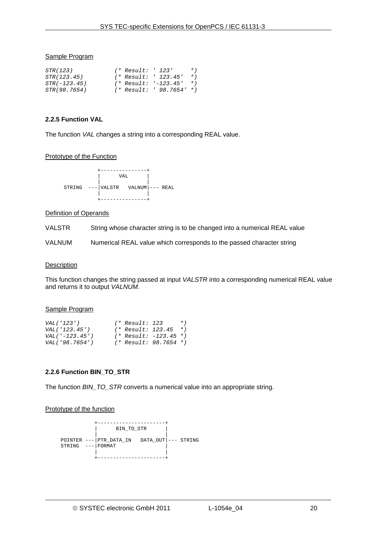#### Sample Program

| <i>STR(123)</i>     | (* Result: ' 123'    |                          | $*$ ) |
|---------------------|----------------------|--------------------------|-------|
| STR(123.45)         | (* Result: ' 123.45' |                          | $*$ ) |
| $STR(-123.45)$      |                      | (* Result: '-123.45' *)  |       |
| <i>STR(98.7654)</i> |                      | (* Result: ' 98.7654' *) |       |

#### <span id="page-19-1"></span>**2.2.5 Function VAL**

The function *VAL* changes a string into a corresponding REAL value.

#### Prototype of the Function



# Definition of Operands

VALSTR String whose character string is to be changed into a numerical REAL value

VALNUM Numerical REAL value which corresponds to the passed character string

#### **Description**

This function changes the string passed at input *VALSTR* into a corresponding numerical REAL value and returns it to output *VALNUM*.

#### Sample Program

| VAL('123')        | (* Result: 123    |                           | $*$ )     |
|-------------------|-------------------|---------------------------|-----------|
| VAL('123.45')     | (* Result: 123.45 |                           | $\star$ ) |
| $VAL(' -123.45')$ |                   | $(*$ Result: $-123.45$ *) |           |
| VAL('98.7654')    |                   | (* Result: 98.7654 *)     |           |

# <span id="page-19-0"></span>**2.2.6 Function BIN\_TO\_STR**

The function *BIN\_TO\_STR* converts a numerical value into an appropriate string.

# Prototype of the function

```
 +----------------------+ 
           | BIN_TO_STR | 
 | | 
 POINTER ---|PTR_DATA_IN DATA_OUT|--- STRING 
  STRING --- FORMAT | | 
           +----------------------+
```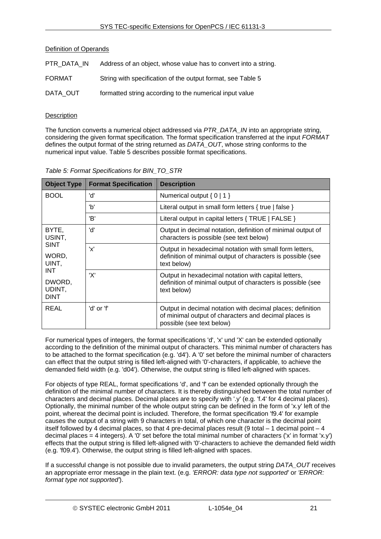# Definition of Operands

| PTR DATA IN | Address of an object, whose value has to convert into a string. |
|-------------|-----------------------------------------------------------------|
| FORMAT      | String with specification of the output format, see Table 5     |
| DATA OUT    | formatted string according to the numerical input value         |

# **Description**

The function converts a numerical object addressed via *PTR\_DATA\_IN* into an appropriate string, considering the given format specification. The format specification transferred at the input *FORMAT* defines the output format of the string returned as *DATA\_OUT*, whose string conforms to the numerical input value. [Table 5](#page-20-0) describes possible format specifications.

<span id="page-20-0"></span>

| <b>Object Type</b>                            | <b>Format Specification</b> | <b>Description</b>                                                                                                                               |
|-----------------------------------------------|-----------------------------|--------------------------------------------------------------------------------------------------------------------------------------------------|
| <b>BOOL</b>                                   | 'd'                         | Numerical output $\{0   1\}$                                                                                                                     |
|                                               | 'b'                         | Literal output in small form letters { true   false }                                                                                            |
|                                               | 'B'                         | Literal output in capital letters { TRUE   FALSE }                                                                                               |
| BYTE,<br>USINT,                               | 'd'                         | Output in decimal notation, definition of minimal output of<br>characters is possible (see text below)                                           |
| <b>SINT</b><br>WORD,<br>UINT,                 | 'x'                         | Output in hexadecimal notation with small form letters,<br>definition of minimal output of characters is possible (see<br>text below)            |
| <b>INT</b><br>DWORD,<br>UDINT,<br><b>DINT</b> | 'X'                         | Output in hexadecimal notation with capital letters,<br>definition of minimal output of characters is possible (see<br>text below)               |
| REAL                                          | 'd' or 'f'                  | Output in decimal notation with decimal places; definition<br>of minimal output of characters and decimal places is<br>possible (see text below) |

|  | Table 5: Format Specifications for BIN_TO_STR |  |  |
|--|-----------------------------------------------|--|--|
|  |                                               |  |  |

For numerical types of integers, the format specifications 'd', 'x' und 'X' can be extended optionally according to the definition of the minimal output of characters. This minimal number of characters has to be attached to the format specification (e.g. 'd4'). A '0' set before the minimal number of characters can effect that the output string is filled left-aligned with '0'-characters, if applicable, to achieve the demanded field width (e.g. 'd04'). Otherwise, the output string is filled left-aligned with spaces.

For objects of type REAL, format specifications 'd', and 'f' can be extended optionally through the definition of the minimal number of characters. It is thereby distinguished between the total number of characters and decimal places. Decimal places are to specify with '.y' (e.g. 'f.4' for 4 decimal places). Optionally, the minimal number of the whole output string can be defined in the form of 'x.y' left of the point, whereat the decimal point is included. Therefore, the format specification 'f9.4' for example causes the output of a string with 9 characters in total, of which one character is the decimal point itself followed by 4 decimal places, so that 4 pre-decimal places result (9 total – 1 decimal point – 4 decimal places = 4 integers). A '0' set before the total minimal number of characters ('x' in format 'x.y') effects that the output string is filled left-aligned with '0'-characters to achieve the demanded field width (e.g. 'f09.4'). Otherwise, the output string is filled left-aligned with spaces.

If a successful change is not possible due to invalid parameters, the output string *DATA\_OUT* receives an appropriate error message in the plain text. (e.g. *'ERROR: data type not supported'* or *'ERROR: format type not supported'*).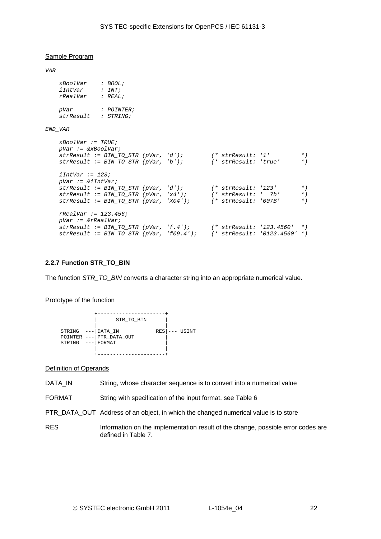#### Sample Program

*VAR* 

| xBoolVar  | : BOOL;           |
|-----------|-------------------|
| iIntVar   | :INT:             |
| rRealVar  | : REAL:           |
| pVar      | <i>: POINTER;</i> |
| strResult | : STRING;         |

#### *END\_VAR*

```
 xBoolVar := TRUE; 
    pVar := &xBoolVar; 
    strResult := BIN_TO_STR (pVar, 'd'); (* strResult: '1' *) 
    strResult := BIN_TO_STR (pVar, 'b'); (* strResult: 'true' *) 
    iIntVar := 123; 
    pVar := &iIntVar; 
   strResult := BIN_TO_STR (pVar, 'd'); (* strResult: '123' *)<br>strResult := BIN_TO_STR (pVar, 'x4'); (* strResult: ' 7b' *)
 strResult := BIN_TO_STR (pVar, 'x4'); (* strResult: ' 7b' *) 
 strResult := BIN_TO_STR (pVar, 'X04'); (* strResult: '007B' *) 
    rRealVar := 123.456; 
    pVar := &rRealVar; 
    strResult := BIN_TO_STR (pVar, 'f.4'); (* strResult: '123.4560' *) 
   strResult := BIN_TO_STR (pVar, 'f09.4');
```
#### <span id="page-21-0"></span>**2.2.7 Function STR\_TO\_BIN**

The function *STR\_TO\_BIN* converts a character string into an appropriate numerical value.

#### Prototype of the function



#### Definition of Operands

- DATA\_IN String, whose character sequence is to convert into a numerical value
- FORMAT String with specification of the input format, see [Table 6](#page-22-0)
- PTR\_DATA\_OUT\_Address of an object, in which the changed numerical value is to store
- RES Information on the implementation result of the change, possible error codes are defined in [Table 7.](#page-22-1)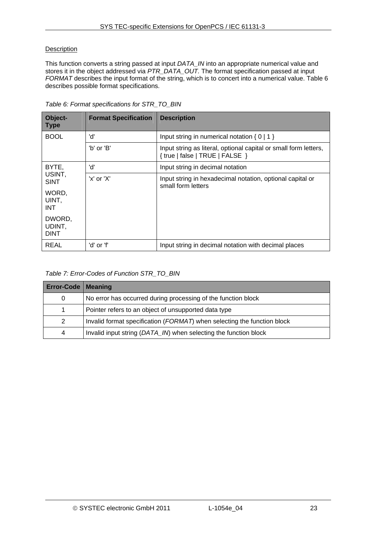# **Description**

This function converts a string passed at input *DATA\_IN* into an appropriate numerical value and stores it in the object addressed via *PTR\_DATA\_OUT.* The format specification passed at input *FORMAT* describes the input format of the string, which is to concert into a numerical value. Table 6 describes possible format specifications.

<span id="page-22-0"></span>

| Object-<br><b>Type</b>                                | <b>Format Specification</b> | <b>Description</b>                                                                                  |
|-------------------------------------------------------|-----------------------------|-----------------------------------------------------------------------------------------------------|
| <b>BOOL</b>                                           | 'd'                         | Input string in numerical notation $\{0   1\}$                                                      |
|                                                       | 'b' or 'B'                  | Input string as literal, optional capital or small form letters,<br>{ true   false   TRUE   FALSE } |
| BYTE,                                                 | 'd'                         | Input string in decimal notation                                                                    |
| USINT.<br><b>SINT</b><br>WORD,<br>UINT,<br><b>INT</b> | 'x' or 'X'                  | Input string in hexadecimal notation, optional capital or<br>small form letters                     |
| DWORD,<br>UDINT,<br><b>DINT</b>                       |                             |                                                                                                     |
| REAL                                                  | 'd' or 'f'                  | Input string in decimal notation with decimal places                                                |

*Table 6: Format specifications for STR\_TO\_BIN* 

# *Table 7: Error-Codes of Function STR\_TO\_BIN*

<span id="page-22-1"></span>

| <b>Error-Code   Meaning</b> |                                                                         |  |  |  |
|-----------------------------|-------------------------------------------------------------------------|--|--|--|
| 0                           | No error has occurred during processing of the function block           |  |  |  |
|                             | Pointer refers to an object of unsupported data type                    |  |  |  |
| $\mathcal{P}$               | Invalid format specification (FORMAT) when selecting the function block |  |  |  |
| 4                           | Invalid input string (DATA_IN) when selecting the function block        |  |  |  |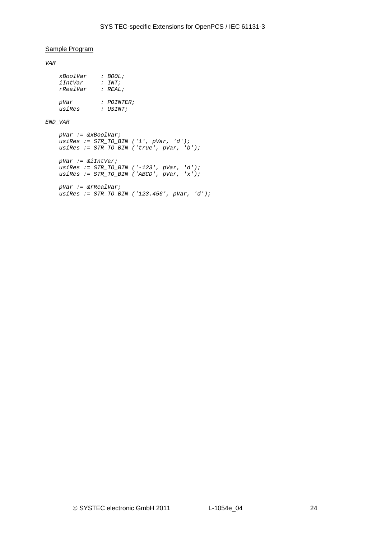#### Sample Program

*VAR* 

| xBoolVar | : BOOL;    |
|----------|------------|
| iIntVar  | :INT;      |
| rRealVar | : REAL:    |
|          |            |
| pVar     | : POINTER; |
| usiRes   | $:$ USINT; |

#### *END\_VAR*

```
 pVar := &xBoolVar; 
 usiRes := STR_TO_BIN ('1', pVar, 'd'); 
 usiRes := STR_TO_BIN ('true', pVar, 'b'); 
 pVar := &iIntVar; 
 usiRes := STR_TO_BIN ('-123', pVar, 'd'); 
 usiRes := STR_TO_BIN ('ABCD', pVar, 'x'); 
 pVar := &rRealVar; 
 usiRes := STR_TO_BIN ('123.456', pVar, 'd');
```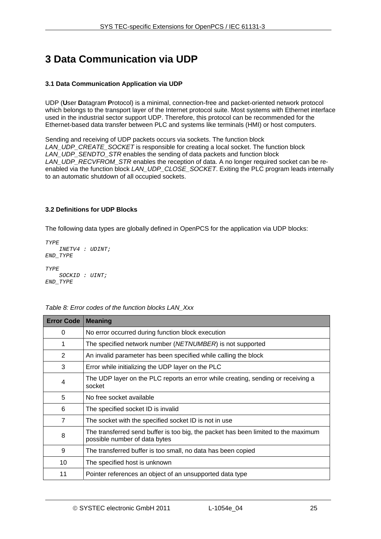# <span id="page-24-0"></span>**3 Data Communication via UDP**

# <span id="page-24-1"></span>**3.1 Data Communication Application via UDP**

UDP (**U**ser **D**atagram **P**rotocol) is a minimal, connection-free and packet-oriented network protocol which belongs to the transport layer of the Internet protocol suite. Most systems with Ethernet interface used in the industrial sector support UDP. Therefore, this protocol can be recommended for the Ethernet-based data transfer between PLC and systems like terminals (HMI) or host computers.

Sending and receiving of UDP packets occurs via sockets. The function block *LAN\_UDP\_CREATE\_SOCKET* is responsible for creating a local socket. The function block *LAN\_UDP\_SENDTO\_STR* enables the sending of data packets and function block *LAN\_UDP\_RECVFROM\_STR* enables the reception of data. A no longer required socket can be reenabled via the function block *LAN\_UDP\_CLOSE\_SOCKET*. Exiting the PLC program leads internally to an automatic shutdown of all occupied sockets.

# <span id="page-24-2"></span>**3.2 Definitions for UDP Blocks**

The following data types are globally defined in OpenPCS for the application via UDP blocks:

```
TYPE 
     INETV4 : UDINT; 
END_TYPE 
TYPE 
    SOCKID : UINT; 
END_TYPE
```
<span id="page-24-3"></span>

| <b>Error Code</b> | <b>Meaning</b>                                                                                                      |
|-------------------|---------------------------------------------------------------------------------------------------------------------|
| 0                 | No error occurred during function block execution                                                                   |
| 1                 | The specified network number (NETNUMBER) is not supported                                                           |
| 2                 | An invalid parameter has been specified while calling the block                                                     |
| 3                 | Error while initializing the UDP layer on the PLC                                                                   |
| 4                 | The UDP layer on the PLC reports an error while creating, sending or receiving a<br>socket                          |
| 5                 | No free socket available                                                                                            |
| 6                 | The specified socket ID is invalid                                                                                  |
| $\overline{7}$    | The socket with the specified socket ID is not in use                                                               |
| 8                 | The transferred send buffer is too big, the packet has been limited to the maximum<br>possible number of data bytes |
| 9                 | The transferred buffer is too small, no data has been copied                                                        |
| 10                | The specified host is unknown                                                                                       |
| 11                | Pointer references an object of an unsupported data type                                                            |

# *Table 8: Error codes of the function blocks LAN\_Xxx*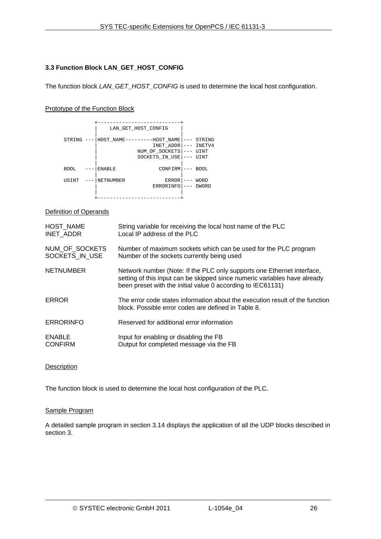# <span id="page-25-0"></span>**3.3 Function Block LAN\_GET\_HOST\_CONFIG**

The function block *LAN\_GET\_HOST\_CONFIG* is used to determine the local host configuration.

# Prototype of the Function Block

|             |               | LAN_GET_HOST_CONFIG                                                          |         |                                  |
|-------------|---------------|------------------------------------------------------------------------------|---------|----------------------------------|
| STRING      |               | HOST NAME---------HOST NAME<br>INET ADDR<br>NUM OF SOCKETS<br>SOCKETS IN USE | $- - -$ | STRING<br>INETV4<br>UINT<br>UINT |
| <b>BOOL</b> | <b>ENABLE</b> | CONFIRM                                                                      |         | <b>BOOL</b>                      |
| USINT       | NETNUMBER     | <b>ERROR</b><br>ERRORINFO                                                    |         | WORD<br><b>DWORD</b>             |
|             |               |                                                                              |         |                                  |

Definition of Operands

| HOST NAME        | String variable for receiving the local host name of the PLC                                                                                                                                                       |
|------------------|--------------------------------------------------------------------------------------------------------------------------------------------------------------------------------------------------------------------|
| INET ADDR        | Local IP address of the PLC                                                                                                                                                                                        |
| NUM_OF_SOCKETS   | Number of maximum sockets which can be used for the PLC program                                                                                                                                                    |
| SOCKETS IN USE   | Number of the sockets currently being used                                                                                                                                                                         |
| <b>NETNUMBER</b> | Network number (Note: If the PLC only supports one Ethernet interface,<br>setting of this input can be skipped since numeric variables have already<br>been preset with the initial value 0 according to IEC61131) |
| ERROR            | The error code states information about the execution result of the function<br>block. Possible error codes are defined in Table 8.                                                                                |
| <b>ERRORINFO</b> | Reserved for additional error information                                                                                                                                                                          |
| <b>ENABLE</b>    | Input for enabling or disabling the FB                                                                                                                                                                             |
| <b>CONFIRM</b>   | Output for completed message via the FB                                                                                                                                                                            |

# **Description**

The function block is used to determine the local host configuration of the PLC.

#### Sample Program

A detailed sample program in section [3.14](#page-36-0) displays the application of all the UDP blocks described in section [3.](#page-24-0)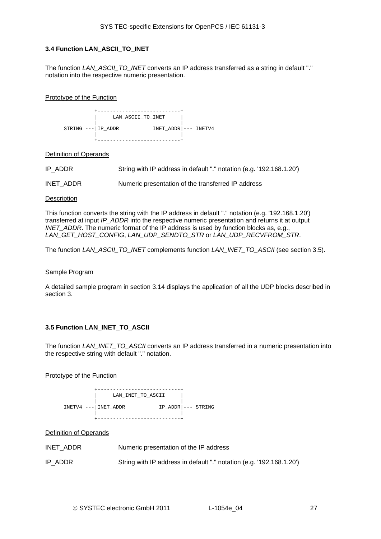# <span id="page-26-0"></span>**3.4 Function LAN\_ASCII\_TO\_INET**

The function *LAN\_ASCII\_TO\_INET* converts an IP address transferred as a string in default "." notation into the respective numeric presentation.

#### Prototype of the Function

 +---------------------------+ LAN ASCII TO INET | | STRING --- | IP\_ADDR INET\_ADDR | --- INETV4 | | +---------------------------+

#### Definition of Operands

IP\_ADDR String with IP address in default "." notation (e.g. '192.168.1.20')

INET\_ADDR Numeric presentation of the transferred IP address

#### **Description**

This function converts the string with the IP address in default "." notation (e.g. '192.168.1.20') transferred at input *IP\_ADDR* into the respective numeric presentation and returns it at output *INET\_ADDR*. The numeric format of the IP address is used by function blocks as, e.g., *LAN\_GET\_HOST\_CONFIG*, *LAN\_UDP\_SENDTO\_STR* or *LAN\_UDP\_RECVFROM\_STR*.

The function *LAN\_ASCII\_TO\_INET* complements function *LAN\_INET\_TO\_ASCII* (see section [3.5\)](#page-26-1).

#### Sample Program

A detailed sample program in section [3.14](#page-36-0) displays the application of all the UDP blocks described in section [3.](#page-24-0)

# <span id="page-26-1"></span>**3.5 Function LAN\_INET\_TO\_ASCII**

The function *LAN\_INET\_TO\_ASCII* converts an IP address transferred in a numeric presentation into the respective string with default "." notation.

# Prototype of the Function



# Definition of Operands

| INET ADDR | Numeric presentation of the IP address                               |
|-----------|----------------------------------------------------------------------|
| IP ADDR   | String with IP address in default "." notation (e.g. '192.168.1.20') |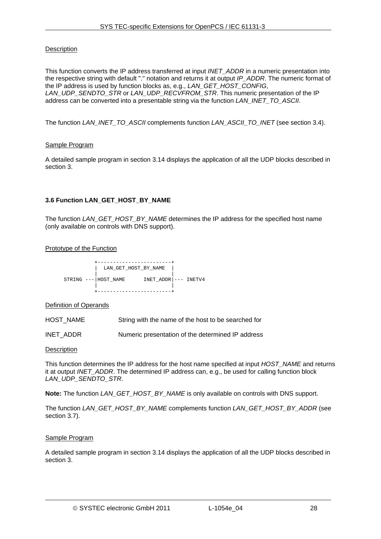# **Description**

This function converts the IP address transferred at input *INET\_ADDR* in a numeric presentation into the respective string with default "." notation and returns it at output *IP\_ADDR*. The numeric format of the IP address is used by function blocks as, e.g., *LAN\_GET\_HOST\_CONFIG*, *LAN\_UDP\_SENDTO\_STR* or *LAN\_UDP\_RECVFROM\_STR*. This numeric presentation of the IP address can be converted into a presentable string via the function *LAN\_INET\_TO\_ASCII*.

The function *LAN\_INET\_TO\_ASCII* complements function *LAN\_ASCII\_TO\_INET* (see section [3.4\)](#page-26-0).

# Sample Program

A detailed sample program in section [3.14](#page-36-0) displays the application of all the UDP blocks described in section [3.](#page-24-0)

# <span id="page-27-0"></span>**3.6 Function LAN\_GET\_HOST\_BY\_NAME**

The function *LAN\_GET\_HOST\_BY\_NAME* determines the IP address for the specified host name (only available on controls with DNS support).

Prototype of the Function

|                      | LAN GET HOST BY NAME     |
|----------------------|--------------------------|
| STRING --- HOST NAME | $INET\_ADDR$ $-- INETV4$ |
|                      |                          |

Definition of Operands

HOST NAME String with the name of the host to be searched for

INET\_ADDR Numeric presentation of the determined IP address

**Description** 

This function determines the IP address for the host name specified at input *HOST\_NAME* and returns it at output *INET* ADDR. The determined IP address can, e.g., be used for calling function block *LAN\_UDP\_SENDTO\_STR*.

**Note:** The function *LAN\_GET\_HOST\_BY\_NAME* is only available on controls with DNS support.

The function *LAN\_GET\_HOST\_BY\_NAME* complements function *LAN\_GET\_HOST\_BY\_ADDR* (see section [3.7](#page-28-0)).

# Sample Program

A detailed sample program in section [3.14](#page-36-0) displays the application of all the UDP blocks described in section [3.](#page-24-0)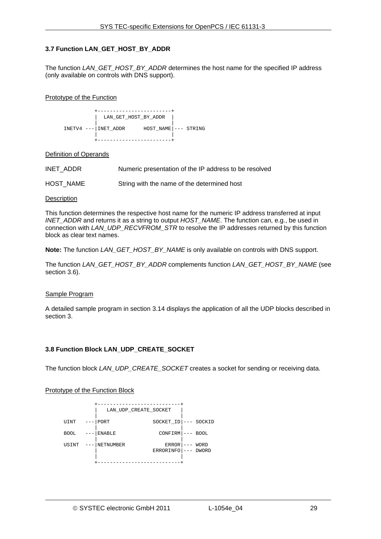# <span id="page-28-0"></span>**3.7 Function LAN\_GET\_HOST\_BY\_ADDR**

The function *LAN\_GET\_HOST\_BY\_ADDR* determines the host name for the specified IP address (only available on controls with DNS support).

#### Prototype of the Function

 +------------------------+  $LAN$  GET HOST BY ADDR | | INETV4 ---|INET\_ADDR HOST\_NAME|--- STRING | | +------------------------+

#### Definition of Operands

| INET ADDR<br>Numeric presentation of the IP address to be resolved |  |
|--------------------------------------------------------------------|--|
|--------------------------------------------------------------------|--|

HOST NAME String with the name of the determined host

#### **Description**

This function determines the respective host name for the numeric IP address transferred at input *INET\_ADDR* and returns it as a string to output *HOST\_NAME*. The function can, e.g., be used in connection with *LAN\_UDP\_RECVFROM\_STR* to resolve the IP addresses returned by this function block as clear text names.

**Note:** The function *LAN\_GET\_HOST\_BY\_NAME* is only available on controls with DNS support.

<span id="page-28-2"></span>The function *LAN\_GET\_HOST\_BY\_ADDR* complements function *LAN\_GET\_HOST\_BY\_NAME* (see section [3.6](#page-27-0)).

#### Sample Program

A detailed sample program in section [3.14](#page-36-0) displays the application of all the UDP blocks described in section [3.](#page-24-0)

# <span id="page-28-1"></span>**3.8 Function Block LAN\_UDP\_CREATE\_SOCKET**

The function block *LAN\_UDP\_CREATE\_SOCKET* creates a socket for sending or receiving data.

# Prototype of the Function Block

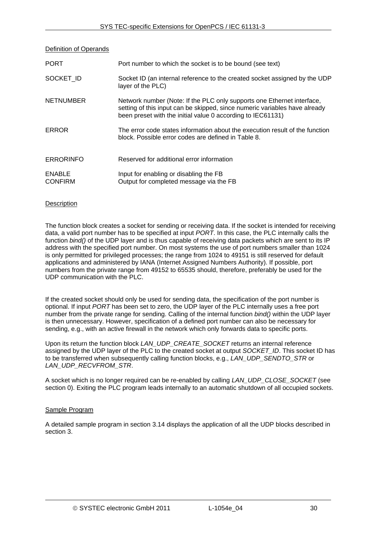Definition of Operands

| <b>PORT</b>                     | Port number to which the socket is to be bound (see text)                                                                                                                                                           |
|---------------------------------|---------------------------------------------------------------------------------------------------------------------------------------------------------------------------------------------------------------------|
| SOCKET ID                       | Socket ID (an internal reference to the created socket assigned by the UDP<br>layer of the PLC)                                                                                                                     |
| <b>NETNUMBER</b>                | Network number (Note: If the PLC only supports one Ethernet interface,<br>setting of this input can be skipped, since numeric variables have already<br>been preset with the initial value 0 according to IEC61131) |
| <b>ERROR</b>                    | The error code states information about the execution result of the function<br>block. Possible error codes are defined in Table 8.                                                                                 |
| <b>ERRORINFO</b>                | Reserved for additional error information                                                                                                                                                                           |
| <b>ENABLE</b><br><b>CONFIRM</b> | Input for enabling or disabling the FB<br>Output for completed message via the FB                                                                                                                                   |

# **Description**

The function block creates a socket for sending or receiving data. If the socket is intended for receiving data, a valid port number has to be specified at input *PORT*. In this case, the PLC internally calls the function *bind()* of the UDP layer and is thus capable of receiving data packets which are sent to its IP address with the specified port number. On most systems the use of port numbers smaller than 1024 is only permitted for privileged processes; the range from 1024 to 49151 is still reserved for default applications and administered by IANA (Internet Assigned Numbers Authority). If possible, port numbers from the private range from 49152 to 65535 should, therefore, preferably be used for the UDP communication with the PLC.

If the created socket should only be used for sending data, the specification of the port number is optional. If input *PORT* has been set to zero, the UDP layer of the PLC internally uses a free port number from the private range for sending. Calling of the internal function *bind()* within the UDP layer is then unnecessary. However, specification of a defined port number can also be necessary for sending, e.g., with an active firewall in the network which only forwards data to specific ports.

Upon its return the function block *LAN\_UDP\_CREATE\_SOCKET* returns an internal reference assigned by the UDP layer of the PLC to the created socket at output *SOCKET\_ID*. This socket ID has to be transferred when subsequently calling function blocks, e.g., *LAN\_UDP\_SENDTO\_STR* or *LAN\_UDP\_RECVFROM\_STR*.

A socket which is no longer required can be re-enabled by calling *LAN\_UDP\_CLOSE\_SOCKET* (see section [0\)](#page-30-1). Exiting the PLC program leads internally to an automatic shutdown of all occupied sockets.

# Sample Program

A detailed sample program in section [3.14](#page-36-0) displays the application of all the UDP blocks described in section [3.](#page-24-0)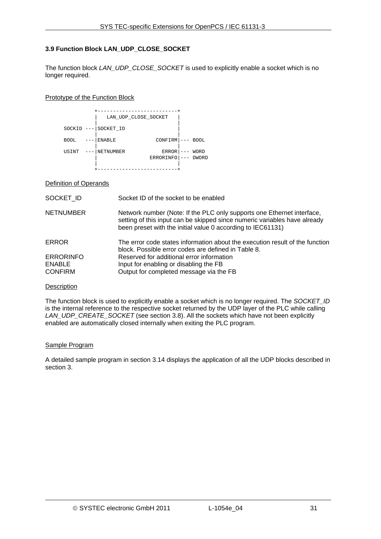# <span id="page-30-0"></span>**3.9 Function Block LAN\_UDP\_CLOSE\_SOCKET**

The function block *LAN\_UDP\_CLOSE\_SOCKET* is used to explicitly enable a socket which is no longer required.

#### Prototype of the Function Block

|                      | LAN UDP CLOSE SOCKET |                    |                      |
|----------------------|----------------------|--------------------|----------------------|
| $SOCKID$ ---         | SOCKET ID            |                    |                      |
| <b>BOOL</b><br>$---$ | <b>ENABLE</b>        | $CONFIRM$ $---$    | BOOL                 |
| USINT                | <b>NETNUMBER</b>     | ERROR<br>ERRORINFO | WORD<br><b>DWORD</b> |
|                      |                      |                    |                      |

#### Definition of Operands

| SOCKET ID                                           | Socket ID of the socket to be enabled                                                                                                                                                                              |
|-----------------------------------------------------|--------------------------------------------------------------------------------------------------------------------------------------------------------------------------------------------------------------------|
| <b>NETNUMBER</b>                                    | Network number (Note: If the PLC only supports one Ethernet interface,<br>setting of this input can be skipped since numeric variables have already<br>been preset with the initial value 0 according to IEC61131) |
| <b>ERROR</b>                                        | The error code states information about the execution result of the function<br>block. Possible error codes are defined in Table 8.                                                                                |
| <b>ERRORINFO</b><br><b>ENABLE</b><br><b>CONFIRM</b> | Reserved for additional error information<br>Input for enabling or disabling the FB<br>Output for completed message via the FB                                                                                     |

# **Description**

The function block is used to explicitly enable a socket which is no longer required. The *SOCKET\_ID* is the internal reference to the respective socket returned by the UDP layer of the PLC while calling *LAN\_UDP\_CREATE\_SOCKET* (see section [3.8](#page-28-1)). All the sockets which have not been explicitly enabled are automatically closed internally when exiting the PLC program.

# Sample Program

<span id="page-30-1"></span>A detailed sample program in section [3.14](#page-36-0) displays the application of all the UDP blocks described in section [3.](#page-24-0)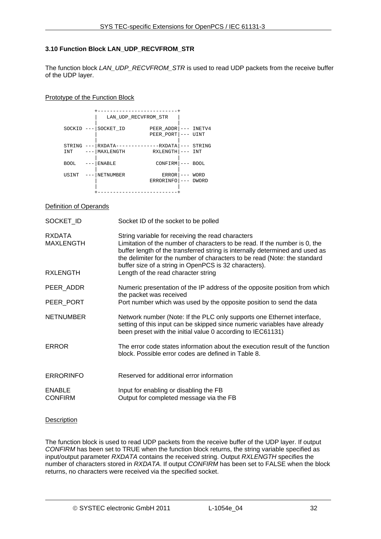# <span id="page-31-0"></span>**3.10 Function Block LAN\_UDP\_RECVFROM\_STR**

The function block *LAN\_UDP\_RECVFROM\_STR* is used to read UDP packets from the receive buffer of the UDP layer.

#### Prototype of the Function Block

|               | LAN UDP RECVFROM STR                    |                                  |                      |
|---------------|-----------------------------------------|----------------------------------|----------------------|
| $SOCKID$ ---  | SOCKET ID                               | PEER ADDR<br>PEER PORT           | INETV4<br>UINT       |
| STRING<br>INT | RXDATA--------------RXDATA<br>MAXLENGTH | RXLENGTH                         | STRING<br>INT        |
| <b>BOOL</b>   | <b>ENABLE</b>                           | CONFIRM                          | <b>BOOL</b>          |
| USINT         | <b>NETNUMBER</b>                        | <b>ERROR</b><br><b>ERRORINFO</b> | WORD<br><b>DWORD</b> |
|               |                                         |                                  |                      |

# Definition of Operands

| SOCKET ID                         | Socket ID of the socket to be polled                                                                                                                                                                                                                                                                                                                  |
|-----------------------------------|-------------------------------------------------------------------------------------------------------------------------------------------------------------------------------------------------------------------------------------------------------------------------------------------------------------------------------------------------------|
| <b>RXDATA</b><br><b>MAXLENGTH</b> | String variable for receiving the read characters<br>Limitation of the number of characters to be read. If the number is 0, the<br>buffer length of the transferred string is internally determined and used as<br>the delimiter for the number of characters to be read (Note: the standard<br>buffer size of a string in OpenPCS is 32 characters). |
| <b>RXLENGTH</b>                   | Length of the read character string                                                                                                                                                                                                                                                                                                                   |
| PEER_ADDR                         | Numeric presentation of the IP address of the opposite position from which<br>the packet was received                                                                                                                                                                                                                                                 |
| PEER_PORT                         | Port number which was used by the opposite position to send the data                                                                                                                                                                                                                                                                                  |
| <b>NETNUMBER</b>                  | Network number (Note: If the PLC only supports one Ethernet interface,<br>setting of this input can be skipped since numeric variables have already<br>been preset with the initial value 0 according to IEC61131)                                                                                                                                    |
| <b>ERROR</b>                      | The error code states information about the execution result of the function<br>block. Possible error codes are defined in Table 8.                                                                                                                                                                                                                   |
| <b>ERRORINFO</b>                  | Reserved for additional error information                                                                                                                                                                                                                                                                                                             |
| <b>ENABLE</b><br><b>CONFIRM</b>   | Input for enabling or disabling the FB<br>Output for completed message via the FB                                                                                                                                                                                                                                                                     |

# **Description**

The function block is used to read UDP packets from the receive buffer of the UDP layer. If output *CONFIRM* has been set to TRUE when the function block returns, the string variable specified as input/output parameter *RXDATA* contains the received string. Output *RXLENGTH* specifies the number of characters stored in *RXDATA*. If output *CONFIRM* has been set to FALSE when the block returns, no characters were received via the specified socket.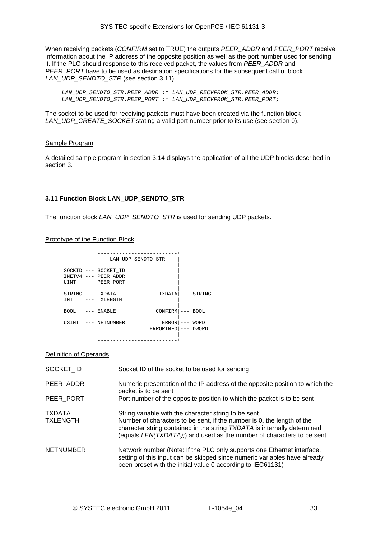When receiving packets (*CONFIRM* set to TRUE) the outputs *PEER\_ADDR* and *PEER\_PORT* receive information about the IP address of the opposite position as well as the port number used for sending it. If the PLC should response to this received packet, the values from *PEER\_ADDR* and *PEER\_PORT* have to be used as destination specifications for the subsequent call of block *LAN\_UDP\_SENDTO\_STR* (see section [3.11\)](#page-32-0):

*LAN\_UDP\_SENDTO\_STR.PEER\_ADDR := LAN\_UDP\_RECVFROM\_STR.PEER\_ADDR; LAN\_UDP\_SENDTO\_STR.PEER\_PORT := LAN\_UDP\_RECVFROM\_STR.PEER\_PORT;* 

The socket to be used for receiving packets must have been created via the function block *LAN\_UDP\_CREATE\_SOCKET* stating a valid port number prior to its use (see section [0\)](#page-28-2).

# Sample Program

A detailed sample program in section [3.14](#page-36-0) displays the application of all the UDP blocks described in section [3.](#page-24-0)

# <span id="page-32-0"></span>**3.11 Function Block LAN\_UDP\_SENDTO\_STR**

The function block *LAN\_UDP\_SENDTO\_STR* is used for sending UDP packets.

#### Prototype of the Function Block

|                                  |                                                                      | LAN UDP SENDTO STR        |                     |                      |
|----------------------------------|----------------------------------------------------------------------|---------------------------|---------------------|----------------------|
|                                  | SOCKID --- SOCKET ID<br>$INETV4$ --- PEER ADDR<br>UINT --- PEER PORT |                           |                     |                      |
| STRING<br>INT                    | $---$ TXLENGTH                                                       | TXDATA-------------TXDATA |                     | STRING               |
| <b>BOOL</b><br>$\qquad \qquad -$ | <b>ENABLE</b>                                                        | $CONFIRM$ $---$           |                     | <b>BOOL</b>          |
| USINT                            | NETNUMBER                                                            | ERROR<br>ERRORINFO        | $\qquad \qquad - -$ | WORD<br><b>DWORD</b> |

#### Definition of Operands

| SOCKET ID                        | Socket ID of the socket to be used for sending                                                                                                                                                                                                                                       |
|----------------------------------|--------------------------------------------------------------------------------------------------------------------------------------------------------------------------------------------------------------------------------------------------------------------------------------|
| PEER ADDR                        | Numeric presentation of the IP address of the opposite position to which the<br>packet is to be sent                                                                                                                                                                                 |
| PEER PORT                        | Port number of the opposite position to which the packet is to be sent                                                                                                                                                                                                               |
| <b>TXDATA</b><br><b>TXLENGTH</b> | String variable with the character string to be sent<br>Number of characters to be sent, if the number is 0, the length of the<br>character string contained in the string TXDATA is internally determined<br>(equals LEN(TXDATA);) and used as the number of characters to be sent. |
| <b>NETNUMBER</b>                 | Network number (Note: If the PLC only supports one Ethernet interface,<br>setting of this input can be skipped since numeric variables have already<br>been preset with the initial value 0 according to IEC61131)                                                                   |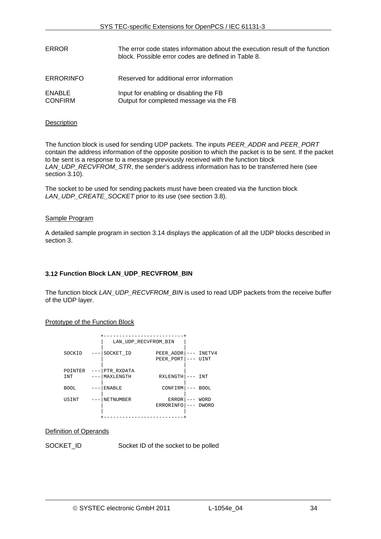| ERROR                    | The error code states information about the execution result of the function<br>block. Possible error codes are defined in Table 8. |
|--------------------------|-------------------------------------------------------------------------------------------------------------------------------------|
| <b>ERRORINFO</b>         | Reserved for additional error information                                                                                           |
| ENABLE<br><b>CONFIRM</b> | Input for enabling or disabling the FB<br>Output for completed message via the FB                                                   |

# **Description**

The function block is used for sending UDP packets. The inputs *PEER\_ADDR* and *PEER\_PORT* contain the address information of the opposite position to which the packet is to be sent. If the packet to be sent is a response to a message previously received with the function block *LAN\_UDP\_RECVFROM\_STR*, the sender's address information has to be transferred here (see section [3.10\)](#page-31-0).

The socket to be used for sending packets must have been created via the function block *LAN\_UDP\_CREATE\_SOCKET* prior to its use (see section [3.8\)](#page-28-1).

#### Sample Program

A detailed sample program in section [3.14](#page-36-0) displays the application of all the UDP blocks described in section [3.](#page-24-0)

# <span id="page-33-0"></span>**3.12 Function Block LAN\_UDP\_RECVFROM\_BIN**

The function block *LAN\_UDP\_RECVFROM\_BIN* is used to read UDP packets from the receive buffer of the UDP layer.

# Prototype of the Function Block

|                | LAN UDP RECVFROM BIN    |                           |                      |
|----------------|-------------------------|---------------------------|----------------------|
| SOCKID         | SOCKET ID               | PEER ADDR<br>PEER PORT    | INETV4<br>UINT       |
| POINTER<br>INT | PTR RXDATA<br>MAXLENGTH | RXLENGTH                  | INT                  |
| <b>BOOL</b>    | <b>ENABLE</b>           | <b>CONFIRM</b>            | <b>BOOL</b>          |
| USINT          | NETNUMBER               | <b>ERROR</b><br>ERRORINFO | WORD<br><b>DWORD</b> |
|                |                         |                           |                      |

#### Definition of Operands

SOCKET\_ID Socket ID of the socket to be polled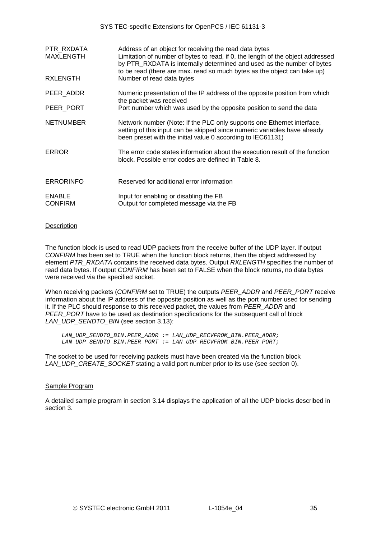| PTR RXDATA<br><b>MAXLENGTH</b>  | Address of an object for receiving the read data bytes<br>Limitation of number of bytes to read, if 0, the length of the object addressed<br>by PTR_RXDATA is internally determined and used as the number of bytes<br>to be read (there are max. read so much bytes as the object can take up) |
|---------------------------------|-------------------------------------------------------------------------------------------------------------------------------------------------------------------------------------------------------------------------------------------------------------------------------------------------|
| <b>RXLENGTH</b>                 | Number of read data bytes                                                                                                                                                                                                                                                                       |
| PEER ADDR                       | Numeric presentation of the IP address of the opposite position from which<br>the packet was received                                                                                                                                                                                           |
| PEER PORT                       | Port number which was used by the opposite position to send the data                                                                                                                                                                                                                            |
| <b>NETNUMBER</b>                | Network number (Note: If the PLC only supports one Ethernet interface,<br>setting of this input can be skipped since numeric variables have already<br>been preset with the initial value 0 according to IEC61131)                                                                              |
| <b>ERROR</b>                    | The error code states information about the execution result of the function<br>block. Possible error codes are defined in Table 8.                                                                                                                                                             |
| <b>ERRORINFO</b>                | Reserved for additional error information                                                                                                                                                                                                                                                       |
| <b>ENABLE</b><br><b>CONFIRM</b> | Input for enabling or disabling the FB<br>Output for completed message via the FB                                                                                                                                                                                                               |

# **Description**

The function block is used to read UDP packets from the receive buffer of the UDP layer. If output *CONFIRM* has been set to TRUE when the function block returns, then the object addressed by element *PTR\_RXDATA* contains the received data bytes. Output *RXLENGTH* specifies the number of read data bytes. If output *CONFIRM* has been set to FALSE when the block returns, no data bytes were received via the specified socket.

When receiving packets (*CONFIRM* set to TRUE) the outputs *PEER\_ADDR* and *PEER\_PORT* receive information about the IP address of the opposite position as well as the port number used for sending it. If the PLC should response to this received packet, the values from *PEER\_ADDR* and *PEER\_PORT* have to be used as destination specifications for the subsequent call of block *LAN\_UDP\_SENDTO\_BIN* (see section [3.13](#page-35-0)):

*LAN\_UDP\_SENDTO\_BIN.PEER\_ADDR := LAN\_UDP\_RECVFROM\_BIN.PEER\_ADDR; LAN\_UDP\_SENDTO\_BIN.PEER\_PORT := LAN\_UDP\_RECVFROM\_BIN.PEER\_PORT;* 

The socket to be used for receiving packets must have been created via the function block *LAN\_UDP\_CREATE\_SOCKET* stating a valid port number prior to its use (see section [0\)](#page-28-2).

# Sample Program

A detailed sample program in section [3.14](#page-36-0) displays the application of all the UDP blocks described in section [3.](#page-24-0)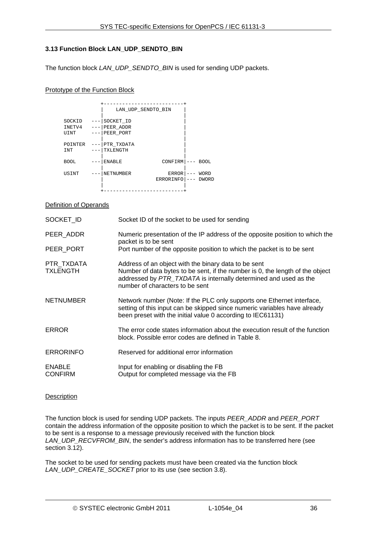# <span id="page-35-0"></span>**3.13 Function Block LAN\_UDP\_SENDTO\_BIN**

The function block *LAN\_UDP\_SENDTO\_BIN* is used for sending UDP packets.

#### Prototype of the Function Block

|                          |       |                                     | LAN UDP SENDTO BIN |                      |
|--------------------------|-------|-------------------------------------|--------------------|----------------------|
| SOCKID<br>INETV4<br>UINT | $---$ | SOCKET ID<br>PEER ADDR<br>PEER PORT |                    |                      |
| POINTER<br>INT           |       | PTR_TXDATA<br>TXLENGTH              |                    |                      |
| <b>BOOL</b>              |       | <b>ENABLE</b>                       | <b>CONFIRM</b>     | <b>BOOL</b>          |
| USINT                    |       | NETNUMBER                           | ERROR<br>ERRORINFO | WORD<br><b>DWORD</b> |
|                          |       |                                     |                    |                      |

#### Definition of Operands

| SOCKET_ID                       | Socket ID of the socket to be used for sending                                                                                                                                                                                               |
|---------------------------------|----------------------------------------------------------------------------------------------------------------------------------------------------------------------------------------------------------------------------------------------|
| PEER ADDR                       | Numeric presentation of the IP address of the opposite position to which the<br>packet is to be sent                                                                                                                                         |
| PEER_PORT                       | Port number of the opposite position to which the packet is to be sent                                                                                                                                                                       |
| PTR TXDATA<br><b>TXLENGTH</b>   | Address of an object with the binary data to be sent<br>Number of data bytes to be sent, if the number is 0, the length of the object<br>addressed by PTR_TXDATA is internally determined and used as the<br>number of characters to be sent |
| <b>NETNUMBER</b>                | Network number (Note: If the PLC only supports one Ethernet interface,<br>setting of this input can be skipped since numeric variables have already<br>been preset with the initial value 0 according to IEC61131)                           |
| <b>ERROR</b>                    | The error code states information about the execution result of the function<br>block. Possible error codes are defined in Table 8.                                                                                                          |
| <b>ERRORINFO</b>                | Reserved for additional error information                                                                                                                                                                                                    |
| <b>ENABLE</b><br><b>CONFIRM</b> | Input for enabling or disabling the FB<br>Output for completed message via the FB                                                                                                                                                            |

#### Description

The function block is used for sending UDP packets. The inputs *PEER\_ADDR* and *PEER\_PORT* contain the address information of the opposite position to which the packet is to be sent. If the packet to be sent is a response to a message previously received with the function block *LAN\_UDP\_RECVFROM\_BIN*, the sender's address information has to be transferred here (see section [3.12\)](#page-33-0).

The socket to be used for sending packets must have been created via the function block *LAN\_UDP\_CREATE\_SOCKET* prior to its use (see section [3.8\)](#page-28-1).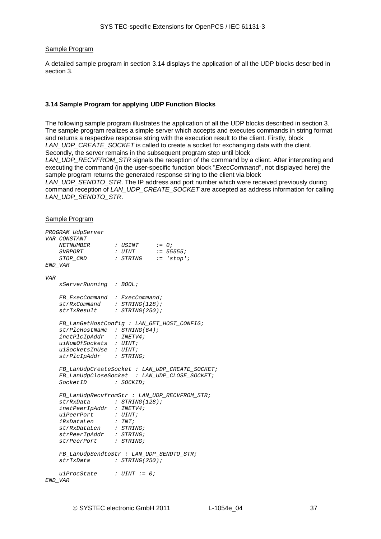#### Sample Program

A detailed sample program in section [3.14](#page-36-0) displays the application of all the UDP blocks described in section [3.](#page-24-0)

#### <span id="page-36-0"></span>**3.14 Sample Program for applying UDP Function Blocks**

The following sample program illustrates the application of all the UDP blocks described in section [3](#page-24-0). The sample program realizes a simple server which accepts and executes commands in string format and returns a respective response string with the execution result to the client. Firstly, block *LAN\_UDP\_CREATE\_SOCKET* is called to create a socket for exchanging data with the client. Secondly, the server remains in the subsequent program step until block

LAN\_UDP\_RECVFROM\_STR signals the reception of the command by a client. After interpreting and executing the command (in the user-specific function block "*ExecCommand*", not displayed here) the sample program returns the generated response string to the client via block

*LAN\_UDP\_SENDTO\_STR*. The IP address and port number which were received previously during command reception of *LAN\_UDP\_CREATE\_SOCKET* are accepted as address information for calling *LAN\_UDP\_SENDTO\_STR*.

#### Sample Program

|            | PROGRAM UdpServer                                                |  |                                   |  |                                                                                                   |  |
|------------|------------------------------------------------------------------|--|-----------------------------------|--|---------------------------------------------------------------------------------------------------|--|
|            | VAR CONSTANT                                                     |  |                                   |  |                                                                                                   |  |
|            | NETNUMBER : USINT := 0;                                          |  |                                   |  |                                                                                                   |  |
|            | SVRPORT                                                          |  | $: \text{UINT} \qquad : = 55555;$ |  |                                                                                                   |  |
|            | STOP_CMD                                                         |  | : STRING := 'stop';               |  |                                                                                                   |  |
|            | END_VAR                                                          |  |                                   |  |                                                                                                   |  |
| <b>VAR</b> |                                                                  |  |                                   |  |                                                                                                   |  |
|            | xServerRunning : BOOL;                                           |  |                                   |  |                                                                                                   |  |
|            | FB_ExecCommand : ExecCommand;                                    |  |                                   |  |                                                                                                   |  |
|            | $strRxCommand$ : $STRING(128)$ ;                                 |  |                                   |  |                                                                                                   |  |
|            | strTxResult : STRING(250);                                       |  |                                   |  |                                                                                                   |  |
|            | FB_LanGetHostConfig : LAN_GET_HOST_CONFIG;                       |  |                                   |  |                                                                                                   |  |
|            | strip1cHostName : STRING(64);                                    |  |                                   |  |                                                                                                   |  |
|            | $inetPlcIpAddr$ : INETV4;                                        |  |                                   |  |                                                                                                   |  |
|            | uiNumOfSockets : UINT;                                           |  |                                   |  |                                                                                                   |  |
|            | uiSocketsInUse : UINT;                                           |  |                                   |  |                                                                                                   |  |
|            | strPlcIpAddr : STRING;                                           |  |                                   |  |                                                                                                   |  |
|            |                                                                  |  |                                   |  | ${\small \texttt{FB\_LanUdpCreateSocket}\ \colon\ \texttt{LAN\_UDP\_CREATE\_SOCKET}\ \texttt{?}}$ |  |
|            | FB_LanUdpCloseSocket : LAN_UDP_CLOSE_SOCKET;                     |  |                                   |  |                                                                                                   |  |
|            | SocketID : SOCKID;                                               |  |                                   |  |                                                                                                   |  |
|            | FB_LanUdpRecvfromStr : LAN_UDP_RECVFROM_STR;                     |  |                                   |  |                                                                                                   |  |
|            | $strRxData$ : $STRING(128)$ ;                                    |  |                                   |  |                                                                                                   |  |
|            | $\texttt{intPerI} \texttt{p} \texttt{addr}$ : $\texttt{INETV4};$ |  |                                   |  |                                                                                                   |  |
|            | $u \text{ iPeerPort}$ : $U \text{INT};$                          |  |                                   |  |                                                                                                   |  |
|            | <i>iRxDataLen : INT;</i>                                         |  |                                   |  |                                                                                                   |  |
|            | strRxDataLen : STRING;                                           |  |                                   |  |                                                                                                   |  |
|            | strPeerIpAddr : STRING;                                          |  |                                   |  |                                                                                                   |  |
|            | strPeerPort : STRING;                                            |  |                                   |  |                                                                                                   |  |
|            | FB_LanUdpSendtoStr : LAN_UDP_SENDTO_STR;                         |  |                                   |  |                                                                                                   |  |
|            | strTxData : STRING(250);                                         |  |                                   |  |                                                                                                   |  |
|            | $uiProcessate$ : $UINT$ := 0;                                    |  |                                   |  |                                                                                                   |  |
|            | END VAR                                                          |  |                                   |  |                                                                                                   |  |
|            |                                                                  |  |                                   |  |                                                                                                   |  |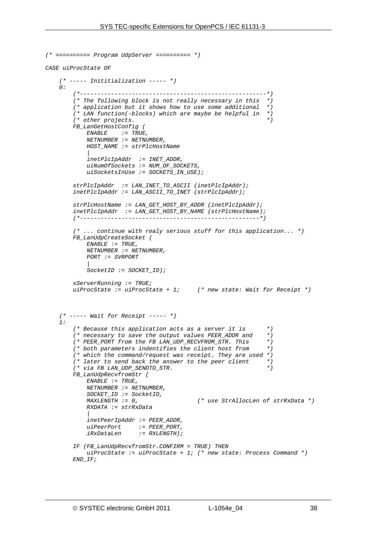```
(* ========== Program UdpServer ========== *) 
CASE uiProcState OF 
     (* ----- Inititialization ----- *) 
    \theta:
         (*------------------------------------------------------*) 
         (* The following block is not really necessary in this *) 
         (* application but it shows how to use some additional *) 
         (* LAN function(-blocks) which are maybe be helpful in *) 
         (* other projects. *) 
         FB_LanGetHostConfig ( 
            ENABLE := TRUE, 
            NETNUMBER := NETNUMBER, 
            HOST_NAME := strPlcHostName 
 | 
            inetPlcIpAddr := INET_ADDR, 
            uiNumOfSockets := NUM_OF_SOCKETS, 
            uiSocketsInUse := SOCKETS_IN_USE); 
         strPlcIpAddr := LAN_INET_TO_ASCII (inetPlcIpAddr); 
         inetPlcIpAddr := LAN_ASCII_TO_INET (strPlcIpAddr); 
         strPlcHostName := LAN_GET_HOST_BY_ADDR (inetPlcIpAddr); 
         inetPlcIpAddr := LAN_GET_HOST_BY_NAME (strPlcHostName); 
         (*----------------------------------------------------*) 
         (* ... continue with realy serious stuff for this application... *) 
         FB_LanUdpCreateSocket ( 
            ENABLE := TRUE, 
            NETNUMBER := NETNUMBER, 
            PORT := SVRPORT 
 | 
            SocketID := SOCKET_ID); 
         xServerRunning := TRUE; 
         uiProcState := uiProcState + 1; (* new state: Wait for Receipt *) 
     (* ----- Wait for Receipt ----- *) 
     1: 
         (* Because this application acts as a server it is *) 
         (* necessary to save the output values PEER_ADDR and *) 
         (* PEER_PORT from the FB LAN_UDP_RECVFROM_STR. This *) 
         (* both parameters indentifies the client host from *) 
           (* which the command/request was receipt. They are used *) 
         (* later to send back the answer to the peer client *) 
         (* via FB LAN_UDP_SENDTO_STR. *) 
         FB_LanUdpRecvfromStr ( 
            ENABLE := TRUE, 
            NETNUMBER := NETNUMBER, 
            SOCKET_ID := SocketID, 
            MAXLENGTH := 0, (* use StrAllocLen of strRxData *) 
            RXDATA := strRxData 
 | 
            inetPeerIpAddr := PEER_ADDR, 
 uiPeerPort := PEER_PORT, 
 iRxDataLen := RXLENGTH); 
         IF (FB_LanUdpRecvfromStr.CONFIRM = TRUE) THEN 
            uiProcState := uiProcState + 1; (* new state: Process Command *) 
         END_IF;
```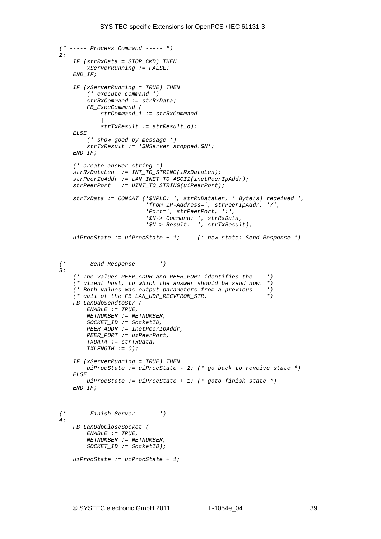```
 (* ----- Process Command ----- *) 
   2.2 IF (strRxData = STOP_CMD) THEN 
             xServerRunning := FALSE; 
         END_IF; 
         IF (xServerRunning = TRUE) THEN 
             (* execute command *) 
             strRxCommand := strRxData; 
             FB_ExecCommand ( 
                 strCommand_i := strRxCommand 
 | 
                 strTxResult := strResult_o); 
         ELSE 
             (* show good-by message *) 
             strTxResult := '$NServer stopped.$N'; 
         END_IF; 
         (* create answer string *) 
         strRxDataLen := INT_TO_STRING(iRxDataLen); 
         strPeerIpAddr := LAN_INET_TO_ASCII(inetPeerIpAddr); 
         strPeerPort := UINT_TO_STRING(uiPeerPort); 
         strTxData := CONCAT ('$NPLC: ', strRxDataLen, ' Byte(s) received ', 
                               'from IP-Address=', strPeerIpAddr, '/', 
                               'Port=', strPeerPort, ':', 
                               '$N-> Command: ', strRxData, 
                               '$N-> Result: ', strTxResult); 
         uiProcState := uiProcState + 1; (* new state: Send Response *) 
     (* ----- Send Response ----- *) 
    3: 
         (* The values PEER_ADDR and PEER_PORT identifies the *) 
         (* client host, to which the answer should be send now. *) 
         (* Both values was output parameters from a previous *) 
         (* call of the FB LAN_UDP_RECVFROM_STR. *) 
         FB_LanUdpSendtoStr ( 
             ENABLE := TRUE, 
             NETNUMBER := NETNUMBER, 
             SOCKET_ID := SocketID, 
             PEER_ADDR := inetPeerIpAddr, 
             PEER_PORT := uiPeerPort, 
             TXDATA := strTxData, 
             TXLENGTH := 0); 
         IF (xServerRunning = TRUE) THEN 
            uiProcState := uiProcState - 2; (* go back to reveive state *) 
        ET, SF uiProcState := uiProcState + 1; (* goto finish state *) 
         END_IF; 
     (* ----- Finish Server ----- *) 
    4: 
         FB_LanUdpCloseSocket ( 
             ENABLE := TRUE, 
             NETNUMBER := NETNUMBER, 
             SOCKET_ID := SocketID); 
         uiProcState := uiProcState + 1;
```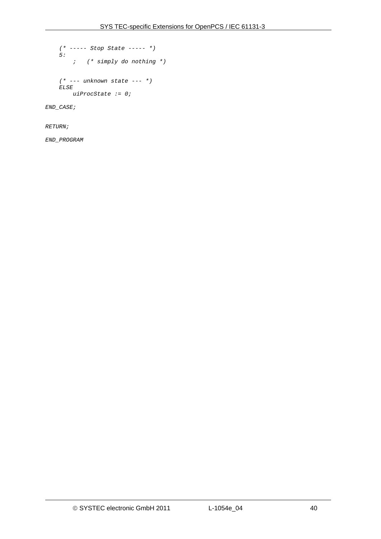```
 (* ----- Stop State ----- *) 
 5: 
    ; (* simply do nothing *) 
 (* --- unknown state --- *) 
 ELSE 
   uiProcState := 0;
```
*END\_CASE;* 

*RETURN;* 

*END\_PROGRAM*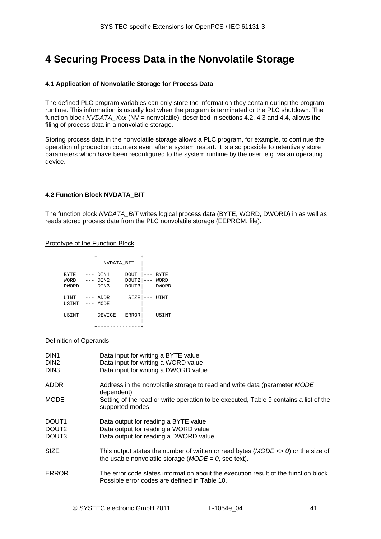# **4 Securing Process Data in the Nonvolatile Storage**

# **4.1 Application of Nonvolatile Storage for Process Data**

The defined PLC program variables can only store the information they contain during the program runtime. This information is usually lost when the program is terminated or the PLC shutdown. The function block *NVDATA\_Xxx* (NV = nonvolatile), described in sections [4.2,](#page-40-0) [4.3](#page-43-0) and [4.4](#page-46-0), allows the filing of process data in a nonvolatile storage.

Storing process data in the nonvolatile storage allows a PLC program, for example, to continue the operation of production counters even after a system restart. It is also possible to retentively store parameters which have been reconfigured to the system runtime by the user, e.g. via an operating device.

# <span id="page-40-0"></span>**4.2 Function Block NVDATA\_BIT**

The function block *NVDATA\_BIT* writes logical process data (BYTE, WORD, DWORD) in as well as reads stored process data from the PLC nonvolatile storage (EEPROM, file).

#### Prototype of the Function Block

|              | NVDATA BIT         |              |         |              |
|--------------|--------------------|--------------|---------|--------------|
|              |                    |              |         |              |
| <b>BYTE</b>  | DIN1               | DOUT1        | $- - -$ | <b>BYTE</b>  |
| WORD         | DIN2               | DOUT2        |         | WORD         |
| <b>DWORD</b> | DIN3<br>$--$       | DOUT3        | $- -$   | <b>DWORD</b> |
|              |                    |              |         |              |
| UINT         | <b>ADDR</b>        | SIZE         |         | UINT         |
| USINT        | MODE<br>. <b>.</b> |              |         |              |
|              |                    |              |         |              |
| USINT        | DEVICE             | <b>ERROR</b> |         | USINT        |
|              |                    |              |         |              |
|              |                    |              |         |              |

#### Definition of Operands

| DIN <sub>1</sub><br>DIN <sub>2</sub><br>DIN <sub>3</sub> | Data input for writing a BYTE value<br>Data input for writing a WORD value<br>Data input for writing a DWORD value                               |
|----------------------------------------------------------|--------------------------------------------------------------------------------------------------------------------------------------------------|
| <b>ADDR</b>                                              | Address in the nonvolatile storage to read and write data (parameter MODE<br>dependent)                                                          |
| <b>MODE</b>                                              | Setting of the read or write operation to be executed, Table 9 contains a list of the<br>supported modes                                         |
| DOUT <sub>1</sub><br>DOUT <sub>2</sub><br>DOUT3          | Data output for reading a BYTE value<br>Data output for reading a WORD value<br>Data output for reading a DWORD value                            |
| <b>SIZE</b>                                              | This output states the number of written or read bytes $(MODE \ll 0)$ or the size of<br>the usable nonvolatile storage ( $MODE = 0$ , see text). |
| <b>ERROR</b>                                             | The error code states information about the execution result of the function block.<br>Possible error codes are defined in Table 10.             |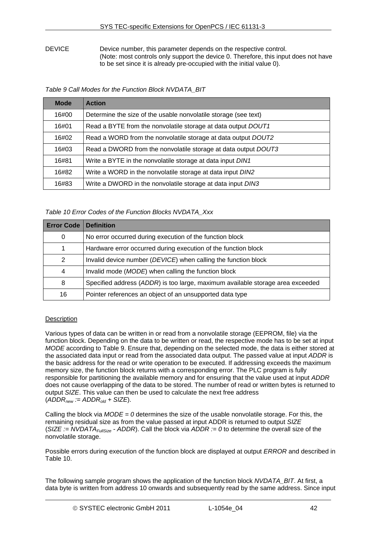DEVICE Device number, this parameter depends on the respective control. (Note: most controls only support the device 0. Therefore, this input does not have to be set since it is already pre-occupied with the initial value 0).

*Table 9 Call Modes for the Function Block NVDATA\_BIT* 

<span id="page-41-0"></span>

| <b>Mode</b> | <b>Action</b>                                                   |
|-------------|-----------------------------------------------------------------|
| 16#00       | Determine the size of the usable nonvolatile storage (see text) |
| 16#01       | Read a BYTE from the nonvolatile storage at data output DOUT1   |
| 16#02       | Read a WORD from the nonvolatile storage at data output DOUT2   |
| 16#03       | Read a DWORD from the nonvolatile storage at data output DOUT3  |
| 16#81       | Write a BYTE in the nonvolatile storage at data input DIN1      |
| 16#82       | Write a WORD in the nonvolatile storage at data input DIN2      |
| 16#83       | Write a DWORD in the nonvolatile storage at data input DIN3     |

# *Table 10 Error Codes of the Function Blocks NVDATA\_Xxx*

<span id="page-41-1"></span>

| <b>Error Code   Definition</b> |                                                                                |
|--------------------------------|--------------------------------------------------------------------------------|
| 0                              | No error occurred during execution of the function block                       |
|                                | Hardware error occurred during execution of the function block                 |
| $\mathcal{P}$                  | Invalid device number (DEVICE) when calling the function block                 |
| 4                              | Invalid mode (MODE) when calling the function block                            |
| 8                              | Specified address (ADDR) is too large, maximum available storage area exceeded |
| 16                             | Pointer references an object of an unsupported data type                       |

# **Description**

Various types of data can be written in or read from a nonvolatile storage (EEPROM, file) via the function block. Depending on the data to be written or read, the respective mode has to be set at input *MODE* according to [Table 9](#page-41-0). Ensure that, depending on the selected mode, the data is either stored at the associated data input or read from the associated data output. The passed value at input *ADDR* is the basic address for the read or write operation to be executed. If addressing exceeds the maximum memory size, the function block returns with a corresponding error. The PLC program is fully responsible for partitioning the available memory and for ensuring that the value used at input *ADDR* does not cause overlapping of the data to be stored. The number of read or written bytes is returned to output *SIZE*. This value can then be used to calculate the next free address  $(ADDR<sub>new</sub> := ADDR<sub>old</sub> + SIZE).$ 

Calling the block via *MODE = 0* determines the size of the usable nonvolatile storage. For this, the remaining residual size as from the value passed at input ADDR is returned to output *SIZE* (*SIZE := NVDATAFullSize - ADDR*). Call the block via *ADDR := 0* to determine the overall size of the nonvolatile storage.

Possible errors during execution of the function block are displayed at output *ERROR* and described in [Table 10.](#page-41-1)

The following sample program shows the application of the function block *NVDATA\_BIT*. At first, a data byte is written from address 10 onwards and subsequently read by the same address. Since input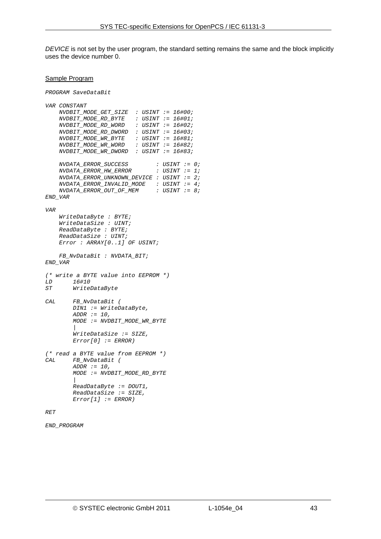*DEVICE* is not set by the user program, the standard setting remains the same and the block implicitly uses the device number 0.

#### Sample Program

*PROGRAM SaveDataBit* 

```
VAR CONSTANT 
    NVDBIT_MODE_GET_SIZE : USINT := 16#00; 
 NVDBIT_MODE_RD_BYTE : USINT := 16#01; 
 NVDBIT_MODE_RD_WORD : USINT := 16#02; 
    NVDBIT_MODE_RD_DWORD : USINT := 16#03; 
    NVDBIT_MODE_WR_BYTE : USINT := 16#81; 
    \emph{NVDBIT\_MODE\_WR\_WORD} NVDBIT_MODE_WR_DWORD : USINT := 16#83; 
    NVDATA_ERROR_SUCCESS : USINT := 0; 
   NVDATA ERROR HW ERROR NVDATA_ERROR_UNKNOWN_DEVICE : USINT := 2; 
    NVDATA_ERROR_INVALID_MODE : USINT := 4; 
     NVDATA_ERROR_OUT_OF_MEM : USINT := 8; 
END_VAR 
VAR 
     WriteDataByte : BYTE; 
     WriteDataSize : UINT; 
     ReadDataByte : BYTE; 
     ReadDataSize : UINT; 
     Error : ARRAY[0..1] OF USINT; 
     FB_NvDataBit : NVDATA_BIT; 
END_VAR
(* write a BYTE value into EEPROM *) 
LD 16#10 
ST WriteDataByte 
CAL FB_NvDataBit ( 
         DIN1 := WriteDataByte, 
         ADDR := 10, 
         MODE := NVDBIT_MODE_WR_BYTE 
 | 
         WriteDataSize := SIZE, 
         Error[0] := ERROR) 
(* read a BYTE value from EEPROM *) 
CAL FB_NvDataBit ( 
         ADDR := 10, 
         MODE := NVDBIT_MODE_RD_BYTE 
 | 
         ReadDataByte := DOUT1, 
         ReadDataSize := SIZE, 
         Error[1] := ERROR) 
RET
```

```
END_PROGRAM
```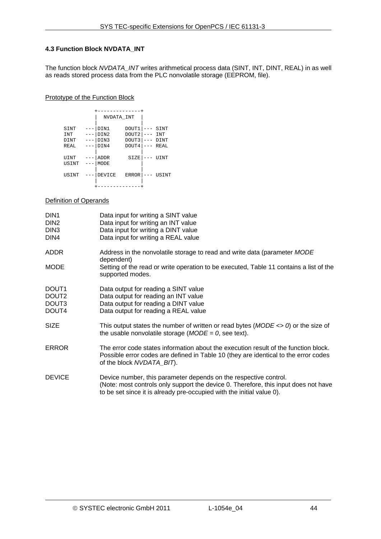# <span id="page-43-0"></span>**4.3 Function Block NVDATA\_INT**

The function block *NVDATA\_INT* writes arithmetical process data (SINT, INT, DINT, REAL) in as well as reads stored process data from the PLC nonvolatile storage (EEPROM, file).

#### Prototype of the Function Block

|            |       | NVDATA INT |              |            |
|------------|-------|------------|--------------|------------|
|            |       |            |              |            |
| SINT       |       | DIN1       | DOUT1        | SINT       |
| <b>INT</b> | $- -$ | DIN2       | DOUT2        | <b>INT</b> |
| DINT       |       | DIN3       | DOUT3        | DINT       |
| REAL       |       | DIN4       | DOUT4        | REAL       |
|            |       |            |              |            |
| UINT       |       | ADDR       | SIZE         | UINT       |
| USINT      |       | MODE       |              |            |
|            |       |            |              |            |
| USINT      |       | DEVICE     | <b>ERROR</b> | USINT      |
|            |       |            |              |            |
|            |       |            |              |            |

# Definition of Operands

| DIN <sub>1</sub><br>DIN <sub>2</sub><br>DIN <sub>3</sub><br>DIN4 | Data input for writing a SINT value<br>Data input for writing an INT value<br>Data input for writing a DINT value<br>Data input for writing a REAL value                                                                         |
|------------------------------------------------------------------|----------------------------------------------------------------------------------------------------------------------------------------------------------------------------------------------------------------------------------|
| <b>ADDR</b>                                                      | Address in the nonvolatile storage to read and write data (parameter MODE<br>dependent)                                                                                                                                          |
| <b>MODE</b>                                                      | Setting of the read or write operation to be executed, Table 11 contains a list of the<br>supported modes.                                                                                                                       |
| DOUT <sub>1</sub><br>DOUT <sub>2</sub><br>DOUT3<br>DOUT4         | Data output for reading a SINT value<br>Data output for reading an INT value<br>Data output for reading a DINT value<br>Data output for reading a REAL value                                                                     |
| <b>SIZE</b>                                                      | This output states the number of written or read bytes $(MODE \ll 0)$ or the size of<br>the usable nonvolatile storage ( $MODE = 0$ , see text).                                                                                 |
| <b>ERROR</b>                                                     | The error code states information about the execution result of the function block.<br>Possible error codes are defined in Table 10 (they are identical to the error codes<br>of the block NVDATA_BIT).                          |
| <b>DEVICE</b>                                                    | Device number, this parameter depends on the respective control.<br>(Note: most controls only support the device 0. Therefore, this input does not have<br>to be set since it is already pre-occupied with the initial value 0). |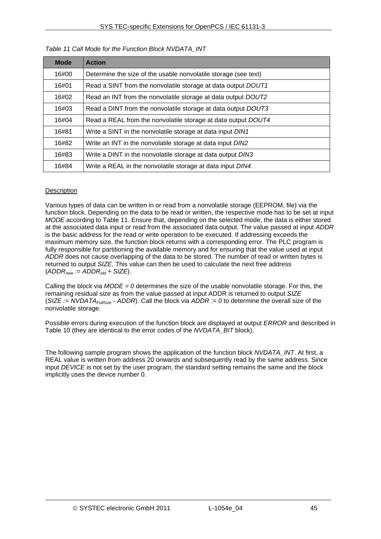<span id="page-44-0"></span>

| <b>Mode</b> | <b>Action</b>                                                   |
|-------------|-----------------------------------------------------------------|
| 16#00       | Determine the size of the usable nonvolatile storage (see text) |
| 16#01       | Read a SINT from the nonvolatile storage at data output DOUT1   |
| 16#02       | Read an INT from the nonvolatile storage at data output DOUT2   |
| 16#03       | Read a DINT from the nonvolatile storage at data output DOUT3   |
| 16#04       | Read a REAL from the nonvolatile storage at data output DOUT4   |
| 16#81       | Write a SINT in the nonvolatile storage at data input DIN1      |
| 16#82       | Write an INT in the nonvolatile storage at data input DIN2      |
| 16#83       | Write a DINT in the nonvolatile storage at data output DIN3     |
| 16#84       | Write a REAL in the nonvolatile storage at data input DIN4      |

# *Table 11 Call Mode for the Function Block NVDATA\_INT*

#### **Description**

Various types of data can be written in or read from a nonvolatile storage (EEPROM, file) via the function block. Depending on the data to be read or written, the respective mode has to be set at input *MODE* according to [Table 11.](#page-44-0) Ensure that, depending on the selected mode, the data is either stored at the associated data input or read from the associated data output. The value passed at input *ADDR* is the basic address for the read or write operation to be executed. If addressing exceeds the maximum memory size, the function block returns with a corresponding error. The PLC program is fully responsible for partitioning the available memory and for ensuring that the value used at input *ADDR* does not cause overlapping of the data to be stored. The number of read or written bytes is returned to output *SIZE*. This value can then be used to calculate the next free address  $(ADDR<sub>new</sub> := ADDR<sub>old</sub> + SIZE).$ 

Calling the block via *MODE = 0* determines the size of the usable nonvolatile storage. For this, the remaining residual size as from the value passed at input ADDR is returned to output *SIZE* (*SIZE := NVDATA<sub>FullSize</sub>* - *ADDR*). Call the block via *ADDR := 0* to determine the overall size of the nonvolatile storage.

Possible errors during execution of the function block are displayed at output *ERROR* and described in [Table 10](#page-41-1) (they are identical to the error codes of the *NVDATA\_BIT* block).

The following sample program shows the application of the function block *NVDATA\_INT*. At first, a REAL value is written from address 20 onwards and subsequently read by the same address. Since input *DEVICE* is not set by the user program, the standard setting remains the same and the block implicitly uses the device number 0.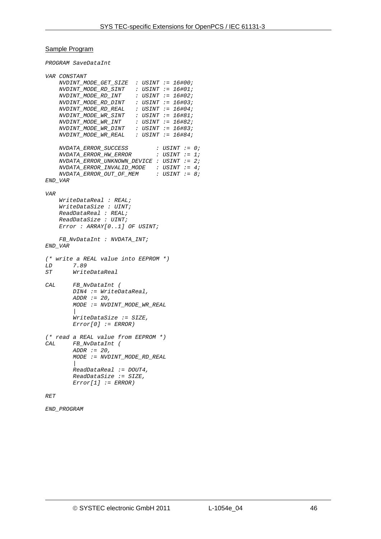#### Sample Program

*PROGRAM SaveDataInt* 

```
VAR CONSTANT 
     NVDINT_MODE_GET_SIZE : USINT := 16#00; 
 NVDINT_MODE_RD_SINT : USINT := 16#01; 
 NVDINT_MODE_RD_INT : USINT := 16#02; 
     NVDINT_MODE_RD_DINT : USINT := 16#03; 
     NVDINT_MODE_RD_REAL : USINT := 16#04; 
     NVDINT_MODE_WR_SINT : USINT := 16#81; 
     NVDINT_MODE_WR_INT : USINT := 16#82; 
     NVDINT_MODE_WR_DINT : USINT := 16#83; 
    \emph{NVDINT\_MODE\_WR\_REAL} NVDATA_ERROR_SUCCESS : USINT := 0; 
    NVDATA ERROR HW_ERROR
     NVDATA_ERROR_UNKNOWN_DEVICE : USINT := 2; 
     NVDATA_ERROR_INVALID_MODE : USINT := 4; 
    NVDATA ERROR_OUT_OF_MEM :
END_VAR 
VAR 
     WriteDataReal : REAL; 
     WriteDataSize : UINT; 
     ReadDataReal : REAL; 
     ReadDataSize : UINT; 
     Error : ARRAY[0..1] OF USINT; 
     FB_NvDataInt : NVDATA_INT; 
END_VAR
(* write a REAL value into EEPROM *) 
LD 7.89 
ST WriteDataReal 
CAL FB_NvDataInt ( 
         DIN4 := WriteDataReal, 
         ADDR := 20, 
         MODE := NVDINT_MODE_WR_REAL 
 | 
         WriteDataSize := SIZE, 
         Error[0] := ERROR) 
(* read a REAL value from EEPROM *) 
CAL FB_NvDataInt ( 
         ADDR := 20, 
         MODE := NVDINT_MODE_RD_REAL 
         | 
         ReadDataReal := DOUT4, 
         ReadDataSize := SIZE, 
         Error[1] := ERROR) 
RET
```

```
END_PROGRAM
```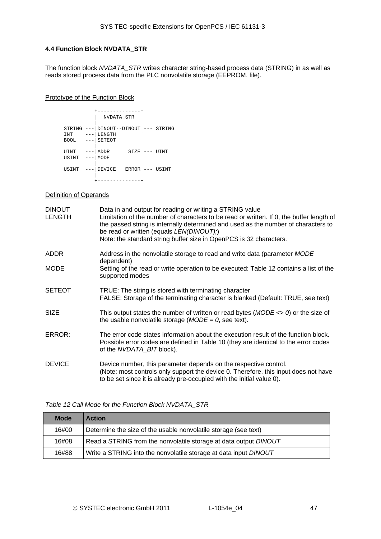#### <span id="page-46-0"></span>**4.4 Function Block NVDATA\_STR**

The function block *NVDATA\_STR* writes character string-based process data (STRING) in as well as reads stored process data from the PLC nonvolatile storage (EEPROM, file).

#### Prototype of the Function Block

|                                     | -------<br>NVDATA STR                         |                 |
|-------------------------------------|-----------------------------------------------|-----------------|
| STRING<br>---<br>INT<br><b>BOOL</b> | DINOUT--DINOUT --- STRING<br>LENGTH<br>SETEOT |                 |
| UINT<br>$---$<br>USINT<br>$---$     | SIZE<br>ADDR<br>MODE                          | UINT<br>$- - -$ |
| USINT                               | DEVICE<br>ERROR                               | USINT<br>$---$  |

# **Definition of Operands**

| <b>DINOUT</b><br><b>LENGTH</b> | Data in and output for reading or writing a STRING value<br>Limitation of the number of characters to be read or written. If 0, the buffer length of<br>the passed string is internally determined and used as the number of characters to<br>be read or written (equals LEN(DINOUT);)<br>Note: the standard string buffer size in OpenPCS is 32 characters. |
|--------------------------------|--------------------------------------------------------------------------------------------------------------------------------------------------------------------------------------------------------------------------------------------------------------------------------------------------------------------------------------------------------------|
| <b>ADDR</b>                    | Address in the nonvolatile storage to read and write data (parameter MODE<br>dependent)                                                                                                                                                                                                                                                                      |
| <b>MODE</b>                    | Setting of the read or write operation to be executed: Table 12 contains a list of the<br>supported modes                                                                                                                                                                                                                                                    |
| <b>SETEOT</b>                  | TRUE: The string is stored with terminating character<br>FALSE: Storage of the terminating character is blanked (Default: TRUE, see text)                                                                                                                                                                                                                    |
| <b>SIZE</b>                    | This output states the number of written or read bytes ( $MODE \le 0$ ) or the size of<br>the usable nonvolatile storage ( $MODE = 0$ , see text).                                                                                                                                                                                                           |
| ERROR:                         | The error code states information about the execution result of the function block.<br>Possible error codes are defined in Table 10 (they are identical to the error codes<br>of the NVDATA_BIT block).                                                                                                                                                      |
| <b>DEVICE</b>                  | Device number, this parameter depends on the respective control.<br>(Note: most controls only support the device 0. Therefore, this input does not have<br>to be set since it is already pre-occupied with the initial value 0).                                                                                                                             |

#### *Table 12 Call Mode for the Function Block NVDATA\_STR*

<span id="page-46-1"></span>

| <b>Mode</b> | <b>Action</b>                                                    |
|-------------|------------------------------------------------------------------|
| 16#00       | Determine the size of the usable nonvolatile storage (see text)  |
| 16#08       | Read a STRING from the nonvolatile storage at data output DINOUT |
| 16#88       | Write a STRING into the nonvolatile storage at data input DINOUT |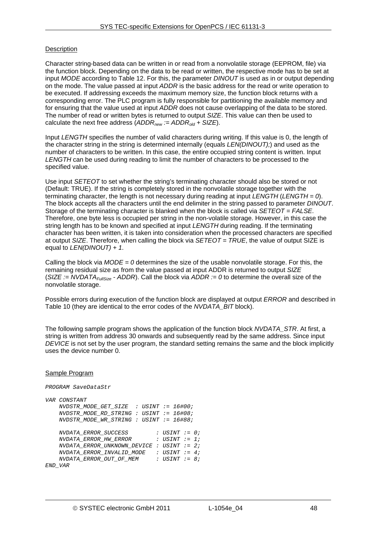# **Description**

Character string-based data can be written in or read from a nonvolatile storage (EEPROM, file) via the function block. Depending on the data to be read or written, the respective mode has to be set at input *MODE* according to [Table 12](#page-46-1). For this, the parameter *DINOUT* is used as in or output depending on the mode. The value passed at input *ADDR* is the basic address for the read or write operation to be executed. If addressing exceeds the maximum memory size, the function block returns with a corresponding error. The PLC program is fully responsible for partitioning the available memory and for ensuring that the value used at input *ADDR* does not cause overlapping of the data to be stored. The number of read or written bytes is returned to output *SIZE*. This value can then be used to calculate the next free address (*ADDRnew := ADDRold + SIZE*).

Input *LENGTH* specifies the number of valid characters during writing. If this value is 0, the length of the character string in the string is determined internally (equals *LEN(DINOUT);*) and used as the number of characters to be written. In this case, the entire occupied string content is written. Input *LENGTH* can be used during reading to limit the number of characters to be processed to the specified value.

Use input *SETEOT* to set whether the string's terminating character should also be stored or not (Default: TRUE). If the string is completely stored in the nonvolatile storage together with the terminating character, the length is not necessary during reading at input *LENGTH* (*LENGTH = 0*). The block accepts all the characters until the end delimiter in the string passed to parameter *DINOUT*. Storage of the terminating character is blanked when the block is called via *SETEOT = FALSE*. Therefore, one byte less is occupied per string in the non-volatile storage. However, in this case the string length has to be known and specified at input *LENGTH* during reading. If the terminating character has been written, it is taken into consideration when the processed characters are specified at output *SIZE*. Therefore, when calling the block via *SETEOT = TRUE*, the value of output SIZE is equal to *LEN(DINOUT) + 1*.

Calling the block via *MODE = 0* determines the size of the usable nonvolatile storage. For this, the remaining residual size as from the value passed at input ADDR is returned to output *SIZE* (*SIZE := NVDATAFullSize - ADDR*). Call the block via *ADDR := 0* to determine the overall size of the nonvolatile storage.

Possible errors during execution of the function block are displayed at output *ERROR* and described in [Table 10](#page-41-1) (they are identical to the error codes of the *NVDATA\_BIT* block).

The following sample program shows the application of the function block *NVDATA\_STR*. At first, a string is written from address 30 onwards and subsequently read by the same address. Since input *DEVICE* is not set by the user program, the standard setting remains the same and the block implicitly uses the device number 0.

#### Sample Program

*PROGRAM SaveDataStr* 

```
VAR CONSTANT 
    NVDSTR_MODE_GET_SIZE : USINT := 16#00; 
    NVDSTR_MODE_RD_STRING : USINT := 16#08; 
    NVDSTR_MODE_WR_STRING : USINT := 16#88; 
    NVDATA_ERROR_SUCCESS : USINT := 0; 
    NVDATA_ERROR_HW_ERROR : USINT := 1; 
    NVDATA_ERROR_UNKNOWN_DEVICE : USINT := 2; 
 NVDATA_ERROR_INVALID_MODE : USINT := 4; 
 NVDATA_ERROR_OUT_OF_MEM : USINT := 8; 
END_VAR
```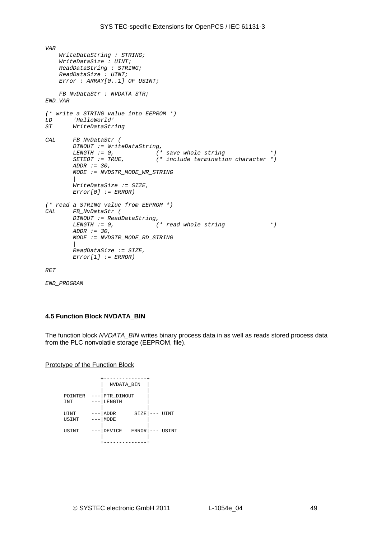```
VAR 
     WriteDataString : STRING; 
     WriteDataSize : UINT; 
     ReadDataString : STRING; 
     ReadDataSize : UINT; 
     Error : ARRAY[0..1] OF USINT; 
     FB_NvDataStr : NVDATA_STR; 
END_VAR
(* write a STRING value into EEPROM *) 
LD 'HelloWorld' 
ST WriteDataString 
CAL FB_NvDataStr ( 
         DINOUT := WriteDataString, 
        LENGTH := 0, ( * save whole string *)<br>
SETEOT := TRUE, ( * include termination character *)
                                   SETEOT := TRUE, (* include termination character *) 
         ADDR := 30, 
         MODE := NVDSTR_MODE_WR_STRING 
 | 
         WriteDataSize := SIZE, 
         Error[0] := ERROR) 
(* read a STRING value from EEPROM *) 
CAL FB_NvDataStr ( 
         DINOUT := ReadDataString, 
                                  (* read whole string * )
         ADDR := 30, 
         MODE := NVDSTR_MODE_RD_STRING 
 | 
         ReadDataSize := SIZE, 
         Error[1] := ERROR)
```
*RET* 

*END\_PROGRAM* 

#### **4.5 Function Block NVDATA\_BIN**

The function block *NVDATA\_BIN* writes binary process data in as well as reads stored process data from the PLC nonvolatile storage (EEPROM, file).

Prototype of the Function Block

|            | NVDATA BIN                        |  |
|------------|-----------------------------------|--|
|            |                                   |  |
| POINTER    | PTR DINOUT                        |  |
| <b>INT</b> | LENGTH                            |  |
|            |                                   |  |
| UINT       | ADDR<br>SIZE<br>UINT<br>$- - -$   |  |
| USINT      | MODE                              |  |
|            |                                   |  |
| USINT      | DEVICE<br>ERROR<br>USINT<br>$---$ |  |
|            |                                   |  |
|            |                                   |  |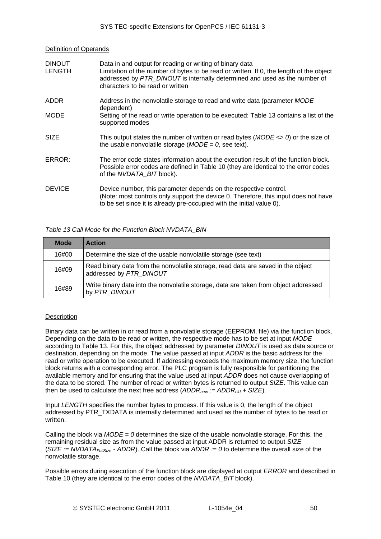# Definition of Operands

| <b>DINOUT</b><br><b>LENGTH</b> | Data in and output for reading or writing of binary data<br>Limitation of the number of bytes to be read or written. If 0, the length of the object<br>addressed by PTR_DINOUT is internally determined and used as the number of<br>characters to be read or written |
|--------------------------------|-----------------------------------------------------------------------------------------------------------------------------------------------------------------------------------------------------------------------------------------------------------------------|
| <b>ADDR</b>                    | Address in the nonvolatile storage to read and write data (parameter MODE<br>dependent)                                                                                                                                                                               |
| <b>MODE</b>                    | Setting of the read or write operation to be executed: Table 13 contains a list of the<br>supported modes                                                                                                                                                             |
| <b>SIZE</b>                    | This output states the number of written or read bytes $(MODE \ll 0)$ or the size of<br>the usable nonvolatile storage ( $MODE = 0$ , see text).                                                                                                                      |
| ERROR:                         | The error code states information about the execution result of the function block.<br>Possible error codes are defined in Table 10 (they are identical to the error codes<br>of the NVDATA_BIT block).                                                               |
| <b>DEVICE</b>                  | Device number, this parameter depends on the respective control.<br>(Note: most controls only support the device 0. Therefore, this input does not have<br>to be set since it is already pre-occupied with the initial value 0).                                      |

# *Table 13 Call Mode for the Function Block NVDATA\_BIN*

<span id="page-49-0"></span>

| <b>Mode</b> | <b>Action</b>                                                                                               |
|-------------|-------------------------------------------------------------------------------------------------------------|
| 16#00       | Determine the size of the usable nonvolatile storage (see text)                                             |
| 16#09       | Read binary data from the nonvolatile storage, read data are saved in the object<br>addressed by PTR_DINOUT |
| 16#89       | Write binary data into the nonvolatile storage, data are taken from object addressed<br>by PTR DINOUT       |

# **Description**

Binary data can be written in or read from a nonvolatile storage (EEPROM, file) via the function block. Depending on the data to be read or written, the respective mode has to be set at input *MODE* according to [Table 13](#page-49-0). For this, the object addressed by parameter *DINOUT* is used as data source or destination, depending on the mode. The value passed at input *ADDR* is the basic address for the read or write operation to be executed. If addressing exceeds the maximum memory size, the function block returns with a corresponding error. The PLC program is fully responsible for partitioning the available memory and for ensuring that the value used at input *ADDR* does not cause overlapping of the data to be stored. The number of read or written bytes is returned to output *SIZE*. This value can then be used to calculate the next free address (ADDR<sub>new</sub> := ADDR<sub>old</sub> + SIZE).

Input *LENGTH* specifies the number bytes to process. If this value is 0, the length of the object addressed by PTR\_TXDATA is internally determined and used as the number of bytes to be read or written.

Calling the block via *MODE = 0* determines the size of the usable nonvolatile storage. For this, the remaining residual size as from the value passed at input ADDR is returned to output *SIZE* (*SIZE := NVDATAFullSize - ADDR*). Call the block via *ADDR := 0* to determine the overall size of the nonvolatile storage.

Possible errors during execution of the function block are displayed at output *ERROR* and described in [Table 10](#page-41-1) (they are identical to the error codes of the *NVDATA\_BIT* block).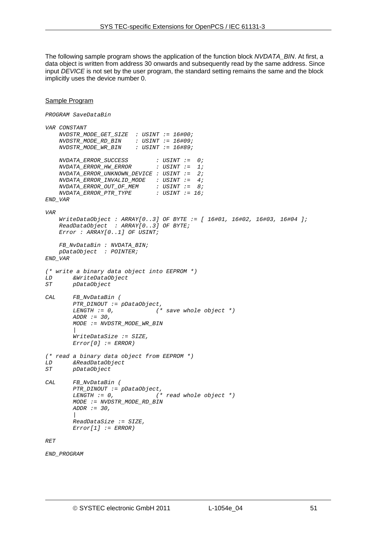The following sample program shows the application of the function block *NVDATA\_BIN*. At first, a data object is written from address 30 onwards and subsequently read by the same address. Since input *DEVICE* is not set by the user program, the standard setting remains the same and the block implicitly uses the device number 0.

```
Sample Program
PROGRAM SaveDataBin 
VAR CONSTANT 
    NVDSTR_MODE_GET_SIZE : USINT := 16#00; 
                         : USINT := 16#09;<br>DISINT := 16#89;
    \emph{NUDSTR MODEL} \emph{WRE} \emph{BIN} NVDATA_ERROR_SUCCESS : USINT := 0; 
     NVDATA_ERROR_HW_ERROR : USINT := 1; 
     NVDATA_ERROR_UNKNOWN_DEVICE : USINT := 2; 
     NVDATA_ERROR_INVALID_MODE : USINT := 4; 
 NVDATA_ERROR_OUT_OF_MEM : USINT := 8; 
 NVDATA_ERROR_PTR_TYPE : USINT := 16; 
END_VAR 
VAR 
     WriteDataObject : ARRAY[0..3] OF BYTE := [ 16#01, 16#02, 16#03, 16#04 ]; 
     ReadDataObject : ARRAY[0..3] OF BYTE; 
     Error : ARRAY[0..1] OF USINT; 
     FB_NvDataBin : NVDATA_BIN; 
     pDataObject : POINTER; 
END_VAR
(* write a binary data object into EEPROM *) 
LD &WriteDataObject 
        ST pDataObject 
CAL FB_NvDataBin ( 
         PTR_DINOUT := pDataObject, 
                                  LENGTH := 0, (* save whole object *) 
         ADDR := 30, 
         MODE := NVDSTR_MODE_WR_BIN 
 | 
         WriteDataSize := SIZE, 
         Error[0] := ERROR) 
(* read a binary data object from EEPROM *) 
LD &ReadDataObject 
ST pDataObject 
CAL FB_NvDataBin ( 
         PTR_DINOUT := pDataObject, 
                                  LENGTH := 0, (* read whole object *) 
         MODE := NVDSTR_MODE_RD_BIN 
         ADDR := 30, 
 | 
         ReadDataSize := SIZE, 
         Error[1] := ERROR) 
RET
```
*END\_PROGRAM*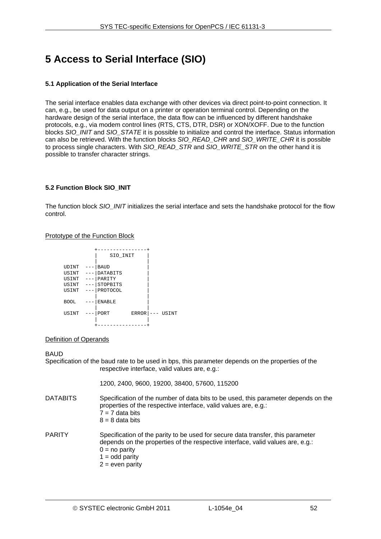# **5 Access to Serial Interface (SIO)**

# **5.1 Application of the Serial Interface**

The serial interface enables data exchange with other devices via direct point-to-point connection. It can, e.g., be used for data output on a printer or operation terminal control. Depending on the hardware design of the serial interface, the data flow can be influenced by different handshake protocols, e.g., via modem control lines (RTS, CTS, DTR, DSR) or XON/XOFF. Due to the function blocks *SIO\_INIT* and *SIO\_STATE* it is possible to initialize and control the interface. Status information can also be retrieved. With the function blocks *SIO\_READ\_CHR* and *SIO\_WRITE\_CHR* it is possible to process single characters. With *SIO\_READ\_STR* and *SIO\_WRITE\_STR* on the other hand it is possible to transfer character strings.

# **5.2 Function Block SIO\_INIT**

The function block *SIO\_INIT* initializes the serial interface and sets the handshake protocol for the flow control.

#### Prototype of the Function Block

|                     | SIO INIT             |       |
|---------------------|----------------------|-------|
|                     |                      |       |
| UDINT<br>. <b>.</b> | <b>BAUD</b>          |       |
| USINT<br>$-- -$     | DATABITS             |       |
| USINT               | PARITY               |       |
| USINT<br>- - -      | STOPBITS             |       |
| USINT<br>$---$      | PROTOCOL             |       |
|                     |                      |       |
| <b>BOOL</b>         | <b>ENABLE</b>        |       |
|                     |                      |       |
| USINT               | PORT<br><b>ERROR</b> | USINT |
|                     |                      |       |
|                     |                      |       |

#### Definition of Operands

#### BAUD

Specification of the baud rate to be used in bps, this parameter depends on the properties of the respective interface, valid values are, e.g.:

1200, 2400, 9600, 19200, 38400, 57600, 115200

- DATABITS Specification of the number of data bits to be used, this parameter depends on the properties of the respective interface, valid values are, e.g.:  $7 = 7$  data bits  $8 = 8$  data bits PARITY Specification of the parity to be used for secure data transfer, this parameter depends on the properties of the respective interface, valid values are, e.g.:
	- $0 = no$  parity
		- $1 =$  odd parity
		- $2 =$  even parity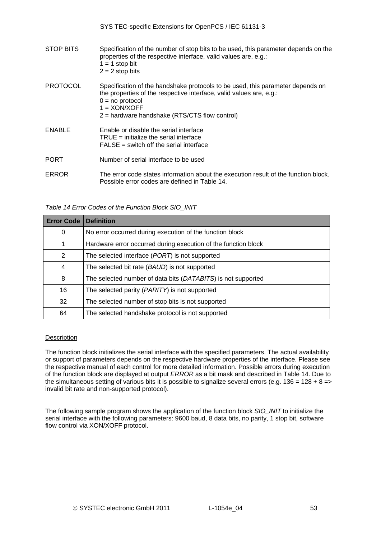| STOP BITS       | Specification of the number of stop bits to be used, this parameter depends on the<br>properties of the respective interface, valid values are, e.g.:<br>$1 = 1$ stop bit<br>$2 = 2$ stop bits                                                  |
|-----------------|-------------------------------------------------------------------------------------------------------------------------------------------------------------------------------------------------------------------------------------------------|
| <b>PROTOCOL</b> | Specification of the handshake protocols to be used, this parameter depends on<br>the properties of the respective interface, valid values are, e.g.:<br>$0 = no$ protocol<br>$1 = XON/XOFF$<br>$2$ = hardware handshake (RTS/CTS flow control) |
| ENABLE          | Enable or disable the serial interface<br>$TRUE =$ initialize the serial interface<br>$FALSE = switch off the serial interface$                                                                                                                 |
| <b>PORT</b>     | Number of serial interface to be used                                                                                                                                                                                                           |
| <b>ERROR</b>    | The error code states information about the execution result of the function block.<br>Possible error codes are defined in Table 14.                                                                                                            |

*Table 14 Error Codes of the Function Block SIO\_INIT* 

<span id="page-52-0"></span>

| <b>Error Code</b> | <b>Definition</b>                                              |
|-------------------|----------------------------------------------------------------|
| 0                 | No error occurred during execution of the function block       |
|                   | Hardware error occurred during execution of the function block |
| 2                 | The selected interface (PORT) is not supported                 |
| 4                 | The selected bit rate (BAUD) is not supported                  |
| 8                 | The selected number of data bits (DATABITS) is not supported   |
| 16                | The selected parity ( <i>PARITY</i> ) is not supported         |
| 32                | The selected number of stop bits is not supported              |
| 64                | The selected handshake protocol is not supported               |

#### **Description**

The function block initializes the serial interface with the specified parameters. The actual availability or support of parameters depends on the respective hardware properties of the interface. Please see the respective manual of each control for more detailed information. Possible errors during execution of the function block are displayed at output *ERROR* as a bit mask and described in [Table 14](#page-52-0). Due to the simultaneous setting of various bits it is possible to signalize several errors (e.g. 136 = 128 + 8 => invalid bit rate and non-supported protocol).

The following sample program shows the application of the function block *SIO\_INIT* to initialize the serial interface with the following parameters: 9600 baud, 8 data bits, no parity, 1 stop bit, software flow control via XON/XOFF protocol.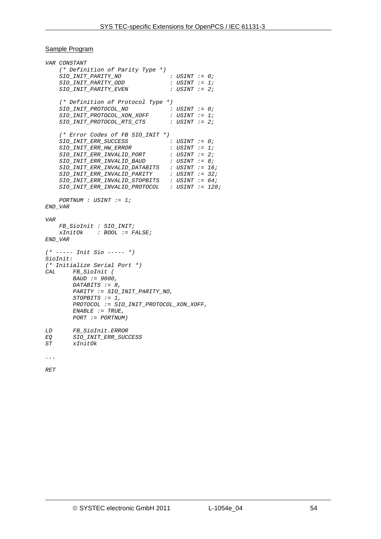#### Sample Program

*VAR CONSTANT (\* Definition of Parity Type \*) SIO\_INIT\_PARITY\_NO : USINT := 0; SIO\_INIT\_PARITY\_ODD : USINT := 1;*   $SIO$   $INIT$   $PARITY$   $EVEN$  *(\* Definition of Protocol Type \*) SIO\_INIT\_PROTOCOL\_NO : USINT := 0;*   $\begin{array}{lll} \texttt{SIO\_INIT\_PROTOCOL\_XON\_XOFF} & & : \texttt{USINT} & : = 1; \\ \texttt{SIO\_INIT\_PROTOCOL\_RTS\_CTS} & & : \texttt{USINT} & : = 2; \end{array}$  $SIO\_INIT\_PROTOCOL\_RTS\_CTS$  *(\* Error Codes of FB SIO\_INIT \*)*   $\begin{array}{lll} \textit{SIO\_INIT\_ERR\_SUCCES} & & \textit{: } \textit{USINT} & \textit{:= 0}; \\ \textit{SIO\_INIT\_ERR\_HR\_ERROR} & & \textit{: } \textit{USINT} & \textit{:= 1}; \\ \end{array}$  $SIO\_INIT\_ERR\_HW\_ERROR$  *SIO\_INIT\_ERR\_INVALID\_PORT : USINT := 2; SIO\_INIT\_ERR\_INVALID\_BAUD : USINT := 8; SIO\_INIT\_ERR\_INVALID\_DATABITS : USINT := 16; SIO\_INIT\_ERR\_INVALID\_PARITY : USINT := 32; SIO\_INIT\_ERR\_INVALID\_STOPBITS : USINT := 64; SIO\_INIT\_ERR\_INVALID\_PROTOCOL : USINT := 128; PORTNUM : USINT := 1; END\_VAR VAR FB\_SioInit : SIO\_INIT; xInitOk : BOOL := FALSE; END\_VAR (\* ----- Init Sio ----- \*) SioInit: (\* Initialize Serial Port \*) CAL FB\_SioInit ( BAUD := 9600, DATABITS := 8, PARITY := SIO\_INIT\_PARITY\_NO, STOPBITS := 1, PROTOCOL := SIO\_INIT\_PROTOCOL\_XON\_XOFF, ENABLE := TRUE, PORT := PORTNUM) LD FB\_SioInit.ERROR EQ SIO\_INIT\_ERR\_SUCCESS ST xInitOk* 

*...* 

*RET*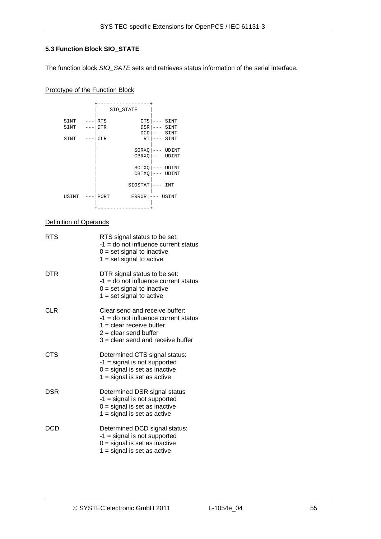# **5.3 Function Block SIO\_STATE**

The function block *SIO\_SATE* sets and retrieves status information of the serial interface.

# Prototype of the Function Block



#### Definition of Operands

| <b>RTS</b> | RTS signal status to be set:<br>-1 = do not influence current status<br>$0 = set$ signal to inactive<br>$1 = set signal to active$                                       |
|------------|--------------------------------------------------------------------------------------------------------------------------------------------------------------------------|
| DTR        | DTR signal status to be set:<br>-1 = do not influence current status<br>$0 = set$ signal to inactive<br>$1 = set signal to active$                                       |
| CLR        | Clear send and receive buffer:<br>$-1$ = do not influence current status<br>$1 =$ clear receive buffer<br>$2 =$ clear send buffer<br>$3$ = clear send and receive buffer |
| <b>CTS</b> | Determined CTS signal status:<br>$-1$ = signal is not supported<br>$0 =$ signal is set as inactive<br>$1 =$ signal is set as active                                      |
| DSR        | Determined DSR signal status<br>$-1$ = signal is not supported<br>$0 =$ signal is set as inactive<br>$1 =$ signal is set as active                                       |
| DCD        | Determined DCD signal status:<br>$-1$ = signal is not supported<br>$0 =$ signal is set as inactive<br>$1 =$ signal is set as active                                      |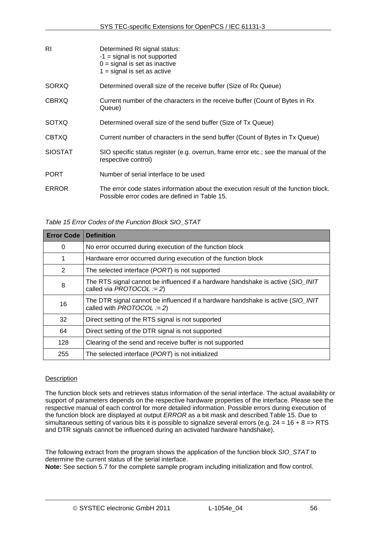| RI             | Determined RI signal status:<br>$-1$ = signal is not supported<br>$0 =$ signal is set as inactive<br>$1 =$ signal is set as active   |
|----------------|--------------------------------------------------------------------------------------------------------------------------------------|
| SORXQ          | Determined overall size of the receive buffer (Size of Rx Queue)                                                                     |
| <b>CBRXQ</b>   | Current number of the characters in the receive buffer (Count of Bytes in Rx<br>Queue)                                               |
| <b>SOTXQ</b>   | Determined overall size of the send buffer (Size of Tx Queue)                                                                        |
| <b>CBTXQ</b>   | Current number of characters in the send buffer (Count of Bytes in Tx Queue)                                                         |
| <b>SIOSTAT</b> | SIO specific status register (e.g. overrun, frame error etc.; see the manual of the<br>respective control)                           |
| <b>PORT</b>    | Number of serial interface to be used                                                                                                |
| <b>ERROR</b>   | The error code states information about the execution result of the function block.<br>Possible error codes are defined in Table 15. |

#### *Table 15 Error Codes of the Function Block SIO\_STAT*

<span id="page-55-0"></span>

| <b>Error Code</b> | <b>Definition</b>                                                                                             |
|-------------------|---------------------------------------------------------------------------------------------------------------|
| 0                 | No error occurred during execution of the function block                                                      |
| 1                 | Hardware error occurred during execution of the function block                                                |
| 2                 | The selected interface (PORT) is not supported                                                                |
| 8                 | The RTS signal cannot be influenced if a hardware handshake is active (SIO_INIT<br>called via PROTOCOL := 2)  |
| 16                | The DTR signal cannot be influenced if a hardware handshake is active (SIO_INIT<br>called with PROTOCOL := 2) |
| 32                | Direct setting of the RTS signal is not supported                                                             |
| 64                | Direct setting of the DTR signal is not supported                                                             |
| 128               | Clearing of the send and receive buffer is not supported                                                      |
| 255               | The selected interface (PORT) is not initialized                                                              |

#### **Description**

The function block sets and retrieves status information of the serial interface. The actual availability or support of parameters depends on the respective hardware properties of the interface. Please see the respective manual of each control for more detailed information. Possible errors during execution of the function block are displayed at output *ERROR* as a bit mask and described [Table 15.](#page-55-0) Due to simultaneous setting of various bits it is possible to signalize several errors (e.g.  $24 = 16 + 8 \Rightarrow$  RTSand DTR signals cannot be influenced during an activated hardware handshake).

The following extract from the program shows the application of the function block *SIO\_STAT* to determine the current status of the serial interface.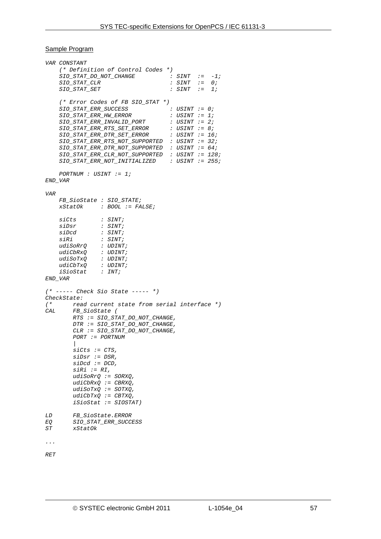#### Sample Program

```
VAR CONSTANT 
     (* Definition of Control Codes *) 
 SIO_STAT_DO_NOT_CHANGE : SINT := -1; 
 SIO_STAT_CLR : SINT := 0; 
 SIO_STAT_SET : SINT := 1; 
     (* Error Codes of FB SIO_STAT *) 
    SIO_STAT_ERR_SUCCESS : USINT := 0; 
     SIO_STAT_ERR_HW_ERROR : USINT := 1; 
     SIO_STAT_ERR_INVALID_PORT : USINT := 2; 
    SIO_STAT_ERR_RTS_SET_ERROR : USINT := 8; 
   SIO STAT_ERR_DTR_SET_ERROR
     SIO_STAT_ERR_RTS_NOT_SUPPORTED : USINT := 32; 
    SIO_STAT_ERR_DTR_NOT_SUPPORTED : USINT := 64; 
 SIO_STAT_ERR_CLR_NOT_SUPPORTED : USINT := 128; 
 SIO_STAT_ERR_NOT_INITIALIZED : USINT := 255; 
    PORTNUM : USINT := 1; 
END_VAR 
VAR 
    FB_SioState : SIO_STATE; 
             xStatOk : BOOL := FALSE; 
    siCts : SINT; 
     siDsr : SINT; 
    siDcd : SINT; 
                siRi : SINT; 
     udiSoRrQ : UDINT; 
               udiCbRxQ : UDINT; 
     udiSoTxQ : UDINT; 
     udiCbTxQ : UDINT; 
               iSioStat : INT; 
END_VAR 
(* ----- Check Sio State ----- *) 
CheckState: 
(* read current state from serial interface *) 
       CAL FB_SioState ( 
        RTS := SIO_STAT_DO_NOT_CHANGE, 
        DTR := SIO_STAT_DO_NOT_CHANGE, 
        CLR := SIO_STAT_DO_NOT_CHANGE, 
        PORT := PORTNUM 
 | 
        siCts := CTS, 
        siDsr := DSR, 
         siDcd := DCD, 
         siRi := RI, 
        udiSoRrQ := SORXQ, 
        udiCbRxQ := CBRXQ, 
         udiSoTxQ := SOTXQ, 
        udiCbTxQ := CBTXQ, 
         iSioStat := SIOSTAT) 
LD FB_SioState.ERROR 
EQ SIO_STAT_ERR_SUCCESS 
ST xStatOk 
... 
RET
```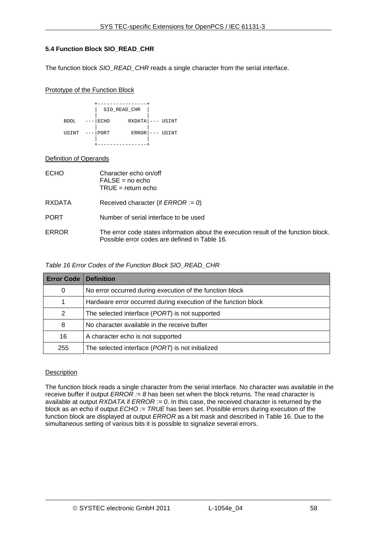# <span id="page-57-1"></span>**5.4 Function Block SIO\_READ\_CHR**

The function block *SIO\_READ\_CHR* reads a single character from the serial interface.

#### Prototype of the Function Block

|                |            | SIO READ CHR        |  |
|----------------|------------|---------------------|--|
| <b>BOOL</b>    | ---   ECHO | $RXDATA$ --- USINT  |  |
| USINT --- PORT |            | $ERROR$ $---$ USINT |  |
|                |            |                     |  |

# Definition of Operands

| <b>ECHO</b> | Character echo on/off<br>$FALSE = no echo$<br>TRUE = return echo                                                                     |
|-------------|--------------------------------------------------------------------------------------------------------------------------------------|
| RXDATA      | Received character (if <i>ERROR</i> := 0)                                                                                            |
| <b>PORT</b> | Number of serial interface to be used                                                                                                |
| ERROR       | The error code states information about the execution result of the function block.<br>Possible error codes are defined in Table 16. |

# *Table 16 Error Codes of the Function Block SIO\_READ\_CHR*

<span id="page-57-0"></span>

| <b>Error Code   Definition</b> |                                                                |
|--------------------------------|----------------------------------------------------------------|
| 0                              | No error occurred during execution of the function block       |
|                                | Hardware error occurred during execution of the function block |
| 2                              | The selected interface (PORT) is not supported                 |
| 8                              | No character available in the receive buffer                   |
| 16                             | A character echo is not supported                              |
| 255                            | The selected interface (PORT) is not initialized               |

# **Description**

The function block reads a single character from the serial interface. No character was available in the receive buffer if output *ERROR := 8* has been set when the block returns. The read character is available at output *RXDATA* if *ERROR := 0*. In this case, the received character is returned by the block as an echo if output *ECHO := TRUE* has been set. Possible errors during execution of the function block are displayed at output *ERROR* as a bit mask and described in [Table 16](#page-57-0). Due to the simultaneous setting of various bits it is possible to signalize several errors.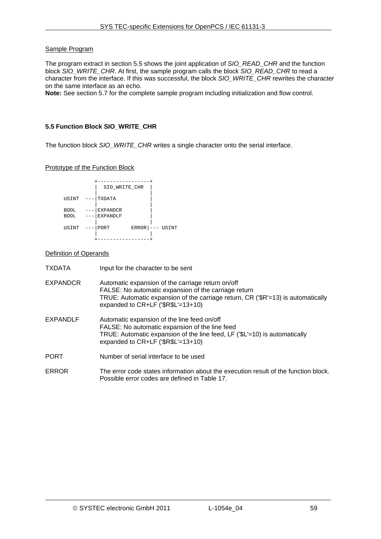#### Sample Program

The program extract in section [5.5](#page-58-0) shows the joint application of *SIO\_READ\_CHR* and the function block *SIO\_WRITE\_CHR*. At first, the sample program calls the block *SIO\_READ\_CHR* to read a character from the interface. If this was successful, the block *SIO\_WRITE\_CHR* rewrites the character on the same interface as an echo.

**Note:** See section [5.7](#page-62-0) for the complete sample program including initialization and flow control.

#### <span id="page-58-0"></span>**5.5 Function Block SIO\_WRITE\_CHR**

The function block *SIO\_WRITE\_CHR* writes a single character onto the serial interface.

Prototype of the Function Block



#### Definition of Operands

| <b>TXDATA</b>   | Input for the character to be sent                                                                                                                                                                                                     |
|-----------------|----------------------------------------------------------------------------------------------------------------------------------------------------------------------------------------------------------------------------------------|
| <b>EXPANDCR</b> | Automatic expansion of the carriage return on/off<br>FALSE: No automatic expansion of the carriage return<br>TRUE: Automatic expansion of the carriage return, CR ('\$R'=13) is automatically<br>expanded to $CR+LF$ (' $R$L'=13+10$ ) |
| EXPANDLF        | Automatic expansion of the line feed on/off<br>FALSE: No automatic expansion of the line feed<br>TRUE: Automatic expansion of the line feed, LF ('\$L'=10) is automatically<br>expanded to $CR+LF$ (' $R$L'=13+10$ )                   |
| <b>PORT</b>     | Number of serial interface to be used                                                                                                                                                                                                  |
| <b>ERROR</b>    | The error code states information about the execution result of the function block.<br>Possible error codes are defined in Table 17.                                                                                                   |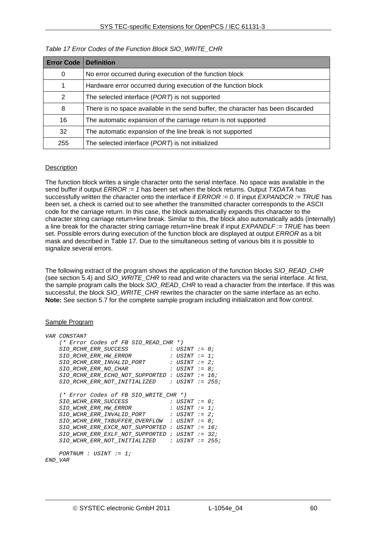<span id="page-59-0"></span>

| <b>Error Code</b> | <b>Definition</b>                                                                |
|-------------------|----------------------------------------------------------------------------------|
| 0                 | No error occurred during execution of the function block                         |
|                   | Hardware error occurred during execution of the function block                   |
| 2                 | The selected interface (PORT) is not supported                                   |
| 8                 | There is no space available in the send buffer, the character has been discarded |
| 16                | The automatic expansion of the carriage return is not supported                  |
| 32                | The automatic expansion of the line break is not supported                       |
| 255               | The selected interface (PORT) is not initialized                                 |

# *Table 17 Error Codes of the Function Block SIO\_WRITE\_CHR*

# **Description**

The function block writes a single character onto the serial interface. No space was available in the send buffer if output *ERROR := 1* has been set when the block returns. Output *TXDATA* has successfully written the character onto the interface if *ERROR := 0*. If input *EXPANDCR := TRUE* has been set, a check is carried out to see whether the transmitted character corresponds to the ASCII code for the carriage return. In this case, the block automatically expands this character to the character string carriage return+line break. Similar to this, the block also automatically adds (internally) a line break for the character string carriage return+line break if input *EXPANDLF := TRUE* has been set. Possible errors during execution of the function block are displayed at output *ERROR* as a bit mask and described in [Table 17.](#page-59-0) Due to the simultaneous setting of various bits it is possible to signalize several errors.

The following extract of the program shows the application of the function blocks *SIO\_READ\_CHR* (see section [5.4](#page-57-1)) and *SIO\_WRITE\_CHR* to read and write characters via the serial interface. At first, the sample program calls the block *SIO\_READ\_CHR* to read a character from the interface. If this was successful, the block *SIO\_WRITE\_CHR* rewrites the character on the same interface as an echo. **Note:** See section [5.7](#page-62-0) for the complete sample program including initialization and flow control.

#### Sample Program

| <i>VAR CONSTANT</i>                               |                 |  |
|---------------------------------------------------|-----------------|--|
| (* Error Codes of FB SIO READ CHR *)              |                 |  |
| SIO RCHR ERR SUCCESS                              | : USINT := 0;   |  |
| SIO RCHR ERR HW ERROR                             | : USINT := 1;   |  |
| $SIO$ RCHR ERR INVALID PORT : USINT := 2;         |                 |  |
| <i>SIO RCHR ERR NO CHAR</i>                       | : USINT := 8;   |  |
| SIO RCHR ERR ECHO NOT SUPPORTED : USINT := 16;    |                 |  |
| <i>SIO RCHR ERR NOT INITIALIZED</i>               | : USINT := 255; |  |
|                                                   |                 |  |
| (* Error Codes of FB SIO_WRITE_CHR *)             |                 |  |
| SIO WCHR ERR SUCCESS                              | : USINT := 0;   |  |
| <i>SIO WCHR ERR HW ERROR</i>                      | : USINT := 1;   |  |
| SIO WCHR ERR INVALID PORT<br>: USINT := 2;        |                 |  |
| SIO WCHR ERR TXBUFFER OVERFLOW : USINT $: = 8$ ;  |                 |  |
| SIO WCHR ERR EXCR NOT SUPPORTED : USINT $:= 16$ ; |                 |  |
| SIO WCHR ERR EXLF NOT SUPPORTED : USINT $:=$ 32;  |                 |  |
| SIO WCHR ERR NOT INITIALIZED : USINT $: = 255$ ;  |                 |  |
|                                                   |                 |  |
| $PORTNUM : USINT := 1;$                           |                 |  |
| END VAR                                           |                 |  |
|                                                   |                 |  |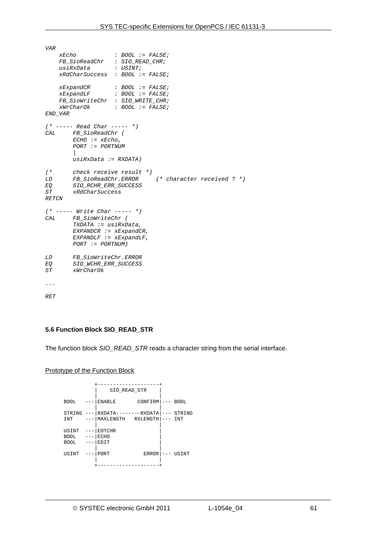```
VAR 
    xEcho : BOOL := FALSE; 
    FB_SioReadChr : SIO_READ_CHR; 
 usiRxData : USINT; 
 xRdCharSuccess : BOOL := FALSE; 
    xExpandCR : BOOL := FALSE; 
                    xExpandLF : BOOL := FALSE; 
     FB_SioWriteChr : SIO_WRITE_CHR; 
    xWrCharOk : BOOL := FALSE; 
END_VAR 
(* ----- Read Char ----- *) 
       CAL FB_SioReadChr ( 
        ECHO := xEcho, 
        PORT := PORTNUM 
         | 
        usiRxData := RXDATA) 
(* check receive result *) 
LD FB_SioReadChr.ERROR (* character received ? *)
EQ SIO_RCHR_ERR_SUCCESS 
       ST xRdCharSuccess 
RETCN 
(* ----- Write Char ----- *) 
CAL FB_SioWriteChr ( 
        TXDATA := usiRxData, 
        EXPANDCR := xExpandCR, 
        EXPANDLF := xExpandLF, 
        PORT := PORTNUM) 
LD FB_SioWriteChr.ERROR 
EQ SIO_WCHR_ERR_SUCCESS 
ST xWrCharOk 
... 
RET
```
#### <span id="page-60-0"></span>**5.6 Function Block SIO\_READ\_STR**

The function block *SIO\_READ\_STR* reads a character string from the serial interface.

#### Prototype of the Function Block

|                               |                     | SIO READ STR                         |                    |                   |               |
|-------------------------------|---------------------|--------------------------------------|--------------------|-------------------|---------------|
|                               |                     |                                      |                    |                   |               |
| <b>BOOL</b>                   |                     | <b>ENABLE</b>                        | $CONFIRM$ $---$    |                   | <b>BOOL</b>   |
| STRING<br>INT                 |                     | RXDATA--------RXDATA<br>MAXLENGTH    | RXLENGTH           | ---               | STRING<br>INT |
| USINT<br><b>BOOL</b><br>BOOL. | $- - - \,$<br>$---$ | <b>EOTCHR</b><br><b>ECHO</b><br>EDIT |                    |                   |               |
| USINT                         |                     | PORT                                 | ERROR<br>$- - - -$ | $\qquad \qquad -$ | USINT         |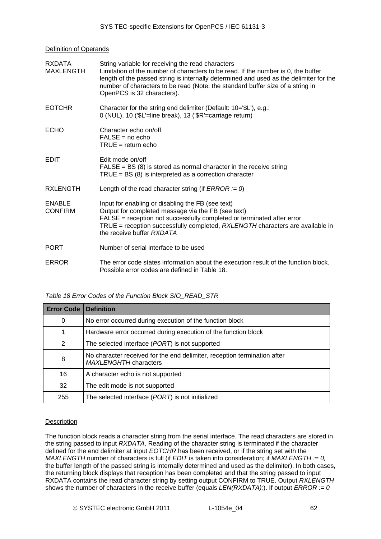#### Definition of Operands

| <b>RXDATA</b><br><b>MAXLENGTH</b> | String variable for receiving the read characters<br>Limitation of the number of characters to be read. If the number is 0, the buffer<br>length of the passed string is internally determined and used as the delimiter for the<br>number of characters to be read (Note: the standard buffer size of a string in<br>OpenPCS is 32 characters). |
|-----------------------------------|--------------------------------------------------------------------------------------------------------------------------------------------------------------------------------------------------------------------------------------------------------------------------------------------------------------------------------------------------|
| <b>EOTCHR</b>                     | Character for the string end delimiter (Default: 10='\$L'), e.g.:<br>0 (NUL), 10 ('\$L'=line break), 13 ('\$R'=carriage return)                                                                                                                                                                                                                  |
| <b>ECHO</b>                       | Character echo on/off<br>$FALSE = no echo$<br>$TRUE = return echo$                                                                                                                                                                                                                                                                               |
| <b>EDIT</b>                       | Edit mode on/off<br>$FALSE = BS(8)$ is stored as normal character in the receive string<br>$TRUE = BS(8)$ is interpreted as a correction character                                                                                                                                                                                               |
| <b>RXLENGTH</b>                   | Length of the read character string (if $ERROR := 0$ )                                                                                                                                                                                                                                                                                           |
| <b>ENABLE</b><br><b>CONFIRM</b>   | Input for enabling or disabling the FB (see text)<br>Output for completed message via the FB (see text)<br>FALSE = reception not successfully completed or terminated after error<br>TRUE = reception successfully completed, RXLENGTH characters are available in<br>the receive buffer RXDATA                                                  |
| <b>PORT</b>                       | Number of serial interface to be used                                                                                                                                                                                                                                                                                                            |
| <b>ERROR</b>                      | The error code states information about the execution result of the function block.<br>Possible error codes are defined in Table 18.                                                                                                                                                                                                             |

# *Table 18 Error Codes of the Function Block SIO\_READ\_STR*

<span id="page-61-0"></span>

| <b>Error Code</b> | <b>Definition</b>                                                                                        |
|-------------------|----------------------------------------------------------------------------------------------------------|
| 0                 | No error occurred during execution of the function block                                                 |
|                   | Hardware error occurred during execution of the function block                                           |
| 2                 | The selected interface (PORT) is not supported                                                           |
| 8                 | No character received for the end delimiter, reception termination after<br><b>MAXLENGHTH characters</b> |
| 16                | A character echo is not supported                                                                        |
| 32                | The edit mode is not supported                                                                           |
| 255               | The selected interface (PORT) is not initialized                                                         |

#### Description

The function block reads a character string from the serial interface. The read characters are stored in the string passed to input *RXDATA*. Reading of the character string is terminated if the character defined for the end delimiter at input *EOTCHR* has been received, or if the string set with the *MAXLENGTH* number of characters is full (if *EDIT* is taken into consideration; if *MAXLENGTH := 0,* the buffer length of the passed string is internally determined and used as the delimiter). In both cases, the returning block displays that reception has been completed and that the string passed to input RXDATA contains the read character string by setting output CONFIRM to TRUE. Output *RXLENGTH* shows the number of characters in the receive buffer (equals *LEN(RXDATA);*). If output *ERROR := 0*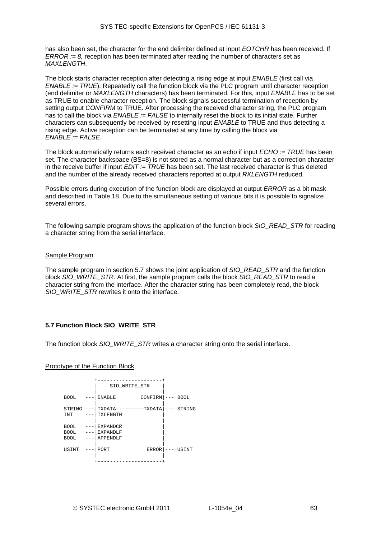has also been set, the character for the end delimiter defined at input *EOTCHR* has been received. If *ERROR := 8,* reception has been terminated after reading the number of characters set as *MAXLENGTH*.

The block starts character reception after detecting a rising edge at input *ENABLE* (first call via *ENABLE := TRUE*). Repeatedly call the function block via the PLC program until character reception (end delimiter or *MAXLENGTH* characters) has been terminated. For this, input *ENABLE* has to be set as TRUE to enable character reception. The block signals successful termination of reception by setting output *CONFIRM* to TRUE. After processing the received character string, the PLC program has to call the block via *ENABLE := FALSE* to internally reset the block to its initial state. Further characters can subsequently be received by resetting input *ENABLE* to TRUE and thus detecting a rising edge. Active reception can be terminated at any time by calling the block via *ENABLE := FALSE*.

The block automatically returns each received character as an echo if input *ECHO := TRUE* has been set. The character backspace (BS=8) is not stored as a normal character but as a correction character in the receive buffer if input *EDIT := TRUE* has been set. The last received character is thus deleted and the number of the already received characters reported at output *RXLENGTH* reduced.

Possible errors during execution of the function block are displayed at output *ERROR* as a bit mask and described in [Table 18.](#page-61-0) Due to the simultaneous setting of various bits it is possible to signalize several errors.

The following sample program shows the application of the function block *SIO\_READ\_STR* for reading a character string from the serial interface.

#### Sample Program

The sample program in section [5.7](#page-62-0) shows the joint application of *SIO\_READ\_STR* and the function block *SIO\_WRITE\_STR*. At first, the sample program calls the block *SIO\_READ\_STR* to read a character string from the interface. After the character string has been completely read, the block SIO\_WRITE\_STR rewrites it onto the interface.

#### <span id="page-62-0"></span>**5.7 Function Block SIO\_WRITE\_STR**

The function block *SIO\_WRITE\_STR* writes a character string onto the serial interface.

#### Prototype of the Function Block

|                                           | SIO WRITE STR                                  |              |             |
|-------------------------------------------|------------------------------------------------|--------------|-------------|
| <b>BOOL</b>                               | <b>ENABLE</b>                                  | CONFIRM      | <b>BOOL</b> |
| STRING<br>INT                             | TXDATA--<br>TXLENGTH                           | $----TXDATA$ | STRING      |
| <b>BOOL</b><br><b>BOOL</b><br><b>BOOL</b> | <b>EXPANDCR</b><br><b>EXPANDLF</b><br>APPENDLF |              |             |
| USINT                                     | PORT                                           | ERROR        | USINT       |
|                                           |                                                |              |             |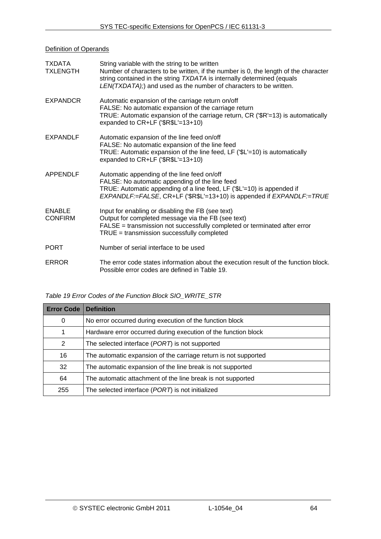# **Definition of Operands**

| <b>TXDATA</b><br><b>TXLENGTH</b> | String variable with the string to be written<br>Number of characters to be written, if the number is 0, the length of the character<br>string contained in the string TXDATA is internally determined (equals<br>LEN(TXDATA);) and used as the number of characters to be written. |
|----------------------------------|-------------------------------------------------------------------------------------------------------------------------------------------------------------------------------------------------------------------------------------------------------------------------------------|
| <b>EXPANDCR</b>                  | Automatic expansion of the carriage return on/off<br>FALSE: No automatic expansion of the carriage return<br>TRUE: Automatic expansion of the carriage return, CR ('\$R'=13) is automatically<br>expanded to CR+LF ('\$R\$L'=13+10)                                                 |
| <b>EXPANDLF</b>                  | Automatic expansion of the line feed on/off<br>FALSE: No automatic expansion of the line feed<br>TRUE: Automatic expansion of the line feed, LF ('\$L'=10) is automatically<br>expanded to $CR+LF$ (' $R$L'=13+10$ )                                                                |
| APPENDLF                         | Automatic appending of the line feed on/off<br>FALSE: No automatic appending of the line feed<br>TRUE: Automatic appending of a line feed, LF ('\$L'=10) is appended if<br>EXPANDLF:=FALSE, CR+LF ('\$R\$L'=13+10) is appended if EXPANDLF:=TRUE                                    |
| <b>ENABLE</b><br><b>CONFIRM</b>  | Input for enabling or disabling the FB (see text)<br>Output for completed message via the FB (see text)<br>FALSE = transmission not successfully completed or terminated after error<br>TRUE = transmission successfully completed                                                  |
| <b>PORT</b>                      | Number of serial interface to be used                                                                                                                                                                                                                                               |
| <b>ERROR</b>                     | The error code states information about the execution result of the function block.<br>Possible error codes are defined in Table 19.                                                                                                                                                |

# *Table 19 Error Codes of the Function Block SIO\_WRITE\_STR*

<span id="page-63-0"></span>

| <b>Error Code</b> | <b>Definition</b>                                               |
|-------------------|-----------------------------------------------------------------|
| 0                 | No error occurred during execution of the function block        |
|                   | Hardware error occurred during execution of the function block  |
| 2                 | The selected interface (PORT) is not supported                  |
| 16                | The automatic expansion of the carriage return is not supported |
| 32                | The automatic expansion of the line break is not supported      |
| 64                | The automatic attachment of the line break is not supported     |
| 255               | The selected interface (PORT) is not initialized                |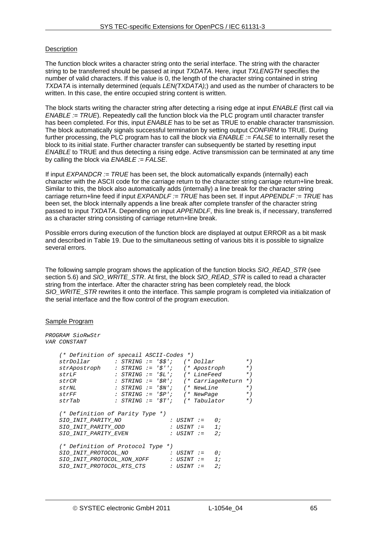# **Description**

The function block writes a character string onto the serial interface. The string with the character string to be transferred should be passed at input *TXDATA*. Here, input *TXLENGTH* specifies the number of valid characters. If this value is 0, the length of the character string contained in string *TXDATA* is internally determined (equals *LEN(TXDATA);*) and used as the number of characters to be written. In this case, the entire occupied string content is written.

The block starts writing the character string after detecting a rising edge at input *ENABLE* (first call via *ENABLE := TRUE*). Repeatedly call the function block via the PLC program until character transfer has been completed. For this, input *ENABLE* has to be set as TRUE to enable character transmission. The block automatically signals successful termination by setting output *CONFIRM* to TRUE. During further processing, the PLC program has to call the block via *ENABLE := FALSE* to internally reset the block to its initial state. Further character transfer can subsequently be started by resetting input *ENABLE* to TRUE and thus detecting a rising edge. Active transmission can be terminated at any time by calling the block via *ENABLE := FALSE*.

If input *EXPANDCR := TRUE* has been set, the block automatically expands (internally) each character with the ASCII code for the carriage return to the character string carriage return+line break. Similar to this, the block also automatically adds (internally) a line break for the character string carriage return+line feed if input *EXPANDLF := TRUE* has been set. If input *APPENDLF := TRUE* has been set, the block internally appends a line break after complete transfer of the character string passed to input *TXDATA*. Depending on input *APPENDLF*, this line break is, if necessary, transferred as a character string consisting of carriage return+line break.

Possible errors during execution of the function block are displayed at output ERROR as a bit mask and described in [Table 19.](#page-63-0) Due to the simultaneous setting of various bits it is possible to signalize several errors.

The following sample program shows the application of the function blocks *SIO\_READ\_STR* (see section [5.6](#page-60-0)) and *SIO\_WRITE\_STR*. At first, the block *SIO\_READ\_STR* is called to read a character string from the interface. After the character string has been completely read, the block *SIO\_WRITE\_STR* rewrites it onto the interface. This sample program is completed via initialization of the serial interface and the flow control of the program execution.

#### Sample Program

| PROGRAM SioRwStr<br>VAR CONSTANT                                                            |  |  |                   |    |                |
|---------------------------------------------------------------------------------------------|--|--|-------------------|----|----------------|
| (* Definition of specail ASCII-Codes *)                                                     |  |  |                   |    | $*$ )          |
| strApostroph : STRING := '\$''; (* Apostroph                                                |  |  |                   |    | $*$ )<br>$*$ ) |
| : STRING := '\$L'; (* LineFeed<br>strLF<br>$strCR$ : $STRING := 'SR'$ ; $(* CarriageReturn$ |  |  |                   |    | $*$ )          |
|                                                                                             |  |  |                   |    | $*$ )          |
| strFF                                                                                       |  |  |                   |    | $*$ )          |
| strTab                                                                                      |  |  |                   |    | $*$ )          |
| (* Definition of Parity Type *)                                                             |  |  |                   |    |                |
| SIO INIT PARITY NO                                                                          |  |  | : USINT $:=$ 0;   |    |                |
| SIO INIT PARITY ODD                                                                         |  |  | $:$ USINT $:$ $=$ | 1: |                |
| <i>SIO INIT PARITY EVEN</i>                                                                 |  |  | $:$ USINT $:$ $=$ | 2: |                |
| (* Definition of Protocol Type *)                                                           |  |  |                   |    |                |
| SIO INIT PROTOCOL NO                                                                        |  |  | : USINT :=        | 0; |                |
| SIO INIT PROTOCOL XON XOFF : USINT :=                                                       |  |  |                   | 1: |                |
| SIO INIT PROTOCOL RTS CTS : USINT :=                                                        |  |  |                   | 2: |                |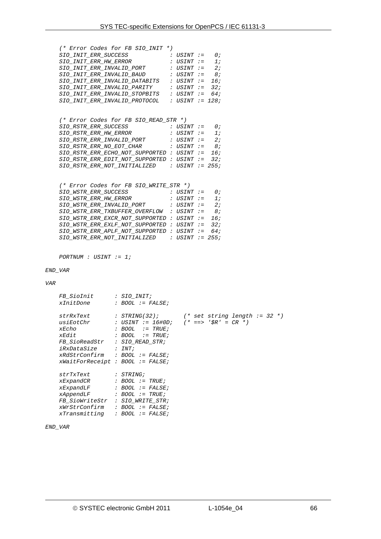|                                                  |                                        | (* Error Codes for FB SIO INIT *)<br>$SIO\_INIT\_ERR\_INVALID\_PORT$ : USINT := 2;<br>$\begin{minipage}{0.9\linewidth} \texttt{SIO\_INIT\_ERR\_INVALID\_BAUD} & \texttt{: } \texttt{USINT} := 8 \, \texttt{;} \end{minipage}$<br>$\begin{tabular}{lllllll} \it SIO\_INIT\_ERR\_INVALID\_DATABITS & : USINT & := & 16 \thinspace; \\ \it SIO\_INIT\_ERR\_INVALID\_PARTTY & : USINT & := & 32 \thinspace; \\ \end{tabular}$<br>$\begin{minipage}{0.9\linewidth} \texttt{SIO\_INIT\_ERR\_INVALID\_STOPBITS} \quad : \texttt{USINT} := 64 \texttt{;} \end{minipage}$<br>$\begin{minipage}{0.9\linewidth} \texttt{SIO\_INIT\_ERR\_INVALID\_PROTOCOL} & \texttt{: } \texttt{USINT} := 128 \texttt{;} \end{minipage}$ |                 |  |  |  |
|--------------------------------------------------|----------------------------------------|----------------------------------------------------------------------------------------------------------------------------------------------------------------------------------------------------------------------------------------------------------------------------------------------------------------------------------------------------------------------------------------------------------------------------------------------------------------------------------------------------------------------------------------------------------------------------------------------------------------------------------------------------------------------------------------------------------------|-----------------|--|--|--|
|                                                  |                                        | (* Error Codes for FB SIO READ STR *)<br>$\begin{tabular}{lllllllll} \it{SIO\_RSTR\_ER\_SUCCES} & & & \it{: } \; \it{USINT} & := & \it{0;} \\ \it{SIO\_RSTR\_ER\_HW\_ERROR} & & & \it{: } \; \it{USINT} & := & \it{1;} \\ \end{tabular}$<br>$\begin{minipage}{0.9\linewidth} \texttt{SIO\_RSTR\_ERR\_INVALID\_PORT} & \texttt{: } \texttt{USINT} := 2 \texttt{;} \end{minipage}$<br>SIO_RSTR_ERR_NO_EOT_CHAR<br>SIO RSTR ERR ECHO NOT SUPPORTED : USINT $:=$ 16;<br>SIO RSTR ERR EDIT NOT SUPPORTED : USINT $:=$ 32;<br>$SIO\_RSTR\_ERR\_NOT\_INITIALIZED$ : USINT := 255;                                                                                                                                     | : USINT := 8;   |  |  |  |
|                                                  | $PORTNUM : USINT := 1;$                | (* Error Codes for FB SIO_WRITE_STR *)<br>SIO_WSTR_ERR_HW_ERROR<br>$\begin{minipage}{0.9\linewidth} \texttt{SIO\_WSTR\_ERR\_INVALID\_PORT} & \texttt{: } \texttt{USINT} := 2 \texttt{;} \end{minipage}$<br>$SIO$ _WSTR_ERR_TXBUFFER_OVERFLOW : USINT := 8;<br>$SIO$ _WSTR_ERR_EXCR_NOT_SUPPORTED : USINT := 16;<br>SIO WSTR ERR EXLF NOT SUPPORTED : USINT $:=$ 32;<br>SIO WSTR ERR APLF NOT SUPPORTED : USINT $:=$ 64;<br>SIO WSTR ERR NOT INITIALIZED : USINT := 255;                                                                                                                                                                                                                                        | : USINT $:=$ 1; |  |  |  |
| END_VAR                                          |                                        |                                                                                                                                                                                                                                                                                                                                                                                                                                                                                                                                                                                                                                                                                                                |                 |  |  |  |
| VAR                                              |                                        | FB_SioInit : SIO_INIT;<br>xInitDone : BOOL := F.<br>$: BOOL := FALSE;$                                                                                                                                                                                                                                                                                                                                                                                                                                                                                                                                                                                                                                         |                 |  |  |  |
| xEdit<br>iRxDataSize                             | FB SioReadStr                          | xEcho : BOOL := TRUE;<br>$: BOOL := TRUE;$<br>: $SIO\_READ\_STR;$<br>: $INT:$<br>xRdStrConfirm : BOOL := FALSE;<br>$xWaitForReceipt : BOOL := FALSE;$                                                                                                                                                                                                                                                                                                                                                                                                                                                                                                                                                          |                 |  |  |  |
| strTxText<br>xExpandCR<br>xExpandLF<br>xAppendLF | <i>FB_SioWriteStr</i><br>xTransmitting | : STRING;<br>: BOOL := $TRUE$ ;<br>: BOOL $:=$ FALSE;<br>$: BOOL := TRUE;$<br>: SIO_WRITE_STR;<br>$xWrStrConfirm$ : BOOL := FALSE;<br>: BOOL $:=$ FALSE;                                                                                                                                                                                                                                                                                                                                                                                                                                                                                                                                                       |                 |  |  |  |

*END\_VAR*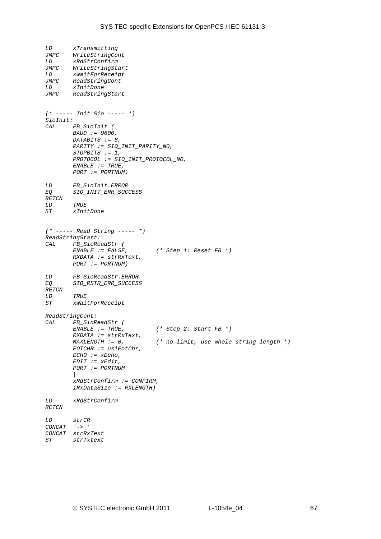```
LD xTransmitting 
JMPC WriteStringCont 
LD xRdStrConfirm 
        WriteStringStartLD xWaitForReceipt 
        JMPC ReadStringCont 
LD xInitDone 
        JMPC ReadStringStart 
(* ----- Init Sio ----- *) 
SioInit: 
CAL FB_SioInit ( 
         BAUD := 9600, 
         DATABITS := 8, 
         PARITY := SIO_INIT_PARITY_NO, 
         STOPBITS := 1, 
         PROTOCOL := SIO_INIT_PROTOCOL_NO, 
         ENABLE := TRUE, 
         PORT := PORTNUM) 
LD FB_SioInit.ERROR 
        EQ SIO_INIT_ERR_SUCCESS 
RETCN 
LD TRUE 
ST xInitDone 
(* ----- Read String ----- *) 
ReadStringStart: 
        CAL FB_SioReadStr ( 
         ENABLE := FALSE, (* Step 1: Reset FB *) 
         RXDATA := strRxText, 
         PORT := PORTNUM) 
LD FB_SioReadStr.ERROR 
EQ SIO_RSTR_ERR_SUCCESS 
RETCN 
LD TRUE 
ST xWaitForReceipt 
ReadStringCont: 
CAL FB_SioReadStr ( 
                                  ENABLE := TRUE, (* Step 2: Start FB *) 
         RXDATA := strRxText, 
                                  MAXLENGTH := 0, (* no limit, use whole string length *) 
         EOTCHR := usiEotChr, 
         ECHO := xEcho, 
         EDIT := xEdit, 
         PORT := PORTNUM 
 | 
         xRdStrConfirm := CONFIRM, 
         iRxDataSize := RXLENGTH) 
LD xRdStrConfirm 
RETCN 
LD strCR 
CONCAT '-> ' 
CONCAT strRxText 
ST strTxtext
```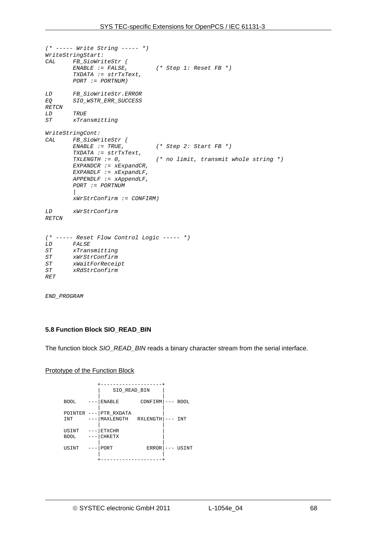```
(* ----- Write String ----- *) 
WriteStringStart: 
       CAL FB_SioWriteStr ( 
                                (* Step 1: Reset FB *)
         TXDATA := strTxText, 
         PORT := PORTNUM) 
LD FB_SioWriteStr.ERROR 
        EQ SIO_WSTR_ERR_SUCCESS 
RETCN 
LD TRUE 
ST xTransmitting 
WriteStringCont: 
CAL FB_SioWriteStr ( 
         ENABLE := TRUE, (* Step 2: Start FB *) 
         TXDATA := strTxText, 
                                 TXLENGTH := 0, (* no limit, transmit whole string *) 
         EXPANDCR := xExpandCR, 
 EXPANDLF := xExpandLF, 
 APPENDLF := xAppendLF, 
         PORT := PORTNUM 
 | 
         xWrStrConfirm := CONFIRM) 
LD xWrStrConfirm 
RETCN 
(* ----- Reset Flow Control Logic ----- *) 
LD FALSE 
ST xTransmitting 
       ST xWrStrConfirm 
ST xWaitForReceipt 
       ST xRdStrConfirm 
RET
```
*END\_PROGRAM* 

#### <span id="page-67-0"></span>**5.8 Function Block SIO\_READ\_BIN**

The function block *SIO\_READ\_BIN* reads a binary character stream from the serial interface.

#### Prototype of the Function Block

|                       |                  | SIO READ BIN                     |              |                     |             |
|-----------------------|------------------|----------------------------------|--------------|---------------------|-------------|
| <b>BOOL</b>           |                  | <b>ENABLE</b>                    | CONFIRM      | $\qquad \qquad - -$ | <b>BOOL</b> |
| POINTER<br><b>INT</b> | $---$            | PTR RXDATA<br>MAXLENGTH RXLENGTH |              |                     | INT         |
| USINT<br><b>BOOL</b>  | $---$<br>$- - -$ | <b>ETXCHR</b><br><b>CHKETX</b>   |              |                     |             |
| USINT                 | $- - -$          | PORT                             | <b>ERROR</b> |                     | USINT       |
|                       |                  |                                  |              |                     |             |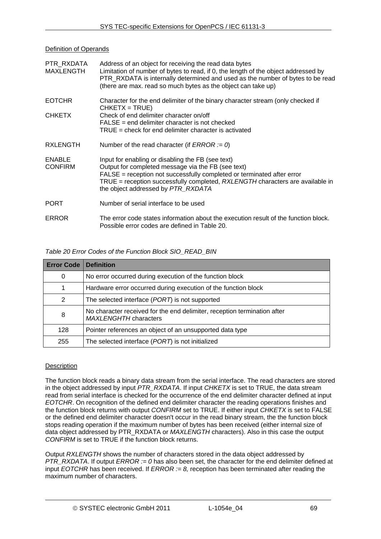Definition of Operands

| PTR RXDATA<br>MAXLENGTH         | Address of an object for receiving the read data bytes<br>Limitation of number of bytes to read, if 0, the length of the object addressed by<br>PTR_RXDATA is internally determined and used as the number of bytes to be read<br>(there are max. read so much bytes as the object can take up)          |
|---------------------------------|----------------------------------------------------------------------------------------------------------------------------------------------------------------------------------------------------------------------------------------------------------------------------------------------------------|
| <b>EOTCHR</b><br><b>CHKETX</b>  | Character for the end delimiter of the binary character stream (only checked if<br>$CHKEY = TRUE$<br>Check of end delimiter character on/off<br>$FALSE = end$ delimiter character is not checked<br>$TRUE = check$ for end delimiter character is activated                                              |
| <b>RXLENGTH</b>                 | Number of the read character (if <i>ERROR</i> := 0)                                                                                                                                                                                                                                                      |
| <b>ENABLE</b><br><b>CONFIRM</b> | Input for enabling or disabling the FB (see text)<br>Output for completed message via the FB (see text)<br>FALSE = reception not successfully completed or terminated after error<br>TRUE = reception successfully completed, RXLENGTH characters are available in<br>the object addressed by PTR_RXDATA |
| <b>PORT</b>                     | Number of serial interface to be used                                                                                                                                                                                                                                                                    |
| <b>ERROR</b>                    | The error code states information about the execution result of the function block.<br>Possible error codes are defined in Table 20.                                                                                                                                                                     |

*Table 20 Error Codes of the Function Block SIO\_READ\_BIN* 

<span id="page-68-0"></span>

| <b>Error Code</b> | <b>Definition</b>                                                                                        |
|-------------------|----------------------------------------------------------------------------------------------------------|
| 0                 | No error occurred during execution of the function block                                                 |
|                   | Hardware error occurred during execution of the function block                                           |
| 2                 | The selected interface (PORT) is not supported                                                           |
| 8                 | No character received for the end delimiter, reception termination after<br><b>MAXLENGHTH characters</b> |
| 128               | Pointer references an object of an unsupported data type                                                 |
| 255               | The selected interface (PORT) is not initialized                                                         |

# **Description**

The function block reads a binary data stream from the serial interface. The read characters are stored in the object addressed by input *PTR\_RXDATA*. If input *CHKETX* is set to TRUE, the data stream read from serial interface is checked for the occurrence of the end delimiter character defined at input *EOTCHR*. On recognition of the defined end delimiter character the reading operations finishes and the function block returns with output *CONFIRM* set to TRUE. If either input *CHKETX* is set to FALSE or the defined end delimiter character doesn't occur in the read binary stream, the the function block stops reading operation if the maximum number of bytes has been received (either internal size of data object addressed by PTR\_RXDATA or *MAXLENGTH* characters). Also in this case the output *CONFIRM* is set to TRUE if the function block returns.

Output *RXLENGTH* shows the number of characters stored in the data object addressed by *PTR\_RXDATA.* If output *ERROR := 0* has also been set, the character for the end delimiter defined at input *EOTCHR* has been received. If *ERROR := 8,* reception has been terminated after reading the maximum number of characters.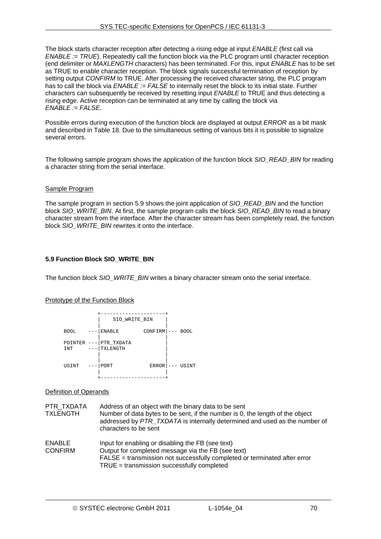The block starts character reception after detecting a rising edge at input *ENABLE* (first call via *ENABLE := TRUE*). Repeatedly call the function block via the PLC program until character reception (end delimiter or *MAXLENGTH* characters) has been terminated. For this, input *ENABLE* has to be set as TRUE to enable character reception. The block signals successful termination of reception by setting output *CONFIRM* to TRUE. After processing the received character string, the PLC program has to call the block via *ENABLE := FALSE* to internally reset the block to its initial state. Further characters can subsequently be received by resetting input *ENABLE* to TRUE and thus detecting a rising edge. Active reception can be terminated at any time by calling the block via *ENABLE := FALSE*.

Possible errors during execution of the function block are displayed at output *ERROR* as a bit mask and described in [Table 18.](#page-61-0) Due to the simultaneous setting of various bits it is possible to signalize several errors.

The following sample program shows the application of the function block *SIO\_READ\_BIN* for reading a character string from the serial interface.

#### Sample Program

The sample program in section [5.9](#page-69-0) shows the joint application of *SIO\_READ\_BIN* and the function block *SIO\_WRITE\_BIN*. At first, the sample program calls the block *SIO\_READ\_BIN* to read a binary character stream from the interface. After the character stream has been completely read, the function block *SIO\_WRITE\_BIN* rewrites it onto the interface.

#### <span id="page-69-0"></span>**5.9 Function Block SIO\_WRITE\_BIN**

The function block *SIO\_WRITE\_BIN* writes a binary character stream onto the serial interface.

#### Prototype of the Function Block

|  |                |       | SIO_WRITE_BIN          |                    |  |             |  |  |  |
|--|----------------|-------|------------------------|--------------------|--|-------------|--|--|--|
|  | <b>BOOL</b>    |       | ENABLE                 | $CONFIRM$ $ -----$ |  | <b>BOOL</b> |  |  |  |
|  | POINTER<br>INT | $---$ | PTR_TXDATA<br>TXLENGTH |                    |  |             |  |  |  |
|  | USINT          |       | PORT                   | $ERROR$   $---$    |  | USINT       |  |  |  |
|  |                |       |                        |                    |  |             |  |  |  |

#### Definition of Operands

PTR\_TXDATA Address of an object with the binary data to be sent TXLENGTH Number of data bytes to be sent, if the number is 0, the length of the object addressed by *PTR\_TXDATA* is internally determined and used as the number of characters to be sent ENABLE Input for enabling or disabling the FB (see text) CONFIRM Output for completed message via the FB (see text) FALSE = transmission not successfully completed or terminated after error TRUE = transmission successfully completed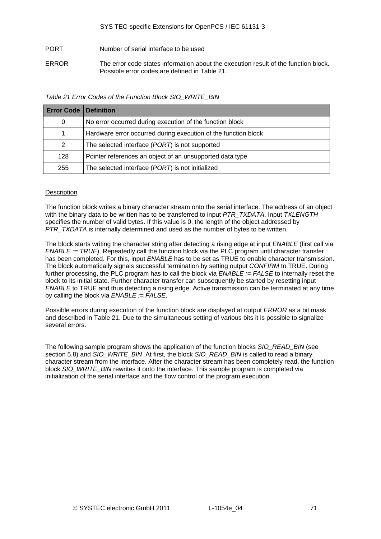PORT Number of serial interface to be used

ERROR The error code states information about the execution result of the function block. Possible error codes are defined in [Table 21](#page-70-0).

*Table 21 Error Codes of the Function Block SIO\_WRITE\_BIN* 

<span id="page-70-0"></span>

| <b>Error Code   Definition</b> |                                                                |
|--------------------------------|----------------------------------------------------------------|
| 0                              | No error occurred during execution of the function block       |
|                                | Hardware error occurred during execution of the function block |
| 2                              | The selected interface (PORT) is not supported                 |
| 128                            | Pointer references an object of an unsupported data type       |
| 255                            | The selected interface (PORT) is not initialized               |

# **Description**

The function block writes a binary character stream onto the serial interface. The address of an object with the binary data to be written has to be transferred to input *PTR\_TXDATA*. Input *TXLENGTH* specifies the number of valid bytes. If this value is 0, the length of the object addressed by **PTR\_TXDATA** is internally determined and used as the number of bytes to be written.

The block starts writing the character string after detecting a rising edge at input *ENABLE* (first call via *ENABLE := TRUE*). Repeatedly call the function block via the PLC program until character transfer has been completed. For this, input *ENABLE* has to be set as TRUE to enable character transmission. The block automatically signals successful termination by setting output *CONFIRM* to TRUE. During further processing, the PLC program has to call the block via *ENABLE := FALSE* to internally reset the block to its initial state. Further character transfer can subsequently be started by resetting input *ENABLE* to TRUE and thus detecting a rising edge. Active transmission can be terminated at any time by calling the block via *ENABLE := FALSE*.

Possible errors during execution of the function block are displayed at output *ERROR* as a bit mask and described in [Table 21.](#page-70-0) Due to the simultaneous setting of various bits it is possible to signalize several errors.

The following sample program shows the application of the function blocks *SIO\_READ\_BIN* (see section [5.8](#page-67-0)) and *SIO\_WRITE\_BIN*. At first, the block *SIO\_READ\_BIN* is called to read a binary character stream from the interface. After the character stream has been completely read, the function block *SIO\_WRITE\_BIN* rewrites it onto the interface. This sample program is completed via initialization of the serial interface and the flow control of the program execution.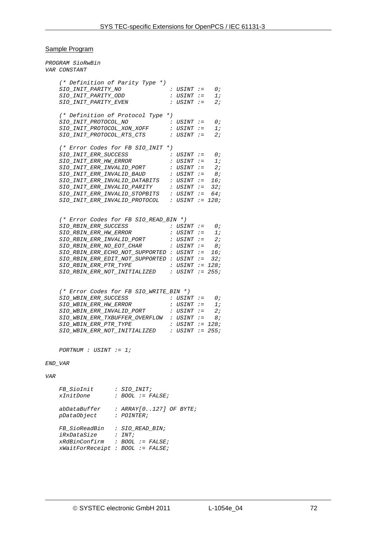# Sample Program

|            | PROGRAM SioRwBin<br>VAR CONSTANT           |                    |  |                   |         |                |  |  |
|------------|--------------------------------------------|--------------------|--|-------------------|---------|----------------|--|--|
|            | (* Definition of Parity Type *)            |                    |  |                   |         |                |  |  |
|            | SIO_INIT_PARITY_NO                         |                    |  | : USINT :=        |         | $\theta$ ;     |  |  |
|            | SIO INIT PARITY ODD                        |                    |  | $:$ USINT $:=$    |         | 1;             |  |  |
|            | SIO_INIT_PARITY_EVEN                       |                    |  | : USINT :=        |         | 2:             |  |  |
|            | (* Definition of Protocol Type *)          |                    |  |                   |         |                |  |  |
|            | SIO INIT PROTOCOL NO                       |                    |  | : USINT :=        |         | 0;             |  |  |
|            | SIO_INIT_PROTOCOL_XON_XOFF                 |                    |  | : USINT :=        |         | 1:             |  |  |
|            | SIO INIT PROTOCOL RTS CTS                  |                    |  | $:$ USINT $:=$    |         | 2:             |  |  |
|            | (* Error Codes for FB SIO_INIT *)          |                    |  |                   |         |                |  |  |
|            | SIO INIT ERR SUCCESS                       |                    |  | : USINT :=        |         | 0;             |  |  |
|            | SIO_INIT_ERR_HW_ERROR                      |                    |  | : USINT :=        |         | 1:             |  |  |
|            | SIO INIT ERR INVALID PORT                  |                    |  | : USINT :=        |         | 2;             |  |  |
|            | SIO_INIT_ERR_INVALID_BAUD                  |                    |  | $:$ USINT $:=$    |         | 8;             |  |  |
|            | SIO INIT ERR INVALID DATABITS              |                    |  | : USINT :=        |         | 16;            |  |  |
|            | SIO_INIT_ERR_INVALID_PARITY                |                    |  | : USINT :=        |         | 32;            |  |  |
|            | SIO_INIT_ERR_INVALID_STOPBITS              |                    |  | : USINT $:=$ 64;  |         |                |  |  |
|            | SIO INIT ERR INVALID PROTOCOL              |                    |  | : USINT $:= 128;$ |         |                |  |  |
|            |                                            |                    |  |                   |         |                |  |  |
|            | (* Error Codes for FB SIO_READ_BIN *)      |                    |  |                   |         |                |  |  |
|            | SIO RBIN ERR SUCCESS                       |                    |  | : USINT := 0;     |         |                |  |  |
|            | SIO RBIN ERR HW ERROR                      |                    |  | : USINT           | $: =$   | 1;             |  |  |
|            | SIO_RBIN_ERR_INVALID_PORT                  |                    |  | : USINT :=        |         | 2:             |  |  |
|            | SIO RBIN ERR NO EOT CHAR                   |                    |  | $:$ USINT $:=$    |         | 8;             |  |  |
|            | SIO RBIN ERR ECHO NOT SUPPORTED : USINT    |                    |  |                   | $t = 1$ |                |  |  |
|            |                                            |                    |  |                   |         | 16;            |  |  |
|            | SIO RBIN ERR EDIT NOT SUPPORTED : USINT := |                    |  |                   |         | 32;            |  |  |
|            | SIO_RBIN_ERR_PTR_TYPE                      |                    |  | : USINT := 128;   |         |                |  |  |
|            | SIO RBIN ERR NOT INITIALIZED               |                    |  | : USINT $:= 255;$ |         |                |  |  |
|            |                                            |                    |  |                   |         |                |  |  |
|            | (* Error Codes for FB SIO_WRITE_BIN *)     |                    |  |                   |         |                |  |  |
|            | SIO WBIN ERR SUCCESS                       |                    |  | : USINT           |         | $:= \qquad 0;$ |  |  |
|            | SIO WBIN ERR HW ERROR                      |                    |  | : USINT :=        |         | 1;             |  |  |
|            | SIO WBIN ERR INVALID PORT                  |                    |  | $:$ USINT $:=$    |         | 2:             |  |  |
|            | SIO WBIN ERR TXBUFFER OVERFLOW             |                    |  | : USINT           | $: =$   | 8;             |  |  |
|            | SIO WBIN ERR PTR TYPE                      |                    |  | : USINT $:= 128;$ |         |                |  |  |
|            | SIO WBIN ERR NOT INITIALIZED               |                    |  | : $USINT$ := 255; |         |                |  |  |
|            | $PORTNUM : USINT := 1;$                    |                    |  |                   |         |                |  |  |
| END VAR    |                                            |                    |  |                   |         |                |  |  |
| <b>VAR</b> |                                            |                    |  |                   |         |                |  |  |
|            |                                            |                    |  |                   |         |                |  |  |
|            | <i>FB SioInit</i>                          | : SIO_INIT;        |  |                   |         |                |  |  |
|            | xInitDone                                  | : BOOL := $FALSE;$ |  |                   |         |                |  |  |
|            |                                            |                    |  |                   |         |                |  |  |
|            | abDataBuffer : ARRAY[0127] OF BYTE;        |                    |  |                   |         |                |  |  |
|            | pDataObject : POINTER;                     |                    |  |                   |         |                |  |  |
|            | FB_SioReadBin : SIO_READ_BIN;              |                    |  |                   |         |                |  |  |
|            | iRxDataSize                                | : INT;             |  |                   |         |                |  |  |
|            | xRdBinConfirm : BOOL := FALSE;             |                    |  |                   |         |                |  |  |
|            | $xWaitForReceipt : BOOL := FALSE;$         |                    |  |                   |         |                |  |  |
|            |                                            |                    |  |                   |         |                |  |  |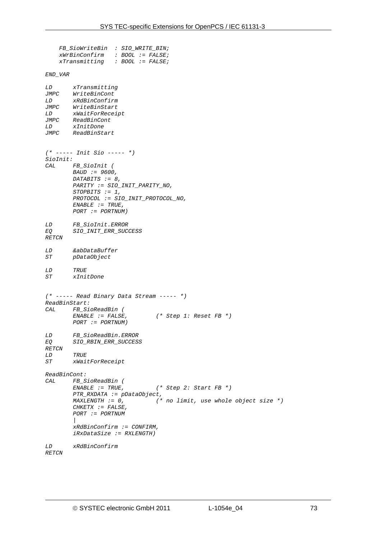```
 FB_SioWriteBin : SIO_WRITE_BIN; 
     xWrBinConfirm : BOOL := FALSE; 
                     xTransmitting : BOOL := FALSE; 
END_VAR 
LD xTransmitting 
JMPC WriteBinCont 
        LD xRdBinConfirm 
JMPC WriteBinStart 
LD xWaitForReceipt 
JMPC ReadBinCont 
LD xInitDone 
        JMPC ReadBinStart 
(* ----- Init Sio ----- *) 
SioInit: 
        CAL FB_SioInit ( 
         BAUD := 9600, 
         DATABITS := 8, 
         PARITY := SIO_INIT_PARITY_NO, 
         STOPBITS := 1, 
         PROTOCOL := SIO_INIT_PROTOCOL_NO, 
         ENABLE := TRUE, 
         PORT := PORTNUM) 
LD FB_SioInit.ERROR 
EQ SIO_INIT_ERR_SUCCESS 
RETCN 
LD &abDataBuffer 
        ST pDataObject 
LD TRUE 
        ST xInitDone 
(* ----- Read Binary Data Stream ----- *) 
ReadBinStart: 
CAL FB_SioReadBin ( 
         ENABLE := FALSE, (* Step 1: Reset FB *) 
         PORT := PORTNUM) 
LD FB_SioReadBin.ERROR 
        EQ SIO_RBIN_ERR_SUCCESS 
RETCN 
LD TRUE 
        ST xWaitForReceipt 
ReadBinCont: 
        FB_SioReadBin (<br>ENABLE := TRUE,
                                   ENABLE := TRUE, (* Step 2: Start FB *) 
         PTR_RXDATA := pDataObject, 
                                  MAXLENGTH := 0, (* no limit, use whole object size *) 
         CHKETX := FALSE, 
         PORT := PORTNUM 
 | 
         xRdBinConfirm := CONFIRM, 
         iRxDataSize := RXLENGTH) 
LD xRdBinConfirm 
RETCN
```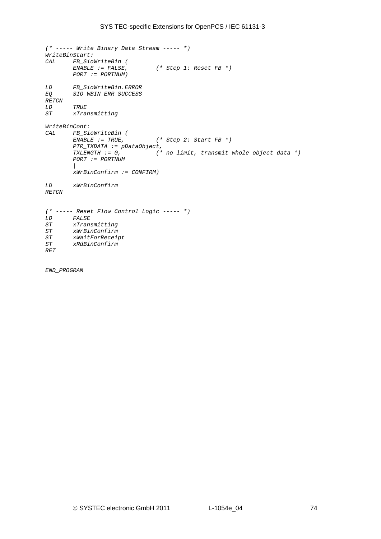```
(* ----- Write Binary Data Stream ----- *) 
WriteBinStart: 
       CAL FB_SioWriteBin ( 
                              ENABLE := FALSE, (* Step 1: Reset FB *) 
        PORT := PORTNUM) 
LD FB_SioWriteBin.ERROR 
       EQ SIO_WBIN_ERR_SUCCESS 
RETCN 
LD TRUE 
ST xTransmitting 
WriteBinCont: 
       CAL FB_SioWriteBin ( 
 ENABLE := TRUE, (* Step 2: Start FB *) 
 PTR_TXDATA := pDataObject, 
 TXLENGTH := 0, (* no limit, transmit whole object data *) 
 PORT := PORTNUM 
 | 
        xWrBinConfirm := CONFIRM) 
LD xWrBinConfirm 
RETCN 
(* ----- Reset Flow Control Logic ----- *) 
LD FALSE 
ST xTransmitting 
ST xWrBinConfirm 
ST xWaitForReceipt 
       ST xRdBinConfirm 
RET
```
*END\_PROGRAM*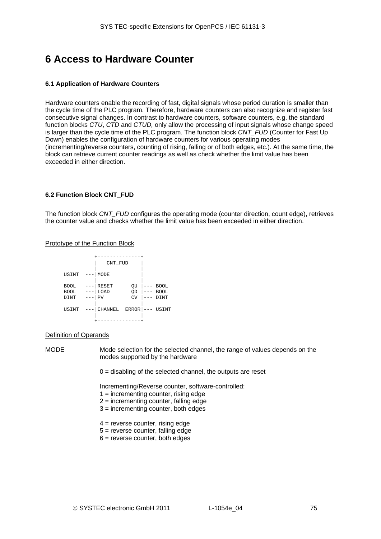# **6 Access to Hardware Counter**

## **6.1 Application of Hardware Counters**

Hardware counters enable the recording of fast, digital signals whose period duration is smaller than the cycle time of the PLC program. Therefore, hardware counters can also recognize and register fast consecutive signal changes. In contrast to hardware counters, software counters, e.g. the standard function blocks *CTU*, *CTD* and *CTUD,* only allow the processing of input signals whose change speed is larger than the cycle time of the PLC program. The function block *CNT\_FUD* (Counter for Fast Up Down) enables the configuration of hardware counters for various operating modes (incrementing/reverse counters, counting of rising, falling or of both edges, etc.). At the same time, the block can retrieve current counter readings as well as check whether the limit value has been exceeded in either direction.

## **6.2 Function Block CNT\_FUD**

The function block *CNT\_FUD* configures the operating mode (counter direction, count edge), retrieves the counter value and checks whether the limit value has been exceeded in either direction.

### Prototype of the Function Block

|                                    | CNT_FUD             |                |       |                                    |
|------------------------------------|---------------------|----------------|-------|------------------------------------|
|                                    |                     |                |       |                                    |
| USINT                              | MODE                |                |       |                                    |
| <b>BOOL</b><br><b>BOOL</b><br>DINT | RESET<br>LOAD<br>PV | QU<br>QD<br>CV |       | <b>BOOL</b><br><b>BOOL</b><br>DINT |
| USINT                              | CHANNEL             | ERROR          | $---$ | USINT                              |
|                                    |                     |                |       |                                    |

### Definition of Operands

MODE Mode selection for the selected channel, the range of values depends on the modes supported by the hardware

 $0 =$  disabling of the selected channel, the outputs are reset

Incrementing/Reverse counter, software-controlled:

- $1 =$  incrementing counter, rising edge
- 2 = incrementing counter, falling edge
- 3 = incrementing counter, both edges
- 4 = reverse counter, rising edge
- 5 = reverse counter, falling edge
- $6$  = reverse counter, both edges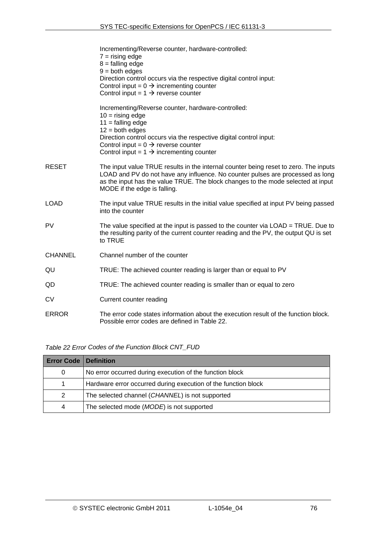|                | Incrementing/Reverse counter, hardware-controlled:<br>$7 =$ rising edge<br>$8 =$ falling edge<br>$9 =$ both edges<br>Direction control occurs via the respective digital control input:<br>Control input = $0 \rightarrow$ incrementing counter<br>Control input = $1 \rightarrow$ reverse counter    |
|----------------|-------------------------------------------------------------------------------------------------------------------------------------------------------------------------------------------------------------------------------------------------------------------------------------------------------|
|                | Incrementing/Reverse counter, hardware-controlled:<br>$10 =$ rising edge<br>$11 =$ falling edge<br>$12 =$ both edges<br>Direction control occurs via the respective digital control input:<br>Control input = $0 \rightarrow$ reverse counter<br>Control input = $1 \rightarrow$ incrementing counter |
| <b>RESET</b>   | The input value TRUE results in the internal counter being reset to zero. The inputs<br>LOAD and PV do not have any influence. No counter pulses are processed as long<br>as the input has the value TRUE. The block changes to the mode selected at input<br>MODE if the edge is falling.            |
| <b>LOAD</b>    | The input value TRUE results in the initial value specified at input PV being passed<br>into the counter                                                                                                                                                                                              |
| <b>PV</b>      | The value specified at the input is passed to the counter via LOAD = TRUE. Due to<br>the resulting parity of the current counter reading and the PV, the output QU is set<br>to TRUE                                                                                                                  |
| <b>CHANNEL</b> | Channel number of the counter                                                                                                                                                                                                                                                                         |
| QU             | TRUE: The achieved counter reading is larger than or equal to PV                                                                                                                                                                                                                                      |
| QD             | TRUE: The achieved counter reading is smaller than or equal to zero                                                                                                                                                                                                                                   |
| CV             | Current counter reading                                                                                                                                                                                                                                                                               |
| <b>ERROR</b>   | The error code states information about the execution result of the function block.<br>Possible error codes are defined in Table 22.                                                                                                                                                                  |

*Table 22 Error Codes of the Function Block CNT\_FUD* 

<span id="page-75-0"></span>

| <b>Error Code   Definition</b> |                                                                |
|--------------------------------|----------------------------------------------------------------|
| 0                              | No error occurred during execution of the function block       |
|                                | Hardware error occurred during execution of the function block |
| 2                              | The selected channel (CHANNEL) is not supported                |
| 4                              | The selected mode (MODE) is not supported                      |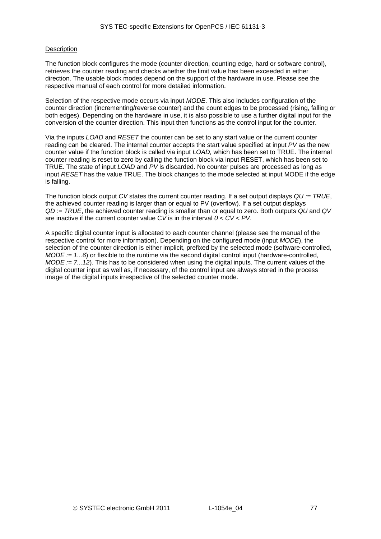# **Description**

The function block configures the mode (counter direction, counting edge, hard or software control), retrieves the counter reading and checks whether the limit value has been exceeded in either direction. The usable block modes depend on the support of the hardware in use. Please see the respective manual of each control for more detailed information.

Selection of the respective mode occurs via input *MODE*. This also includes configuration of the counter direction (incrementing/reverse counter) and the count edges to be processed (rising, falling or both edges). Depending on the hardware in use, it is also possible to use a further digital input for the conversion of the counter direction. This input then functions as the control input for the counter.

Via the inputs *LOAD* and *RESET* the counter can be set to any start value or the current counter reading can be cleared. The internal counter accepts the start value specified at input *PV* as the new counter value if the function block is called via input *LOAD,* which has been set to TRUE. The internal counter reading is reset to zero by calling the function block via input RESET, which has been set to TRUE. The state of input *LOAD* and *PV* is discarded. No counter pulses are processed as long as input *RESET* has the value TRUE. The block changes to the mode selected at input MODE if the edge is falling.

The function block output *CV* states the current counter reading. If a set output displays *QU := TRUE*, the achieved counter reading is larger than or equal to PV (overflow). If a set output displays *QD := TRUE*, the achieved counter reading is smaller than or equal to zero. Both outputs *QU* and *QV* are inactive if the current counter value C*V* is in the interval *0 < CV < PV*.

A specific digital counter input is allocated to each counter channel (please see the manual of the respective control for more information). Depending on the configured mode (input *MODE*), the selection of the counter direction is either implicit, prefixed by the selected mode (software-controlled, *MODE := 1...6*) or flexible to the runtime via the second digital control input (hardware-controlled, *MODE := 7...12*). This has to be considered when using the digital inputs. The current values of the digital counter input as well as, if necessary, of the control input are always stored in the process image of the digital inputs irrespective of the selected counter mode.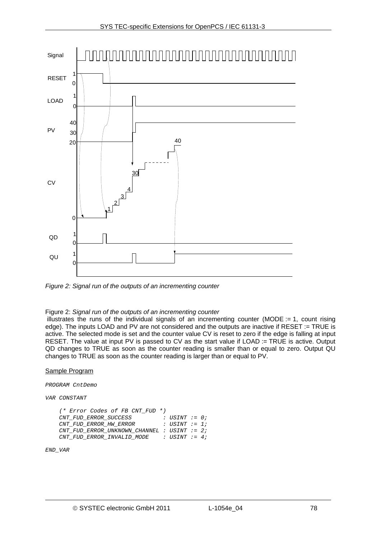

<span id="page-77-0"></span>*Figure 2: Signal run of the outputs of an incrementing counter* 

#### Figure 2: *[Signal run of the outputs of an incrementing counter](#page-77-0)*

 illustrates the runs of the individual signals of an incrementing counter (MODE := 1, count rising edge). The inputs LOAD and PV are not considered and the outputs are inactive if RESET := TRUE is active. The selected mode is set and the counter value CV is reset to zero if the edge is falling at input RESET. The value at input PV is passed to CV as the start value if LOAD := TRUE is active. Output QD changes to TRUE as soon as the counter reading is smaller than or equal to zero. Output QU changes to TRUE as soon as the counter reading is larger than or equal to PV.

### Sample Program

*PROGRAM CntDemo* 

#### *VAR CONSTANT*

```
 (* Error Codes of FB CNT_FUD *) 
 CNT_FUD_ERROR_SUCCESS : USINT := 0; 
CNT FUD ERROR HW ERROR
 CNT_FUD_ERROR_UNKNOWN_CHANNEL : USINT := 2; 
 CNT_FUD_ERROR_INVALID_MODE : USINT := 4;
```
*END\_VAR*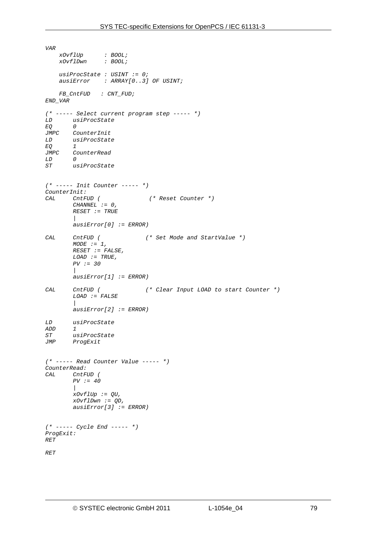*VAR xOvflUp : BOOL; xOvflDwn : BOOL; usiProcState : USINT := 0; ausiError : ARRAY[0..3] OF USINT; FB\_CntFUD : CNT\_FUD; END\_VAR (\* ----- Select current program step ----- \*) LD usiProcState EQ 0 JMPC CounterInit LD usiProcState EQ<br>JMPC JMPC CounterRead LD 0*   $usiProcess$ *(\* ----- Init Counter ----- \*) CounterInit: CAL CntFUD ( (\* Reset Counter \*) CHANNEL := 0, RESET := TRUE | ausiError[0] := ERROR) CAL CntFUD ( (\* Set Mode and StartValue \*) MODE := 1, RESET := FALSE, LOAD := TRUE, PV := 30 | ausiError[1] := ERROR) CAL CntFUD ( (\* Clear Input LOAD to start Counter \*) LOAD := FALSE | ausiError[2] := ERROR) LD usiProcState ADD 1 ST usiProcState*   $ProqExit$ *(\* ----- Read Counter Value ----- \*) CounterRead: CAL CntFUD ( PV := 40 | xOvflUp := QU, xOvflDwn := QD, ausiError[3] := ERROR) (\* ----- Cycle End ----- \*) ProgExit: RET RET*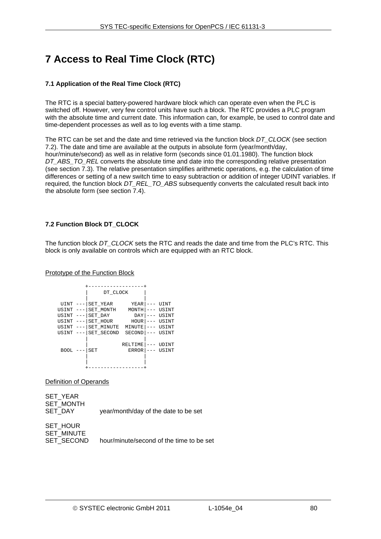# **7 Access to Real Time Clock (RTC)**

# **7.1 Application of the Real Time Clock (RTC)**

The RTC is a special battery-powered hardware block which can operate even when the PLC is switched off. However, very few control units have such a block. The RTC provides a PLC program with the absolute time and current date. This information can, for example, be used to control date and time-dependent processes as well as to log events with a time stamp.

The RTC can be set and the date and time retrieved via the function block *DT\_CLOCK* (see section [7.2\)](#page-79-0). The date and time are available at the outputs in absolute form (year/month/day, hour/minute/second) as well as in relative form (seconds since 01.01.1980). The function block *DT\_ABS\_TO\_REL* converts the absolute time and date into the corresponding relative presentation (see section [7.3](#page-82-0)). The relative presentation simplifies arithmetic operations, e.g. the calculation of time differences or setting of a new switch time to easy subtraction or addition of integer UDINT variables. If required, the function block *DT\_REL\_TO\_ABS* subsequently converts the calculated result back into the absolute form (see section [7.4\)](#page-83-0).

# <span id="page-79-0"></span>**7.2 Function Block DT\_CLOCK**

The function block *DT\_CLOCK* sets the RTC and reads the date and time from the PLC's RTC. This block is only available on controls which are equipped with an RTC block.

## Prototype of the Function Block

|             | DT CLOCK   |               |       |
|-------------|------------|---------------|-------|
|             |            |               |       |
| UINT        | SET YEAR   | YEAR          | UINT  |
| USINT       | SET_MONTH  | MONTH         | USINT |
| USINT       | SET DAY    | DAY           | USINT |
| USINT       | SET HOUR   | HOUR          | USINT |
| USINT       | SET MINUTE | MINUTE        | USINT |
| USINT       | SET SECOND | <b>SECOND</b> | USINT |
|             |            |               |       |
|             |            | RELTIME       | UDINT |
| <b>BOOL</b> | SET        | <b>ERROR</b>  | USINT |
|             |            |               |       |
|             |            |               |       |
|             |            |               |       |

Definition of Operands

SET\_YEAR SET\_MONTH SET\_DAY vear/month/day of the date to be set

SET\_HOUR SET\_MINUTE

SET\_SECOND hour/minute/second of the time to be set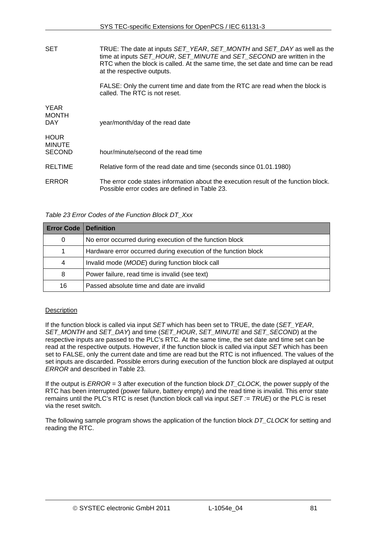| <b>SET</b>                                    | TRUE: The date at inputs SET_YEAR, SET_MONTH and SET_DAY as well as the<br>time at inputs SET_HOUR, SET_MINUTE and SET_SECOND are written in the<br>RTC when the block is called. At the same time, the set date and time can be read<br>at the respective outputs. |
|-----------------------------------------------|---------------------------------------------------------------------------------------------------------------------------------------------------------------------------------------------------------------------------------------------------------------------|
|                                               | FALSE: Only the current time and date from the RTC are read when the block is<br>called. The RTC is not reset.                                                                                                                                                      |
| <b>YEAR</b><br><b>MONTH</b><br>DAY            | year/month/day of the read date                                                                                                                                                                                                                                     |
| <b>HOUR</b><br><b>MINUTE</b><br><b>SECOND</b> | hour/minute/second of the read time                                                                                                                                                                                                                                 |
| <b>RELTIME</b>                                | Relative form of the read date and time (seconds since 01.01.1980)                                                                                                                                                                                                  |
| ERROR                                         | The error code states information about the execution result of the function block.<br>Possible error codes are defined in Table 23.                                                                                                                                |

*Table 23 Error Codes of the Function Block DT\_Xxx* 

<span id="page-80-0"></span>

| <b>Error Code</b> | <b>Definition</b>                                              |
|-------------------|----------------------------------------------------------------|
| 0                 | No error occurred during execution of the function block       |
|                   | Hardware error occurred during execution of the function block |
| 4                 | Invalid mode (MODE) during function block call                 |
| 8                 | Power failure, read time is invalid (see text)                 |
| 16                | Passed absolute time and date are invalid                      |

# **Description**

If the function block is called via input *SET* which has been set to TRUE, the date (*SET\_YEAR*, *SET\_MONTH* and *SET\_DAY*) and time (*SET\_HOUR*, *SET\_MINUTE* and *SET\_SECOND*) at the respective inputs are passed to the PLC's RTC. At the same time, the set date and time set can be read at the respective outputs. However, if the function block is called via input *SET* which has been set to FALSE, only the current date and time are read but the RTC is not influenced. The values of the set inputs are discarded. Possible errors during execution of the function block are displayed at output *ERROR* and described in [Table 23.](#page-80-0)

If the output is *ERROR* = 3 after execution of the function block *DT\_CLOCK,* the power supply of the RTC has been interrupted (power failure, battery empty) and the read time is invalid. This error state remains until the PLC's RTC is reset (function block call via input *SET := TRUE*) or the PLC is reset via the reset switch.

The following sample program shows the application of the function block *DT\_CLOCK* for setting and reading the RTC.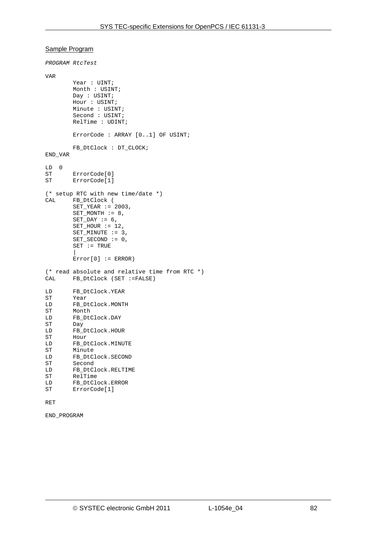## Sample Program

```
PROGRAM RtcTest 
VAR 
         Year : UINT;
          Month : USINT; 
          Day : USINT; 
          Hour : USINT; 
          Minute : USINT; 
          Second : USINT; 
          RelTime : UDINT; 
          ErrorCode : ARRAY [0..1] OF USINT; 
          FB_DtClock : DT_CLOCK; 
END_VAR 
\begin{array}{cc} \text{LD} & 0 \\ \text{ST} & \end{array}ErrorCode[0]
ST ErrorCode[1] 
(* setup RTC with new time/date *) 
CAL FB_DtClock ( 
          SET_YEAR := 2003, 
         SET_MONTH := 8,
         SET_DAY := 6,
         SET_HOUR := 12,
         SET_MINUTE := 3,
         SET SECOND := 0.
         SET := TRUE | 
         Error[0] := ERROR)(* read absolute and relative time from RTC *)<br>CAL FB DtClock (SET :=FALSE)
        FB DtClock (SET :=FALSE)
LD FB_DtClock.YEAR<br>ST Year
         Year
LD FB_DtClock.MONTH 
ST Month<br>LD FB_Dt(
         FB_DtClock.DAY
ST Day 
LD FB_DtClock.HOUR 
ST Hour 
LD FB_DtClock.MINUTE<br>ST Minute
         Minute
LD FB_DtClock.SECOND<br>ST Second
         Second
LD FB_DtClock.RELTIME 
ST RelTime<br>LD FB DtClo
        FB_DtClock.ERROR
ST ErrorCode[1]
```
## RET

END\_PROGRAM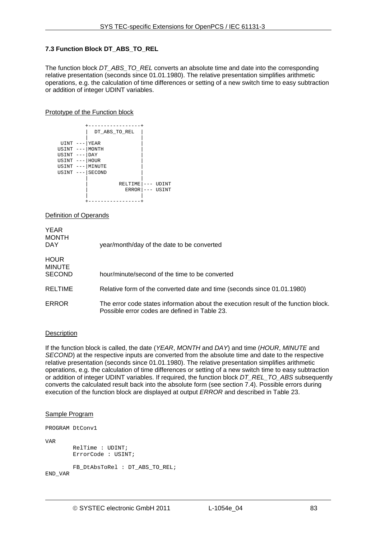## <span id="page-82-0"></span>**7.3 Function Block DT\_ABS\_TO\_REL**

The function block *DT\_ABS\_TO\_REL* converts an absolute time and date into the corresponding relative presentation (seconds since 01.01.1980). The relative presentation simplifies arithmetic operations, e.g. the calculation of time differences or setting of a new switch time to easy subtraction or addition of integer UDINT variables.

## Prototype of the Function block



Definition of Operands

| <b>YEAR</b><br><b>MONTH</b><br><b>DAY</b>     | year/month/day of the date to be converted                                                                                           |
|-----------------------------------------------|--------------------------------------------------------------------------------------------------------------------------------------|
| <b>HOUR</b><br><b>MINUTE</b><br><b>SECOND</b> | hour/minute/second of the time to be converted                                                                                       |
| <b>RELTIME</b>                                | Relative form of the converted date and time (seconds since 01.01.1980)                                                              |
| <b>ERROR</b>                                  | The error code states information about the execution result of the function block.<br>Possible error codes are defined in Table 23. |

# **Description**

If the function block is called, the date (*YEAR*, *MONTH* and *DAY*) and time (*HOUR*, *MINUTE* and *SECOND*) at the respective inputs are converted from the absolute time and date to the respective relative presentation (seconds since 01.01.1980). The relative presentation simplifies arithmetic operations, e.g. the calculation of time differences or setting of a new switch time to easy subtraction or addition of integer UDINT variables. If required, the function block *DT\_REL\_TO\_ABS* subsequently converts the calculated result back into the absolute form (see section [7.4\)](#page-83-0). Possible errors during execution of the function block are displayed at output *ERROR* and described in [Table 23](#page-80-0).

#### Sample Program

PROGRAM DtConv1

VAR

 RelTime : UDINT; ErrorCode : USINT;

```
 FB_DtAbsToRel : DT_ABS_TO_REL;
```
END\_VAR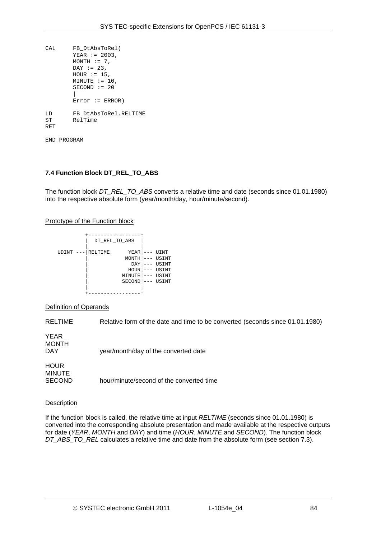| CAT. | FB DtAbsToRel(        |
|------|-----------------------|
|      | $YEAR := 2003,$       |
|      | $MONTH := 7$ .        |
|      | $DAY := 23$           |
|      | HOUR $:= 15$ ,        |
|      | $MINUTE := 10$ ,      |
|      | $SECOND := 20$        |
|      |                       |
|      | $Error := ERROR)$     |
| T.D  | FB DtAbsToRel.RELTIME |
| ST   | RelTime               |
| RET  |                       |
|      |                       |

END\_PROGRAM

## <span id="page-83-0"></span>**7.4 Function Block DT\_REL\_TO\_ABS**

The function block *DT\_REL\_TO\_ABS* converts a relative time and date (seconds since 01.01.1980) into the respective absolute form (year/month/day, hour/minute/second).

### Prototype of the Function block

|       | DT REL TO ABS |               |     |       |
|-------|---------------|---------------|-----|-------|
| UDINT | RELTIME       | YEAR          |     | UINT  |
|       |               | MONTH         |     | USINT |
|       |               | DAY           | --  | USINT |
|       |               | HOUR          | --- | USINT |
|       |               | MINUTE        |     | USINT |
|       |               | <b>SECOND</b> |     | USINT |
|       |               |               |     |       |
|       |               |               |     |       |

#### Definition of Operands

RELTIME Relative form of the date and time to be converted (seconds since 01.01.1980)

YEAR MONTH<br>DAY

year/month/day of the converted date

**HOUR** MINUTE

SECOND hour/minute/second of the converted time

### Description

If the function block is called, the relative time at input *RELTIME* (seconds since 01.01.1980) is converted into the corresponding absolute presentation and made available at the respective outputs for date (*YEAR*, *MONTH* and *DAY*) and time (*HOUR*, *MINUTE* and *SECOND*). The function block *DT\_ABS\_TO\_REL* calculates a relative time and date from the absolute form (see section [7.3](#page-82-0)).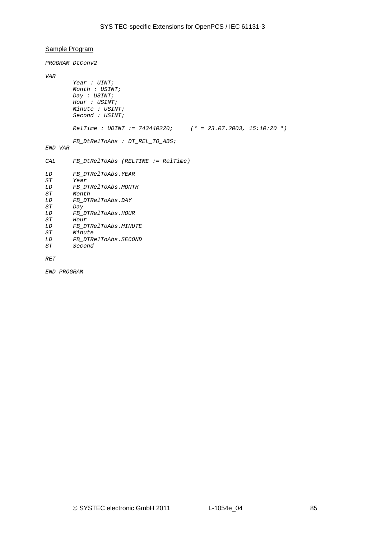## Sample Program

*PROGRAM DtConv2* 

```
VAR
```

```
 Year : UINT; 
        Month : USINT; 
        Day : USINT; 
        Hour : USINT; 
        Minute : USINT; 
        Second : USINT; 
        RelTime : UDINT := 743440220; (* = 23.07.2003, 15:10:20 *) 
        FB_DtRelToAbs : DT_REL_TO_ABS; 
END_VAR 
CAL FB_DtRelToAbs (RELTIME := RelTime) 
LD FB_DTRelToAbs.YEAR 
ST Year 
       LD FB_DTRelToAbs.MONTH 
ST Month 
LD FB_DTRelToAbs.DAY 
       ST Day 
LD FB_DTRelToAbs.HOUR 
ST Hour 
LD FB_DTRelToAbs.MINUTE 
ST Minute 
       LD FB_DTRelToAbs.SECOND 
ST Second
```
*RET* 

*END\_PROGRAM*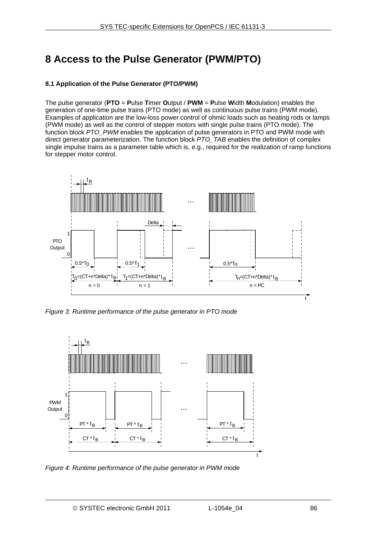# **8 Access to the Pulse Generator (PWM/PTO)**

# **8.1 Application of the Pulse Generator (PTO/PWM)**

The pulse generator (**PTO** = **P**ulse **T**imer **O**utput / **PWM** = **P**ulse **W**idth **M**odulation) enables the generation of one-time pulse trains (PTO mode) as well as continuous pulse trains (PWM mode). Examples of application are the low-loss power control of ohmic loads such as heating rods or lamps (PWM mode) as well as the control of stepper motors with single pulse trains (PTO mode). The function block *PTO\_PWM* enables the application of pulse generators in PTO and PWM mode with direct generator parameterization. The function block *PTO* TAB enables the definition of complex single impulse trains as a parameter table which is, e.g., required for the realization of ramp functions for stepper motor control.



*Figure 3: Runtime performance of the pulse generator in PTO mode* 

<span id="page-85-0"></span>

<span id="page-85-1"></span>*Figure 4: Runtime performance of the pulse generator in PWM mode*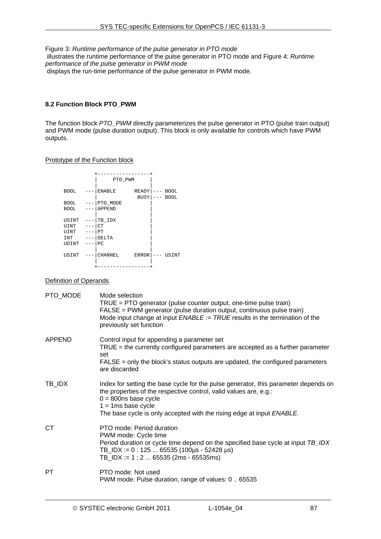Figure 3: *[Runtime performance of the pulse generator in PTO mode](#page-85-0)*  illustrates the runtime performance of the pulse generator in PTO mode and Figure 4: *[Runtime](#page-85-1)  [performance of the pulse generator in PWM mode](#page-85-1)*  displays the run-time performance of the pulse generator in PWM mode*.* 

# <span id="page-86-0"></span>**8.2 Function Block PTO\_PWM**

The function block *PTO\_PWM* directly parameterizes the pulse generator in PTO (pulse train output) and PWM mode (pulse duration output). This block is only available for controls which have PWM outputs.

## Prototype of the Function block

|                 | PTO PWM  |                                                                |
|-----------------|----------|----------------------------------------------------------------|
|                 |          |                                                                |
| <b>BOOL</b>     | ENABLE   | READY  <br><b>BOOL</b><br>$-- -$<br>BUSY<br><b>BOOL</b><br>--- |
| <b>BOOL</b>     | PTO_MODE |                                                                |
| <b>BOOL</b>     | APPEND   |                                                                |
|                 |          |                                                                |
| USINT           | TB IDX   |                                                                |
| UINT<br>$- - -$ | l CT     |                                                                |
| UINT<br>$---$   | l PT     |                                                                |
| INT<br>$---$    | DELTA    |                                                                |
| UDINT<br>$---$  | PC       |                                                                |
|                 |          |                                                                |
| USINT           | CHANNEL  | <b>ERROR</b><br>USINT<br>---                                   |
|                 |          |                                                                |
|                 |          |                                                                |

# Definition of Operands

| PTO_MODE  | Mode selection<br>$TRUE = PTO$ generator (pulse counter output, one-time pulse train)<br>FALSE = PWM generator (pulse duration output, continuous pulse train)<br>Mode input change at input $ENABLE := TRUE$ results in the termination of the<br>previously set function            |
|-----------|---------------------------------------------------------------------------------------------------------------------------------------------------------------------------------------------------------------------------------------------------------------------------------------|
| APPEND    | Control input for appending a parameter set<br>$TRUE =$ the currently configured parameters are accepted as a further parameter<br>set<br>$FALSE = only the block's status outputs are updated, the configured parameters$<br>are discarded                                           |
| TB_IDX    | Index for setting the base cycle for the pulse generator, this parameter depends on<br>the properties of the respective control, valid values are, e.g.:<br>$0 = 800$ ns base cycle<br>$1 = 1$ ms base cycle<br>The base cycle is only accepted with the rising edge at input ENABLE. |
| <b>CT</b> | PTO mode: Period duration<br>PWM mode: Cycle time<br>Period duration or cycle time depend on the specified base cycle at input TB_IDX<br>TB_IDX := 0 : 125  65535 (100µs - 52428 µs)<br>TB_IDX := $1:265535$ (2ms - 65535ms)                                                          |
| PT        | PTO mode: Not used<br>PWM mode: Pulse duration, range of values: 0  65535                                                                                                                                                                                                             |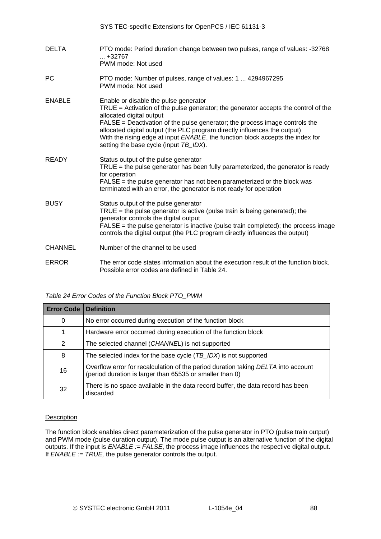| <b>DELTA</b>   | PTO mode: Period duration change between two pulses, range of values: -32768<br>$ + 32767$<br>PWM mode: Not used                                                                                                                                                                                                                                                                                                                                  |
|----------------|---------------------------------------------------------------------------------------------------------------------------------------------------------------------------------------------------------------------------------------------------------------------------------------------------------------------------------------------------------------------------------------------------------------------------------------------------|
| РC             | PTO mode: Number of pulses, range of values: 1  4294967295<br>PWM mode: Not used                                                                                                                                                                                                                                                                                                                                                                  |
| <b>ENABLE</b>  | Enable or disable the pulse generator<br>$TRUE =$ Activation of the pulse generator; the generator accepts the control of the<br>allocated digital output<br>FALSE = Deactivation of the pulse generator; the process image controls the<br>allocated digital output (the PLC program directly influences the output)<br>With the rising edge at input ENABLE, the function block accepts the index for<br>setting the base cycle (input TB_IDX). |
| <b>READY</b>   | Status output of the pulse generator<br>$TRUE =$ the pulse generator has been fully parameterized, the generator is ready<br>for operation<br>$FALSE = the pulse generator has not been parameterized or the block was$<br>terminated with an error, the generator is not ready for operation                                                                                                                                                     |
| <b>BUSY</b>    | Status output of the pulse generator<br>TRUE = the pulse generator is active (pulse train is being generated); the<br>generator controls the digital output<br>FALSE = the pulse generator is inactive (pulse train completed); the process image<br>controls the digital output (the PLC program directly influences the output)                                                                                                                 |
| <b>CHANNEL</b> | Number of the channel to be used                                                                                                                                                                                                                                                                                                                                                                                                                  |
| <b>ERROR</b>   | The error code states information about the execution result of the function block.<br>Possible error codes are defined in Table 24.                                                                                                                                                                                                                                                                                                              |

# *Table 24 Error Codes of the Function Block PTO\_PWM*

<span id="page-87-0"></span>

| <b>Error Code</b> | <b>Definition</b>                                                                                                                             |
|-------------------|-----------------------------------------------------------------------------------------------------------------------------------------------|
| 0                 | No error occurred during execution of the function block                                                                                      |
|                   | Hardware error occurred during execution of the function block                                                                                |
| 2                 | The selected channel (CHANNEL) is not supported                                                                                               |
| 8                 | The selected index for the base cycle $(TB_{{\scriptscriptstyle\perp}}/DX)$ is not supported                                                  |
| 16                | Overflow error for recalculation of the period duration taking DELTA into account<br>(period duration is larger than 65535 or smaller than 0) |
| 32                | There is no space available in the data record buffer, the data record has been<br>discarded                                                  |

# **Description**

The function block enables direct parameterization of the pulse generator in PTO (pulse train output) and PWM mode (pulse duration output). The mode pulse output is an alternative function of the digital outputs. If the input is *ENABLE := FALSE*, the process image influences the respective digital output. If *ENABLE := TRUE,* the pulse generator controls the output.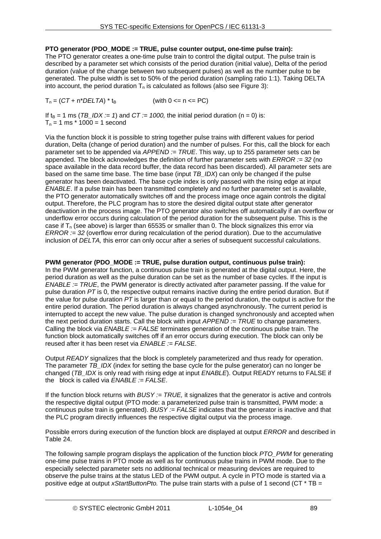# **PTO generator (PDO\_MODE := TRUE, pulse counter output, one-time pulse train):**

The PTO generator creates a one-time pulse train to control the digital output. The pulse train is described by a parameter set which consists of the period duration (initial value), Delta of the period duration (value of the change between two subsequent pulses) as well as the number pulse to be generated. The pulse width is set to 50% of the period duration (sampling ratio 1:1). Taking DELTA into account, the period duration  $T_n$  is calculated as follows (also see Figure 3):

 $T_n = (CT + n^*DELTA)^*$  t<sub>B</sub> (with 0 <= n <= PC)

If  $t_B = 1$  ms (*TB\_IDX := 1*) and *CT := 1000*, the initial period duration (n = 0) is:  $T_n = 1$  ms  $*$  1000 = 1 second

Via the function block it is possible to string together pulse trains with different values for period duration, Delta (change of period duration) and the number of pulses. For this, call the block for each parameter set to be appended via *APPEND := TRUE*. This way, up to 255 parameter sets can be appended. The block acknowledges the definition of further parameter sets with *ERROR := 32* (no space available in the data record buffer, the data record has been discarded). All parameter sets are based on the same time base. The time base (input *TB\_IDX*) can only be changed if the pulse generator has been deactivated. The base cycle index is only passed with the rising edge at input *ENABLE*. If a pulse train has been transmitted completely and no further parameter set is available, the PTO generator automatically switches off and the process image once again controls the digital output. Therefore, the PLC program has to store the desired digital output state after generator deactivation in the process image. The PTO generator also switches off automatically if an overflow or underflow error occurs during calculation of the period duration for the subsequent pulse. This is the case if  $T_n$  (see above) is larger than 65535 or smaller than 0. The block signalizes this error via *ERROR := 32* (overflow error during recalculation of the period duration). Due to the accumulative inclusion of *DELTA,* this error can only occur after a series of subsequent successful calculations.

# **PWM generator (PDO\_MODE := TRUE, pulse duration output, continuous pulse train):**

In the PWM generator function, a continuous pulse train is generated at the digital output. Here, the period duration as well as the pulse duration can be set as the number of base cycles. If the input is *ENABLE := TRUE*, the PWM generator is directly activated after parameter passing. If the value for pulse duration *PT* is 0, the respective output remains inactive during the entire period duration. But if the value for pulse duration *PT* is larger than or equal to the period duration, the output is active for the entire period duration. The period duration is always changed asynchronously. The current period is interrupted to accept the new value. The pulse duration is changed synchronously and accepted when the next period duration starts. Call the block with input *APPEND := TRUE* to change parameters. Calling the block via *ENABLE := FALSE* terminates generation of the continuous pulse train. The function block automatically switches off if an error occurs during execution. The block can only be reused after it has been reset via *ENABLE := FALSE*.

Output *READY* signalizes that the block is completely parameterized and thus ready for operation. The parameter *TB\_IDX* (index for setting the base cycle for the pulse generator) can no longer be changed (*TB\_IDX* is only read with rising edge at input *ENABLE*). Output READY returns to FALSE if the block is called via *ENABLE := FALSE*.

If the function block returns with *BUSY := TRUE,* it signalizes that the generator is active and controls the respective digital output (PTO mode: a parameterized pulse train is transmitted, PWM mode: a continuous pulse train is generated). *BUSY := FALSE* indicates that the generator is inactive and that the PLC program directly influences the respective digital output via the process image.

Possible errors during execution of the function block are displayed at output *ERROR* and described in [Table 24.](#page-87-0)

The following sample program displays the application of the function block *PTO\_PWM* for generating one-time pulse trains in PTO mode as well as for continuous pulse trains in PWM mode. Due to the especially selected parameter sets no additional technical or measuring devices are required to observe the pulse trains at the status LED of the PWM output. A cycle in PTO mode is started via a positive edge at output *xStartButtonPto.* The pulse train starts with a pulse of 1 second (CT \* TB =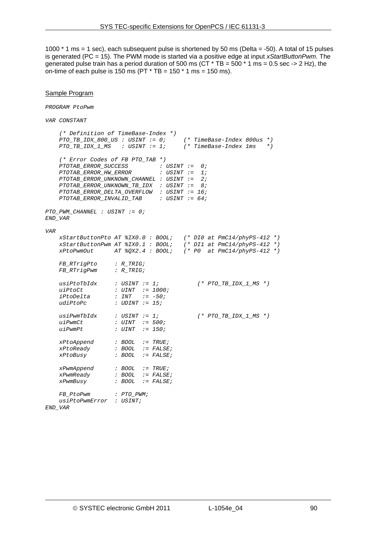1000 \* 1 ms = 1 sec), each subsequent pulse is shortened by 50 ms (Delta = -50). A total of 15 pulses is generated (PC = 15). The PWM mode is started via a positive edge at input *xStartButtonPwm*. The generated pulse train has a period duration of 500 ms ( $CT * TB = 500 * 1$  ms = 0.5 sec -> 2 Hz), the on-time of each pulse is 150 ms ( $PT * TB = 150 * 1$  ms = 150 ms).

#### Sample Program

*PROGRAM PtoPwm* 

*VAR CONSTANT* 

```
 (* Definition of TimeBase-Index *) 
 PTO_TB_IDX_800_US : USINT := 0; (* TimeBase-Index 800us *) 
 PTO_TB_IDX_1_MS : USINT := 1; (* TimeBase-Index 1ms *) 
    (* Error Codes of FB PTO_TAB *) 
 PTOTAB_ERROR_SUCCESS : USINT := 0; 
 PTOTAB_ERROR_HW_ERROR : USINT := 1; 
    PTOTAB_ERROR_UNKNOWN_CHANNEL : USINT := 2; 
    PTOTAB_ERROR_UNKNOWN_TB_IDX : USINT := 8; 
    PTOTAB_ERROR_DELTA_OVERFLOW : USINT := 16; 
    PTOTAB_ERROR_INVALID_TAB : USINT := 64; 
PTO_PWM_CHANNEL : USINT := 0; 
END_VAR 
VAR 
    xStartButtonPto AT %IX0.0 : BOOL; (* DI0 at PmC14/phyPS-412 *) 
 xStartButtonPwm AT %IX0.1 : BOOL; (* DI1 at PmC14/phyPS-412 *) 
 xPtoPwmOut AT %QX2.4 : BOOL; (* P0 at PmC14/phyPS-412 *) 
    FB_RTrigPto : R_TRIG; 
    FB_RTrigPwm : R_TRIG; 
 usiPtoTbIdx : USINT := 1; (* PTO_TB_IDX_1_MS *) 
 uiPtoCt : UINT := 1000; 
    iPtoDelta : INT := -50; 
    udiPtoPc : UDINT := 15; 
                   usiPwmTbIdx : USINT := 1; (* PTO_TB_IDX_1_MS *) 
   uu_<br>usiPwmTbIdx<br>uiPwmPt<br>uiPwmPt
                   uiPwmPt : UINT := 150; 
 xPtoAppend : BOOL := TRUE; 
 xPtoReady : BOOL := FALSE; 
    xPtoBusy : BOOL := FALSE; 
 xPwmAppend : BOOL := TRUE; 
 xPwmReady : BOOL := FALSE; 
    xPwmBusy : BOOL := FALSE; 
    FB_PtoPwm : PTO_PWM; 
    usiPtoPwmError : USINT;
```
*END\_VAR*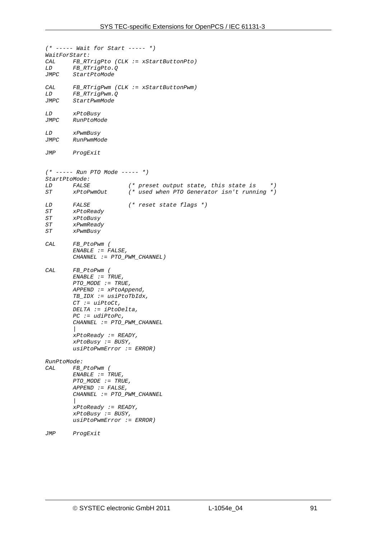```
(* ----- Wait for Start ----- *) 
WaitForStart: 
CAL FB_RTrigPto (CLK := xStartButtonPto) 
LD FB_RTrigPto.Q 
       StartPtoModeCAL FB_RTrigPwm (CLK := xStartButtonPwm) 
LD FB_RTrigPwm.Q 
       StartPwmModeLD xPtoBusy 
JMPC RunPtoMode 
LD xPwmBusy 
JMPC RunPwmMode 
JMP ProgExit 
(* ----- Run PTO Mode ----- *) 
StartPtoMode: 
LD FALSE (* preset output state, this state is *) 
                       ST xPtoPwmOut (* used when PTO Generator isn't running *) 
LD FALSE (* reset state flags *) 
ST xPtoReady 
ST xPtoBusy 
ST xPwmReady 
ST xPwmBusy 
CAL FB_PtoPwm ( 
        ENABLE := FALSE, 
        CHANNEL := PTO_PWM_CHANNEL) 
CAL FB_PtoPwm ( 
        ENABLE := TRUE, 
        PTO_MODE := TRUE, 
        APPEND := xPtoAppend, 
        TB_IDX := usiPtoTbIdx, 
        CT := uiPtoCt, 
        DELTA := iPtoDelta, 
         PC := udiPtoPc, 
        CHANNEL := PTO_PWM_CHANNEL 
 | 
        xPtoReady := READY, 
        xPtoBusy := BUSY, 
         usiPtoPwmError := ERROR) 
RunPtoMode: 
CAL FB_PtoPwm ( 
        ENABLE := TRUE, 
         PTO_MODE := TRUE, 
         APPEND := FALSE, 
        CHANNEL := PTO_PWM_CHANNEL 
 | 
        xPtoReady := READY, 
        xPtoBusy := BUSY, 
        usiPtoPwmError := ERROR)
```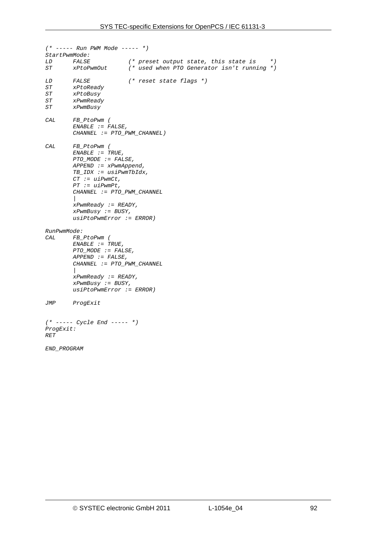```
(* ----- Run PWM Mode ----- *) 
StartPwmMode: 
LD FALSE (* preset output state, this state is *) 
                        ST xPtoPwmOut (* used when PTO Generator isn't running *) 
LD FALSE (* reset state flags *) 
ST xPtoReady 
ST xPtoBusy 
        ST xPwmReady 
ST xPwmBusy 
CAL FB_PtoPwm ( 
         ENABLE := FALSE, 
         CHANNEL := PTO_PWM_CHANNEL) 
CAL FB_PtoPwm ( 
         ENABLE := TRUE, 
         PTO_MODE := FALSE, 
         APPEND := xPwmAppend, 
         TB_IDX := usiPwmTbIdx, 
         CT := uiPwmCt, 
         PT := uiPwmPt, 
         CHANNEL := PTO_PWM_CHANNEL 
         | 
         xPwmReady := READY, 
         xPwmBusy := BUSY, 
         usiPtoPwmError := ERROR) 
RunPwmMode: 
       CAL FB_PtoPwm ( 
         ENABLE := TRUE, 
         PTO_MODE := FALSE, 
         APPEND := FALSE, 
         CHANNEL := PTO_PWM_CHANNEL 
         | 
         xPwmReady := READY, 
         xPwmBusy := BUSY, 
         usiPtoPwmError := ERROR) 
JMP ProgExit 
(* ----- Cycle End ----- *) 
ProgExit: 
RET 
END_PROGRAM
```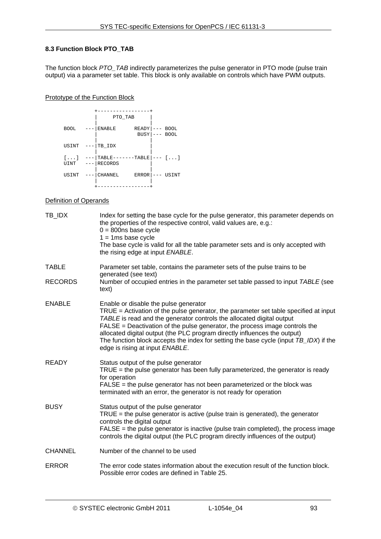# **8.3 Function Block PTO\_TAB**

The function block *PTO\_TAB* indirectly parameterizes the pulse generator in PTO mode (pulse train output) via a parameter set table. This block is only available on controls which have PWM outputs.

## Prototype of the Function Block

|                               | PTO TAB                  | -------                |       |                            |
|-------------------------------|--------------------------|------------------------|-------|----------------------------|
| <b>BOOL</b>                   | <b>ENABLE</b>            | READY  <br><b>BUSY</b> | $---$ | <b>BOOL</b><br><b>BOOL</b> |
| USINT                         | TB IDX                   |                        |       |                            |
| $[\,\ldots\,]$<br><b>UINT</b> | TABLE-<br><b>RECORDS</b> | $---TABLE$             |       | --- []                     |
| USINT                         | <b>CHANNEL</b>           | <b>ERROR</b>           |       | USINT                      |
|                               |                          |                        |       |                            |

## Definition of Operands

| TB_IDX         | Index for setting the base cycle for the pulse generator, this parameter depends on<br>the properties of the respective control, valid values are, e.g.:<br>$0 = 800$ ns base cycle<br>$1 = 1$ ms base cycle<br>The base cycle is valid for all the table parameter sets and is only accepted with<br>the rising edge at input ENABLE.                                                                                                                                                         |
|----------------|------------------------------------------------------------------------------------------------------------------------------------------------------------------------------------------------------------------------------------------------------------------------------------------------------------------------------------------------------------------------------------------------------------------------------------------------------------------------------------------------|
| <b>TABLE</b>   | Parameter set table, contains the parameter sets of the pulse trains to be                                                                                                                                                                                                                                                                                                                                                                                                                     |
| <b>RECORDS</b> | generated (see text)<br>Number of occupied entries in the parameter set table passed to input TABLE (see<br>text)                                                                                                                                                                                                                                                                                                                                                                              |
| <b>ENABLE</b>  | Enable or disable the pulse generator<br>TRUE = Activation of the pulse generator, the parameter set table specified at input<br>TABLE is read and the generator controls the allocated digital output<br>FALSE = Deactivation of the pulse generator, the process image controls the<br>allocated digital output (the PLC program directly influences the output)<br>The function block accepts the index for setting the base cycle (input TB_IDX) if the<br>edge is rising at input ENABLE. |
| <b>READY</b>   | Status output of the pulse generator<br>$TRUE =$ the pulse generator has been fully parameterized, the generator is ready<br>for operation<br>$FALSE = the pulse generator has not been parameterized or the block was$<br>terminated with an error, the generator is not ready for operation                                                                                                                                                                                                  |
| <b>BUSY</b>    | Status output of the pulse generator<br>$TRUE =$ the pulse generator is active (pulse train is generated), the generator<br>controls the digital output<br>FALSE = the pulse generator is inactive (pulse train completed), the process image<br>controls the digital output (the PLC program directly influences of the output)                                                                                                                                                               |
| <b>CHANNEL</b> | Number of the channel to be used                                                                                                                                                                                                                                                                                                                                                                                                                                                               |
| <b>ERROR</b>   | The error code states information about the execution result of the function block.<br>Possible error codes are defined in Table 25.                                                                                                                                                                                                                                                                                                                                                           |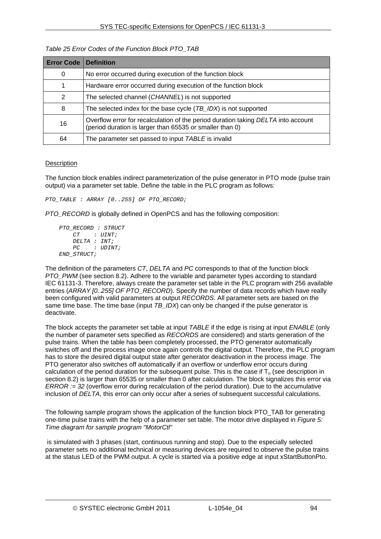<span id="page-93-0"></span>

| <b>Error Code</b> | <b>Definition</b>                                                                                                                             |
|-------------------|-----------------------------------------------------------------------------------------------------------------------------------------------|
| 0                 | No error occurred during execution of the function block                                                                                      |
|                   | Hardware error occurred during execution of the function block                                                                                |
| 2                 | The selected channel (CHANNEL) is not supported                                                                                               |
| 8                 | The selected index for the base cycle $(TB_{{\scriptscriptstyle\perp}}/DX)$ is not supported                                                  |
| 16                | Overflow error for recalculation of the period duration taking DELTA into account<br>(period duration is larger than 65535 or smaller than 0) |
| 64                | The parameter set passed to input TABLE is invalid                                                                                            |

# *Table 25 Error Codes of the Function Block PTO\_TAB*

## **Description**

The function block enables indirect parameterization of the pulse generator in PTO mode (pulse train output) via a parameter set table. Define the table in the PLC program as follows:

*PTO\_TABLE : ARRAY [0..255] OF PTO\_RECORD;* 

*PTO\_RECORD* is globally defined in OpenPCS and has the following composition:

```
 PTO_RECORD : STRUCT 
     CT : UINT; 
     DELTA : INT; 
     PC : UDINT; 
 END_STRUCT;
```
The definition of the parameters *CT*, *DELTA* and *PC* corresponds to that of the function block *PTO\_PWM* (see section [8.2\)](#page-86-0). Adhere to the variable and parameter types according to standard IEC 61131-3. Therefore, always create the parameter set table in the PLC program with 256 available entries (ARRAY [0..255] OF PTO\_RECORD). Specify the number of data records which have really been configured with valid parameters at output *RECORDS*. All parameter sets are based on the same time base. The time base (input *TB\_IDX*) can only be changed if the pulse generator is deactivate.

The block accepts the parameter set table at input *TABLE* if the edge is rising at input *ENABLE* (only the number of parameter sets specified as *RECORDS* are considered) and starts generation of the pulse trains. When the table has been completely processed, the PTO generator automatically switches off and the process image once again controls the digital output. Therefore, the PLC program has to store the desired digital output state after generator deactivation in the process image. The PTO generator also switches off automatically if an overflow or underflow error occurs during calculation of the period duration for the subsequent pulse. This is the case if  $T_n$  (see description in section [8.2](#page-86-0)) is larger than 65535 or smaller than 0 after calculation. The block signalizes this error via *ERROR := 32* (overflow error during recalculation of the period duration). Due to the accumulative inclusion of *DELTA*, this error can only occur after a series of subsequent successful calculations.

The following sample program shows the application of the function block PTO TAB for generating one-time pulse trains with the help of a parameter set table. The motor drive displayed in *[Figure 5:](#page-94-0)  [Time diagram for sample program "MotorCtl"](#page-94-0)* 

 is simulated with 3 phases (start, continuous running and stop). Due to the especially selected parameter sets no additional technical or measuring devices are required to observe the pulse trains at the status LED of the PWM output. A cycle is started via a positive edge at input xStartButtonPto.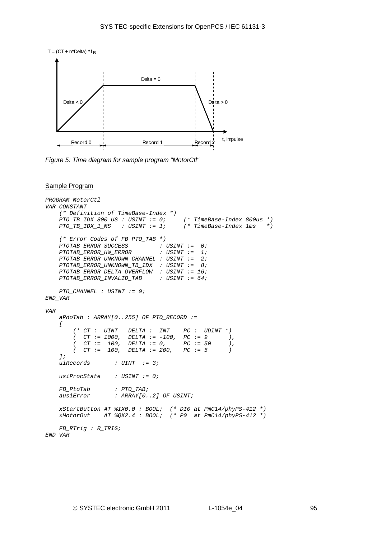

<span id="page-94-0"></span>*Figure 5: Time diagram for sample program "MotorCtl"* 

#### Sample Program

```
PROGRAM MotorCtl 
VAR CONSTANT 
     (* Definition of TimeBase-Index *) 
    PTO_TB_IDX_800_US : USINT := 0; (* TimeBase-Index 800us *) 
    PTO_TB_IDX_1_MS : USINT := 1; (* TimeBase-Index 1ms *) 
    (* Error Codes of FB PTO_TAB *) 
    PTOTAB_ERROR_SUCCESS : USINT := 0; 
    PTOTAB_ERROR_HW_ERROR : USINT := 1; 
    PTOTAB_ERROR_UNKNOWN_CHANNEL : USINT := 2; 
 PTOTAB_ERROR_UNKNOWN_TB_IDX : USINT := 8; 
 PTOTAB_ERROR_DELTA_OVERFLOW : USINT := 16; 
    PTOTAB_ERROR_INVALID_TAB : USINT := 64; 
    PTO_CHANNEL : USINT := 0; 
END_VAR 
VAR 
    aPdoTab : ARRAY[0..255] OF PTO_RECORD := 
    [ 
 (* CT : UINT DELTA : INT PC : UDINT *) 
 ( CT := 1000, DELTA := -100, PC := 9 ), 
        ( CT := 100, DELTA := 0, PC := 50 ), 
        ( CT := 100, DELTA := 200, PC := 5 ) 
    ]; 
    uiRecords : UINT := 3; 
    usiProcState : USINT := 0; 
    FB_PtoTab : PTO_TAB; 
    ausiError : ARRAY[0..2] OF USINT; 
 xStartButton AT %IX0.0 : BOOL; (* DI0 at PmC14/phyPS-412 *) 
 xMotorOut AT %QX2.4 : BOOL; (* P0 at PmC14/phyPS-412 *) 
    FB_RTrig : R_TRIG;
```

```
END_VAR
```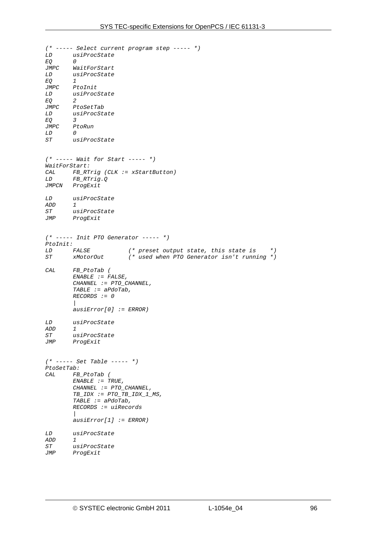*(\* ----- Select current program step ----- \*) LD usiProcState EQ<br>JMPC*  $WaitForStart$ *LD usiProcState EQ 1 JMPC PtoInit LD usiProcState EQ 2 JMPC PtoSetTab LD usiProcState EQ 3 JMPC PtoRun LD 0 ST usiProcState (\* ----- Wait for Start ----- \*) WaitForStart: CAL FB\_RTrig (CLK := xStartButton) LD FB\_RTrig.Q*   $ProgExit$ *LD usiProcState ADD 1 ST usiProcState JMP ProgExit (\* ----- Init PTO Generator ----- \*) PtoInit: LD FALSE (\* preset output state, this state is \*) ST xMotorOut (\* used when PTO Generator isn't running \*) CAL FB\_PtoTab ( ENABLE := FALSE, CHANNEL := PTO\_CHANNEL, TABLE := aPdoTab, RECORDS := 0 | ausiError[0] := ERROR) LD usiProcState ADD 1 ST usiProcState*   $ProqExit$ *(\* ----- Set Table ----- \*) PtoSetTab: CAL FB\_PtoTab ( ENABLE := TRUE, CHANNEL := PTO\_CHANNEL, TB\_IDX := PTO\_TB\_IDX\_1\_MS, TABLE := aPdoTab, RECORDS := uiRecords | ausiError[1] := ERROR) LD usiProcState ADD 1 ST usiProcState*   $ProqExit$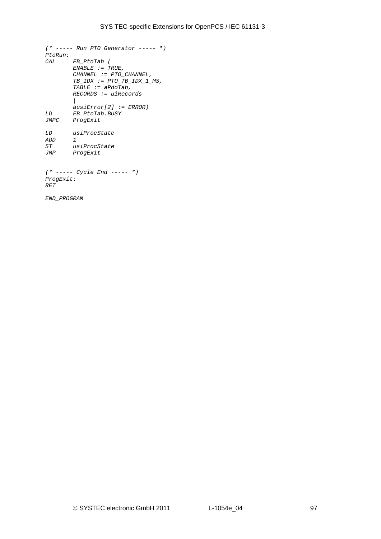```
(* ----- Run PTO Generator ----- *) 
PtoRun: 
       CAL FB_PtoTab ( 
        ENABLE := TRUE, 
        CHANNEL := PTO_CHANNEL, 
        TB_IDX := PTO_TB_IDX_1_MS, 
        TABLE := aPdoTab, 
        RECORDS := uiRecords 
 | 
 ausiError[2] := ERROR) 
       LD FB_PtoTab.BUSY 
JMPC ProgExit 
LD usiProcState 
ADD 1 
ST usiProcState 
       ProqExit(* ----- Cycle End ----- *) 
ProgExit: 
RET 
END_PROGRAM
```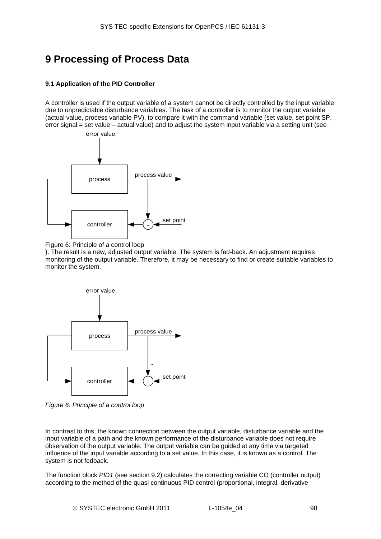# <span id="page-97-1"></span>**9 Processing of Process Data**

# **9.1 Application of the PID Controller**

A controller is used if the output variable of a system cannot be directly controlled by the input variable due to unpredictable disturbance variables. The task of a controller is to monitor the output variable (actual value, process variable PV), to compare it with the command variable (set value, set point SP, error signal = set value – actual value) and to adjust the system input variable via a setting unit (see



Figure 6: Principle of a control loop

). The result is a new, adjusted output variable. The system is fed-back. An adjustment requires monitoring of the output variable. Therefore, it may be necessary to find or create suitable variables to monitor the system.

<span id="page-97-0"></span>

*Figure 6: Principle of a control loop* 

In contrast to this, the known connection between the output variable, disturbance variable and the input variable of a path and the known performance of the disturbance variable does not require observation of the output variable. The output variable can be guided at any time via targeted influence of the input variable according to a set value. In this case, it is known as a control. The system is not fedback.

The function block *PID1* (see section [9.2](#page-99-0)) calculates the correcting variable CO (controller output) according to the method of the quasi continuous PID control (proportional, integral, derivative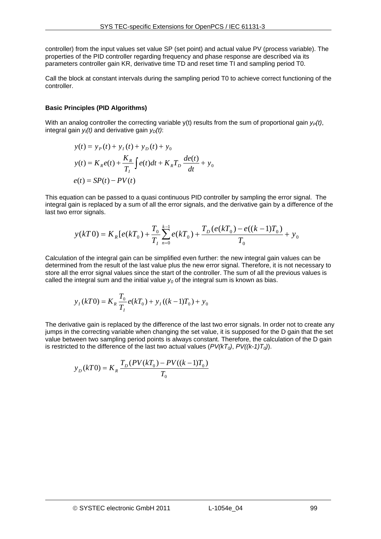controller) from the input values set value SP (set point) and actual value PV (process variable). The properties of the PID controller regarding frequency and phase response are described via its parameters controller gain KR, derivative time TD and reset time TI and sampling period T0.

Call the block at constant intervals during the sampling period T0 to achieve correct functioning of the controller.

## **Basic Principles (PID Algorithms)**

With an analog controller the correcting variable  $y(t)$  results from the sum of proportional gain  $y_P(t)$ , integral gain  $y_i(t)$  and derivative gain  $y_D(t)$ :

$$
y(t) = yP(t) + yI(t) + yD(t) + y0
$$
  

$$
y(t) = KRe(t) + \frac{KR}{TI} \int e(t)dt + KRTD \frac{de(t)}{dt} + y0
$$
  

$$
e(t) = SP(t) - PV(t)
$$

This equation can be passed to a quasi continuous PID controller by sampling the error signal. The integral gain is replaced by a sum of all the error signals, and the derivative gain by a difference of the last two error signals.

$$
y(kT0) = K_R[e(kT_0) + \frac{T_0}{T_I} \sum_{n=0}^{k-1} e(kT_0) + \frac{T_D(e(kT_0) - e((k-1)T_0)}{T_0} + y_0
$$

Calculation of the integral gain can be simplified even further: the new integral gain values can be determined from the result of the last value plus the new error signal. Therefore, it is not necessary to store all the error signal values since the start of the controller. The sum of all the previous values is called the integral sum and the initial value  $y_0$  of the integral sum is known as bias.

$$
y_I(kT0) = K_R \frac{T_0}{T_I} e(kT_0) + y_I((k-1)T_0) + y_0
$$

The derivative gain is replaced by the difference of the last two error signals. In order not to create any jumps in the correcting variable when changing the set value, it is supposed for the D gain that the set value between two sampling period points is always constant. Therefore, the calculation of the D gain is restricted to the difference of the last two actual values  $(PV(kT_0), PV((k-1)T_0))$ .

$$
y_D(kT0) = K_R \frac{T_D(PV(kT_0) - PV((k-1)T_0)}{T_0}
$$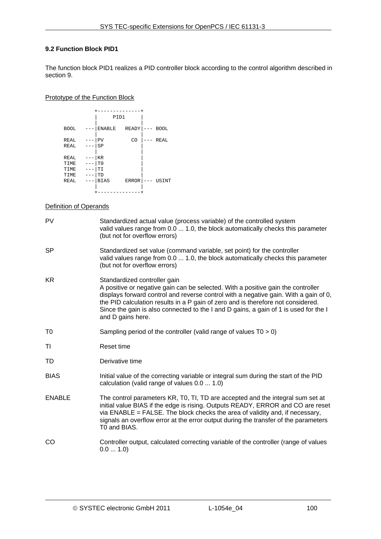# <span id="page-99-0"></span>**9.2 Function Block PID1**

The function block PID1 realizes a PID controller block according to the control algorithm described in section [9.](#page-97-1)

## Prototype of the Function Block

|                                      |                                                                | PID1         |         |             |
|--------------------------------------|----------------------------------------------------------------|--------------|---------|-------------|
| <b>BOOL</b>                          | <b>ENABLE</b>                                                  | READY        | $---$   | <b>BOOL</b> |
| REAL                                 | PV                                                             | CO           |         | REAL        |
| REAL                                 | SP<br>---                                                      |              |         |             |
| REAL<br>TIME<br>TIME<br>TIME<br>REAL | <b>KR</b><br>T <sub>0</sub><br>$ -$<br>TI<br>TD<br><b>BIAS</b> | <b>ERROR</b> | $- - -$ | USINT       |
|                                      |                                                                |              |         |             |
|                                      |                                                                |              |         |             |

# Definition of Operands

| PV            | Standardized actual value (process variable) of the controlled system<br>valid values range from 0.0  1.0, the block automatically checks this parameter<br>(but not for overflow errors)                                                                                                                                                                                                                 |
|---------------|-----------------------------------------------------------------------------------------------------------------------------------------------------------------------------------------------------------------------------------------------------------------------------------------------------------------------------------------------------------------------------------------------------------|
| <b>SP</b>     | Standardized set value (command variable, set point) for the controller<br>valid values range from 0.0  1.0, the block automatically checks this parameter<br>(but not for overflow errors)                                                                                                                                                                                                               |
| <b>KR</b>     | Standardized controller gain<br>A positive or negative gain can be selected. With a positive gain the controller<br>displays forward control and reverse control with a negative gain. With a gain of 0,<br>the PID calculation results in a P gain of zero and is therefore not considered.<br>Since the gain is also connected to the I and D gains, a gain of 1 is used for the I<br>and D gains here. |
| T0            | Sampling period of the controller (valid range of values $T0 > 0$ )                                                                                                                                                                                                                                                                                                                                       |
| ΤI            | Reset time                                                                                                                                                                                                                                                                                                                                                                                                |
| TD            | Derivative time                                                                                                                                                                                                                                                                                                                                                                                           |
| <b>BIAS</b>   | Initial value of the correcting variable or integral sum during the start of the PID<br>calculation (valid range of values 0.0  1.0)                                                                                                                                                                                                                                                                      |
| <b>ENABLE</b> | The control parameters KR, T0, TI, TD are accepted and the integral sum set at<br>initial value BIAS if the edge is rising. Outputs READY, ERROR and CO are reset<br>via ENABLE = FALSE. The block checks the area of validity and, if necessary,<br>signals an overflow error at the error output during the transfer of the parameters<br>T0 and BIAS.                                                  |
| CO.           | Controller output, calculated correcting variable of the controller (range of values<br>0.0 1.0                                                                                                                                                                                                                                                                                                           |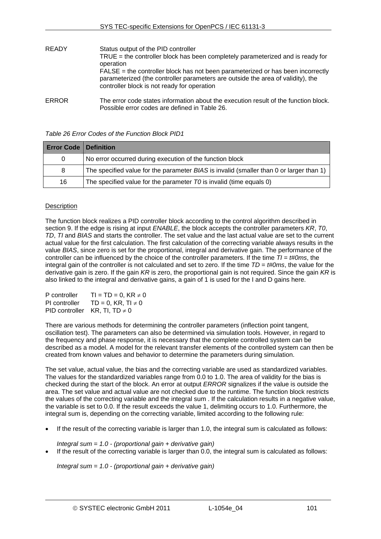| <b>READY</b> | Status output of the PID controller<br>$TRUE =$ the controller block has been completely parameterized and is ready for<br>operation<br>$FALSE = the controller block has not been parameterized or has been incorrectly$<br>parameterized (the controller parameters are outside the area of validity), the<br>controller block is not ready for operation |
|--------------|-------------------------------------------------------------------------------------------------------------------------------------------------------------------------------------------------------------------------------------------------------------------------------------------------------------------------------------------------------------|
| <b>ERROR</b> | The error code states information about the execution result of the function block.<br>Possible error codes are defined in Table 26.                                                                                                                                                                                                                        |

## *Table 26 Error Codes of the Function Block PID1*

<span id="page-100-0"></span>

| <b>Error Code   Definition</b> |                                                                                         |
|--------------------------------|-----------------------------------------------------------------------------------------|
| 0                              | No error occurred during execution of the function block                                |
| 8                              | The specified value for the parameter BIAS is invalid (smaller than 0 or larger than 1) |
| 16                             | The specified value for the parameter TO is invalid (time equals 0)                     |

# **Description**

The function block realizes a PID controller block according to the control algorithm described in section [9.](#page-97-1) If the edge is rising at input *ENABLE*, the block accepts the controller parameters *KR*, *T0*, *TD*, *TI* and *BIAS* and starts the controller. The set value and the last actual value are set to the current actual value for the first calculation. The first calculation of the correcting variable always results in the value *BIAS*, since zero is set for the proportional, integral and derivative gain. The performance of the controller can be influenced by the choice of the controller parameters. If the time *TI* = *t#0ms*, the integral gain of the controller is not calculated and set to zero. If the time *TD* = *t#0ms*, the value for the derivative gain is zero. If the gain *KR* is zero, the proportional gain is not required. Since the gain *KR* is also linked to the integral and derivative gains, a gain of 1 is used for the I and D gains here.

| P controller  | $TI = TD = 0, KR \neq 0$           |
|---------------|------------------------------------|
| PI controller | $TD = 0$ , KR, TI $\neq 0$         |
|               | PID controller $KR, TI, TD \neq 0$ |

There are various methods for determining the controller parameters (inflection point tangent, oscillation test). The parameters can also be determined via simulation tools. However, in regard to the frequency and phase response, it is necessary that the complete controlled system can be described as a model. A model for the relevant transfer elements of the controlled system can then be created from known values and behavior to determine the parameters during simulation.

The set value, actual value, the bias and the correcting variable are used as standardized variables. The values for the standardized variables range from 0.0 to 1.0. The area of validity for the bias is checked during the start of the block. An error at output *ERROR* signalizes if the value is outside the area. The set value and actual value are not checked due to the runtime. The function block restricts the values of the correcting variable and the integral sum . If the calculation results in a negative value, the variable is set to 0.0. If the result exceeds the value 1, delimiting occurs to 1.0. Furthermore, the integral sum is, depending on the correcting variable, limited according to the following rule:

If the result of the correcting variable is larger than 1.0, the integral sum is calculated as follows:

*Integral sum = 1.0 - (proportional gain + derivative gain)*

If the result of the correcting variable is larger than 0.0, the integral sum is calculated as follows:

*Integral sum = 1.0 - (proportional gain + derivative gain)*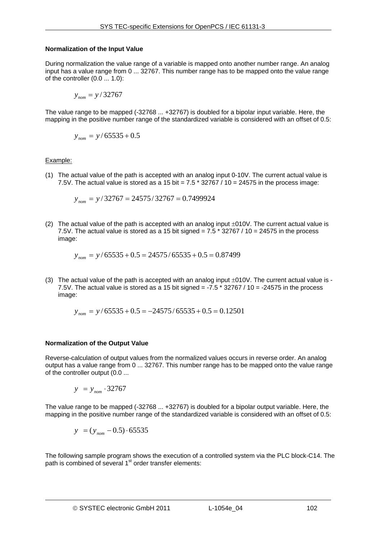## **Normalization of the Input Value**

During normalization the value range of a variable is mapped onto another number range. An analog input has a value range from 0 ... 32767. This number range has to be mapped onto the value range of the controller (0.0 ... 1.0):

$$
y_{\text{nom}} = y/32767
$$

The value range to be mapped (-32768 ... +32767) is doubled for a bipolar input variable. Here, the mapping in the positive number range of the standardized variable is considered with an offset of 0.5:

$$
y_{\text{nom}} = y / 65535 + 0.5
$$

Example:

(1) The actual value of the path is accepted with an analog input 0-10V. The current actual value is 7.5V. The actual value is stored as a 15 bit =  $7.5 * 32767 / 10 = 24575$  in the process image:

$$
y_{\text{nom}} = y/32767 = 24575/32767 = 0.7499924
$$

(2) The actual value of the path is accepted with an analog input  $\pm 010V$ . The current actual value is 7.5V. The actual value is stored as a 15 bit signed = 7.5  $*$  32767 / 10 = 24575 in the process image:

$$
y_{\text{nom}} = y / 65535 + 0.5 = 24575 / 65535 + 0.5 = 0.87499
$$

(3) The actual value of the path is accepted with an analog input ±010V. The current actual value is - 7.5V. The actual value is stored as a 15 bit signed =  $-7.5$   $*$  32767 / 10 =  $-24575$  in the process image:

$$
y_{\textit{nom}} = y / 65535 + 0.5 = -24575 / 65535 + 0.5 = 0.12501
$$

## **Normalization of the Output Value**

Reverse-calculation of output values from the normalized values occurs in reverse order. An analog output has a value range from 0 ... 32767. This number range has to be mapped onto the value range of the controller output (0.0 ...

$$
y = y_{\text{nom}} \cdot 32767
$$

The value range to be mapped (-32768 ... +32767) is doubled for a bipolar output variable. Here, the mapping in the positive number range of the standardized variable is considered with an offset of 0.5:

$$
y = (y_{\text{nom}} - 0.5) \cdot 65535
$$

The following sample program shows the execution of a controlled system via the PLC block-C14. The path is combined of several 1<sup>st</sup> order transfer elements: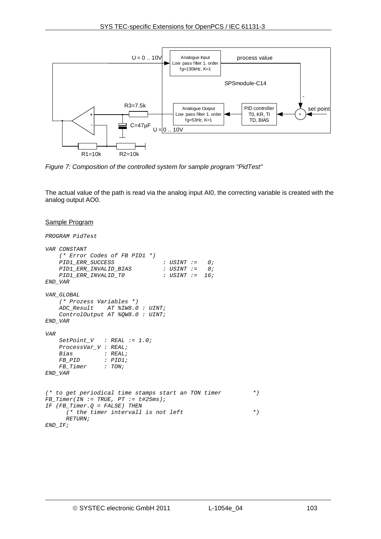

*Figure 7: Composition of the controlled system for sample program "PidTest"* 

The actual value of the path is read via the analog input AI0, the correcting variable is created with the analog output AO0.

## Sample Program

```
PROGRAM PidTest 
VAR CONSTANT 
     (* Error Codes of FB PID1 *) 
     PID1_ERR_SUCCESS : USINT := 0; 
    PID1_ERR_INVALID_BIAS : USINT := 8; 
   \emph{PID1\_ERR\_INVALID\_TO}END_VAR 
VAR_GLOBAL 
     (* Prozess Variables *) 
     ADC_Result AT %IW8.0 : UINT; 
    ControlOutput AT %QW8.0 : UINT; 
END_VAR 
VAR 
    SetPoint_V : REAL := 1.0; 
    ProcessVar_V : REAL; 
    Bias : REAL; 
                FB_PID : PID1; 
   FB Timer
END_VAR 
(* to get periodical time stamps start an TON timer *) 
FB_Timer(IN := TRUE, PT := t#25ms); 
IF (FB_Timer.Q = FALSE) THEN 
       (* the timer intervall is not left *) 
       RETURN; 
END_IF;
```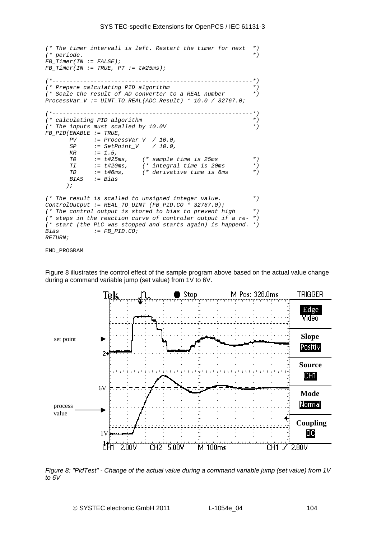```
(* The timer intervall is left. Restart the timer for next *) 
(* periode. *) 
FB_Timer(IN := FALSE); 
FB_Timer(IN := TRUE, PT := t#25ms); 
(*----------------------------------------------------------*) 
(* Prepare calculating PID algorithm *) 
(* Scale the result of AD converter to a REAL number *) 
ProcessVar_V := UINT_TO_REAL(ADC_Result) * 10.0 / 32767.0; 
(*----------------------------------------------------------*) 
(* calculating PID algorithm *) 
(* The inputs must scalled by 10.0V *) 
FB_PID(ENABLE := TRUE, 
       PV := ProcessVar_V / 10.0, 
              SP := SetPoint_V / 10.0, 
       KR := 1.5, 
       T0 := t#25ms, (* sample time is 25ms *) 
       TI := t#20ms, (* integral time is 20ms *) 
             := t#6ms, * derivative time is 6ms
       BIAS := Bias 
       ); 
(* The result is scalled to unsigned integer value. *) 
ControlOutput := REAL_TO_UINT (FB_PID.CO * 32767.0); 
(* The control output is stored to bias to prevent high *) 
(* steps in the reaction curve of controler output if a re- *) 
(* start (the PLC was stopped and starts again) is happend. *) 
             Bias := FB_PID.CO; 
RETURN;
```

```
END_PROGRAM
```
Figure 8 illustrates the control effect of the sample program above based on the actual value change during a command variable jump (set value) from 1V to 6V.



*Figure 8: "PidTest" - Change of the actual value during a command variable jump (set value) from 1V to 6V*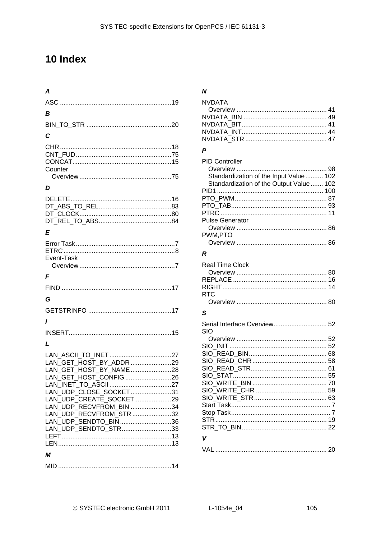# 10 Index

| A                                                                                                                                                                                |
|----------------------------------------------------------------------------------------------------------------------------------------------------------------------------------|
|                                                                                                                                                                                  |
| B                                                                                                                                                                                |
|                                                                                                                                                                                  |
| C                                                                                                                                                                                |
| Counter                                                                                                                                                                          |
| D                                                                                                                                                                                |
|                                                                                                                                                                                  |
| E                                                                                                                                                                                |
| Event-Task                                                                                                                                                                       |
|                                                                                                                                                                                  |
| F                                                                                                                                                                                |
|                                                                                                                                                                                  |
| G                                                                                                                                                                                |
|                                                                                                                                                                                  |
| ı                                                                                                                                                                                |
|                                                                                                                                                                                  |
| L                                                                                                                                                                                |
| LAN GET_HOST_CONFIG 26<br>LAN UDP CLOSE SOCKET31<br>LAN UDP CREATE SOCKET29<br>LAN UDP RECVFROM BIN 34<br>LAN UDP RECVFROM STR32<br>LAN_UDP_SENDTO_BIN36<br>LAN_UDP_SENDTO_STR33 |
| М                                                                                                                                                                                |

# $\boldsymbol{N}$

| <b>NVDATA</b> |  |
|---------------|--|
|               |  |
|               |  |
|               |  |
|               |  |
|               |  |

# $\boldsymbol{P}$

| <b>PID Controller</b>                    |  |
|------------------------------------------|--|
|                                          |  |
| Standardization of the Input Value 102   |  |
| Standardization of the Output Value  102 |  |
|                                          |  |
|                                          |  |
|                                          |  |
|                                          |  |
| <b>Pulse Generator</b>                   |  |
|                                          |  |
| PWM,PTO                                  |  |
|                                          |  |

# $\pmb{\mathcal{R}}$

| <b>Real Time Clock</b><br><b>RTC</b> |  |
|--------------------------------------|--|
| S                                    |  |
| Serial Interface Overview 52<br>SIO  |  |
|                                      |  |
|                                      |  |
|                                      |  |
|                                      |  |
|                                      |  |
|                                      |  |
|                                      |  |
|                                      |  |
|                                      |  |
|                                      |  |
|                                      |  |
|                                      |  |
|                                      |  |
| V                                    |  |
| VAI                                  |  |
|                                      |  |